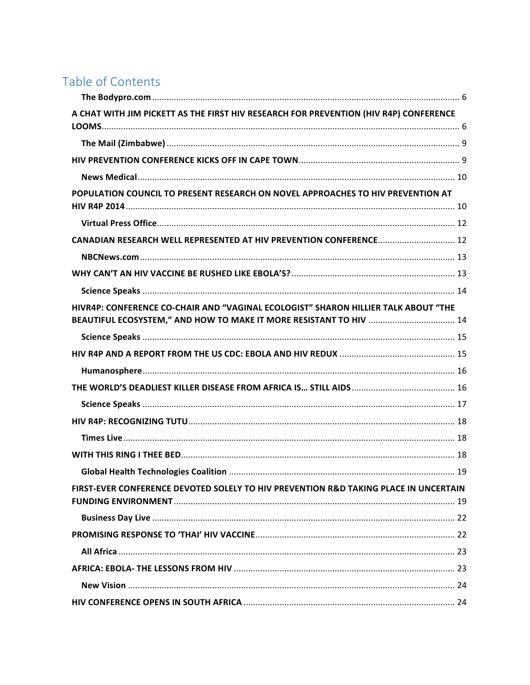# Table of Contents

| A CHAT WITH JIM PICKETT AS THE FIRST HIV RESEARCH FOR PREVENTION (HIV R4P) CONFERENCE |  |
|---------------------------------------------------------------------------------------|--|
|                                                                                       |  |
|                                                                                       |  |
|                                                                                       |  |
| POPULATION COUNCIL TO PRESENT RESEARCH ON NOVEL APPROACHES TO HIV PREVENTION AT       |  |
|                                                                                       |  |
| CANADIAN RESEARCH WELL REPRESENTED AT HIV PREVENTION CONFERENCE 12                    |  |
|                                                                                       |  |
|                                                                                       |  |
|                                                                                       |  |
| HIVR4P: CONFERENCE CO-CHAIR AND "VAGINAL ECOLOGIST" SHARON HILLIER TALK ABOUT "THE    |  |
| BEAUTIFUL ECOSYSTEM," AND HOW TO MAKE IT MORE RESISTANT TO HIV  14                    |  |
|                                                                                       |  |
|                                                                                       |  |
|                                                                                       |  |
|                                                                                       |  |
|                                                                                       |  |
|                                                                                       |  |
|                                                                                       |  |
|                                                                                       |  |
|                                                                                       |  |
| FIRST-EVER CONFERENCE DEVOTED SOLELY TO HIV PREVENTION R&D TAKING PLACE IN UNCERTAIN  |  |
|                                                                                       |  |
|                                                                                       |  |
|                                                                                       |  |
|                                                                                       |  |
|                                                                                       |  |
|                                                                                       |  |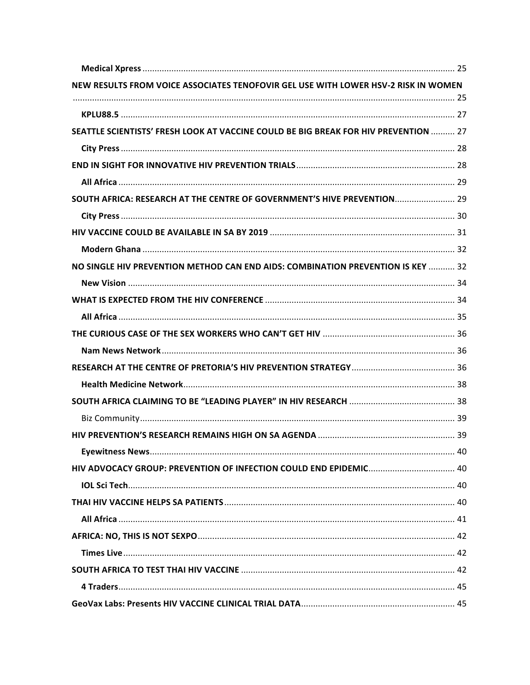| NEW RESULTS FROM VOICE ASSOCIATES TENOFOVIR GEL USE WITH LOWER HSV-2 RISK IN WOMEN  |  |
|-------------------------------------------------------------------------------------|--|
|                                                                                     |  |
|                                                                                     |  |
| SEATTLE SCIENTISTS' FRESH LOOK AT VACCINE COULD BE BIG BREAK FOR HIV PREVENTION  27 |  |
|                                                                                     |  |
|                                                                                     |  |
|                                                                                     |  |
| SOUTH AFRICA: RESEARCH AT THE CENTRE OF GOVERNMENT'S HIVE PREVENTION 29             |  |
|                                                                                     |  |
|                                                                                     |  |
|                                                                                     |  |
| NO SINGLE HIV PREVENTION METHOD CAN END AIDS: COMBINATION PREVENTION IS KEY  32     |  |
|                                                                                     |  |
|                                                                                     |  |
|                                                                                     |  |
|                                                                                     |  |
|                                                                                     |  |
|                                                                                     |  |
|                                                                                     |  |
|                                                                                     |  |
|                                                                                     |  |
|                                                                                     |  |
|                                                                                     |  |
|                                                                                     |  |
|                                                                                     |  |
|                                                                                     |  |
|                                                                                     |  |
|                                                                                     |  |
|                                                                                     |  |
|                                                                                     |  |
|                                                                                     |  |
|                                                                                     |  |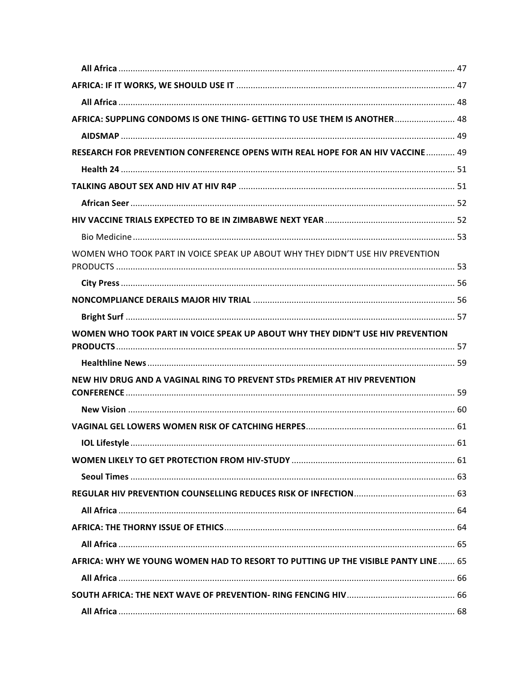| AFRICA: SUPPLING CONDOMS IS ONE THING- GETTING TO USE THEM IS ANOTHER 48         |  |
|----------------------------------------------------------------------------------|--|
|                                                                                  |  |
| RESEARCH FOR PREVENTION CONFERENCE OPENS WITH REAL HOPE FOR AN HIV VACCINE 49    |  |
|                                                                                  |  |
|                                                                                  |  |
|                                                                                  |  |
|                                                                                  |  |
|                                                                                  |  |
| WOMEN WHO TOOK PART IN VOICE SPEAK UP ABOUT WHY THEY DIDN'T USE HIV PREVENTION   |  |
|                                                                                  |  |
|                                                                                  |  |
|                                                                                  |  |
| WOMEN WHO TOOK PART IN VOICE SPEAK UP ABOUT WHY THEY DIDN'T USE HIV PREVENTION   |  |
|                                                                                  |  |
|                                                                                  |  |
| NEW HIV DRUG AND A VAGINAL RING TO PREVENT STDs PREMIER AT HIV PREVENTION        |  |
|                                                                                  |  |
|                                                                                  |  |
|                                                                                  |  |
|                                                                                  |  |
|                                                                                  |  |
|                                                                                  |  |
|                                                                                  |  |
|                                                                                  |  |
|                                                                                  |  |
| AFRICA: WHY WE YOUNG WOMEN HAD TO RESORT TO PUTTING UP THE VISIBLE PANTY LINE 65 |  |
|                                                                                  |  |
|                                                                                  |  |
|                                                                                  |  |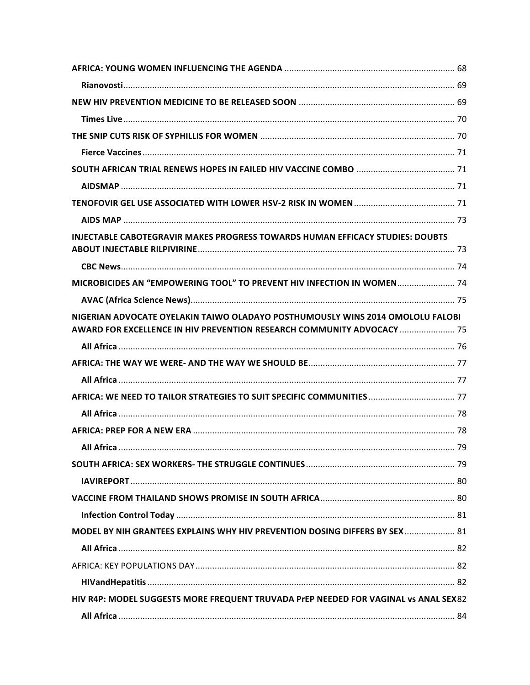| <b>INJECTABLE CABOTEGRAVIR MAKES PROGRESS TOWARDS HUMAN EFFICACY STUDIES: DOUBTS</b>                                                                     |    |
|----------------------------------------------------------------------------------------------------------------------------------------------------------|----|
|                                                                                                                                                          |    |
|                                                                                                                                                          |    |
| MICROBICIDES AN "EMPOWERING TOOL" TO PREVENT HIV INFECTION IN WOMEN 74                                                                                   |    |
|                                                                                                                                                          |    |
| NIGERIAN ADVOCATE OYELAKIN TAIWO OLADAYO POSTHUMOUSLY WINS 2014 OMOLOLU FALOBI<br>AWARD FOR EXCELLENCE IN HIV PREVENTION RESEARCH COMMUNITY ADVOCACY  75 |    |
|                                                                                                                                                          |    |
|                                                                                                                                                          |    |
|                                                                                                                                                          |    |
|                                                                                                                                                          |    |
|                                                                                                                                                          |    |
|                                                                                                                                                          |    |
| ΔII Δfrica                                                                                                                                               | 79 |
|                                                                                                                                                          |    |
|                                                                                                                                                          |    |
|                                                                                                                                                          |    |
|                                                                                                                                                          |    |
| MODEL BY NIH GRANTEES EXPLAINS WHY HIV PREVENTION DOSING DIFFERS BY SEX  81                                                                              |    |
|                                                                                                                                                          |    |
|                                                                                                                                                          |    |
|                                                                                                                                                          |    |
| HIV R4P: MODEL SUGGESTS MORE FREQUENT TRUVADA PrEP NEEDED FOR VAGINAL vs ANAL SEX82                                                                      |    |
|                                                                                                                                                          |    |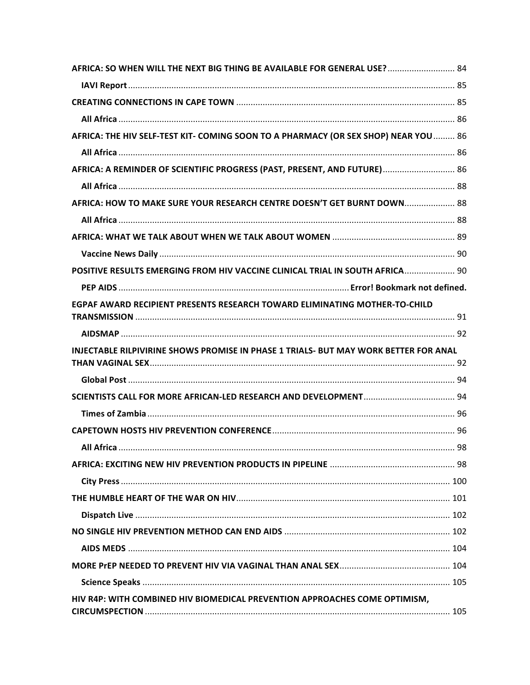| AFRICA: SO WHEN WILL THE NEXT BIG THING BE AVAILABLE FOR GENERAL USE? 84             |  |
|--------------------------------------------------------------------------------------|--|
|                                                                                      |  |
|                                                                                      |  |
|                                                                                      |  |
| AFRICA: THE HIV SELF-TEST KIT- COMING SOON TO A PHARMACY (OR SEX SHOP) NEAR YOU  86  |  |
|                                                                                      |  |
| AFRICA: A REMINDER OF SCIENTIFIC PROGRESS (PAST, PRESENT, AND FUTURE) 86             |  |
|                                                                                      |  |
| AFRICA: HOW TO MAKE SURE YOUR RESEARCH CENTRE DOESN'T GET BURNT DOWN 88              |  |
|                                                                                      |  |
|                                                                                      |  |
|                                                                                      |  |
| POSITIVE RESULTS EMERGING FROM HIV VACCINE CLINICAL TRIAL IN SOUTH AFRICA 90         |  |
|                                                                                      |  |
| EGPAF AWARD RECIPIENT PRESENTS RESEARCH TOWARD ELIMINATING MOTHER-TO-CHILD           |  |
|                                                                                      |  |
|                                                                                      |  |
|                                                                                      |  |
| INJECTABLE RILPIVIRINE SHOWS PROMISE IN PHASE 1 TRIALS- BUT MAY WORK BETTER FOR ANAL |  |
|                                                                                      |  |
|                                                                                      |  |
|                                                                                      |  |
|                                                                                      |  |
| All Africa                                                                           |  |
|                                                                                      |  |
|                                                                                      |  |
|                                                                                      |  |
|                                                                                      |  |
|                                                                                      |  |
|                                                                                      |  |
|                                                                                      |  |
|                                                                                      |  |
| HIV R4P: WITH COMBINED HIV BIOMEDICAL PREVENTION APPROACHES COME OPTIMISM,           |  |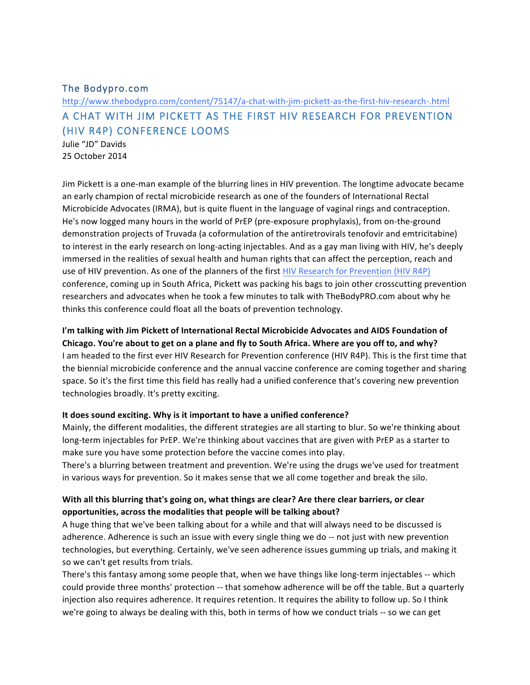## The Bodypro.com

# http://www.thebodypro.com/content/75147/a-chat-with-jim-pickett-as-the-first-hiv-research-.html A CHAT WITH JIM PICKETT AS THE FIRST HIV RESEARCH FOR PREVENTION (HIV R4P) CONFERENCE LOOMS

Julie "JD" Davids 25 October 2014

Jim Pickett is a one-man example of the blurring lines in HIV prevention. The longtime advocate became an early champion of rectal microbicide research as one of the founders of International Rectal Microbicide Advocates (IRMA), but is quite fluent in the language of vaginal rings and contraception. He's now logged many hours in the world of PrEP (pre-exposure prophylaxis), from on-the-ground demonstration projects of Truvada (a coformulation of the antiretrovirals tenofovir and emtricitabine) to interest in the early research on long-acting injectables. And as a gay man living with HIV, he's deeply immersed in the realities of sexual health and human rights that can affect the perception, reach and use of HIV prevention. As one of the planners of the first HIV Research for Prevention (HIV R4P) conference, coming up in South Africa, Pickett was packing his bags to join other crosscutting prevention researchers and advocates when he took a few minutes to talk with TheBodyPRO.com about why he thinks this conference could float all the boats of prevention technology.

## I'm talking with Jim Pickett of International Rectal Microbicide Advocates and AIDS Foundation of

Chicago. You're about to get on a plane and fly to South Africa. Where are you off to, and why? I am headed to the first ever HIV Research for Prevention conference (HIV R4P). This is the first time that the biennial microbicide conference and the annual vaccine conference are coming together and sharing space. So it's the first time this field has really had a unified conference that's covering new prevention technologies broadly. It's pretty exciting.

#### It does sound exciting. Why is it important to have a unified conference?

Mainly, the different modalities, the different strategies are all starting to blur. So we're thinking about long-term injectables for PrEP. We're thinking about vaccines that are given with PrEP as a starter to make sure you have some protection before the vaccine comes into play.

There's a blurring between treatment and prevention. We're using the drugs we've used for treatment in various ways for prevention. So it makes sense that we all come together and break the silo.

## With all this blurring that's going on, what things are clear? Are there clear barriers, or clear **opportunities, across the modalities that people will be talking about?**

A huge thing that we've been talking about for a while and that will always need to be discussed is adherence. Adherence is such an issue with every single thing we do -- not just with new prevention technologies, but everything. Certainly, we've seen adherence issues gumming up trials, and making it so we can't get results from trials.

There's this fantasy among some people that, when we have things like long-term injectables -- which could provide three months' protection -- that somehow adherence will be off the table. But a quarterly injection also requires adherence. It requires retention. It requires the ability to follow up. So I think we're going to always be dealing with this, both in terms of how we conduct trials -- so we can get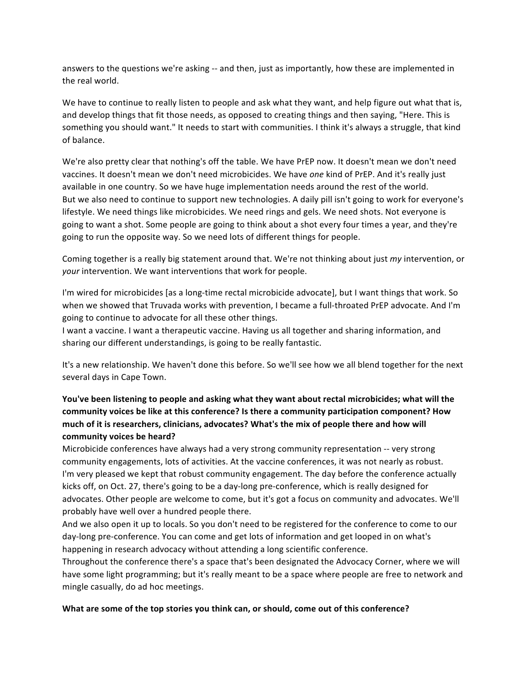answers to the questions we're asking -- and then, just as importantly, how these are implemented in the real world.

We have to continue to really listen to people and ask what they want, and help figure out what that is, and develop things that fit those needs, as opposed to creating things and then saying, "Here. This is something you should want." It needs to start with communities. I think it's always a struggle, that kind of balance.

We're also pretty clear that nothing's off the table. We have PrEP now. It doesn't mean we don't need vaccines. It doesn't mean we don't need microbicides. We have one kind of PrEP. And it's really just available in one country. So we have huge implementation needs around the rest of the world. But we also need to continue to support new technologies. A daily pill isn't going to work for everyone's lifestyle. We need things like microbicides. We need rings and gels. We need shots. Not everyone is going to want a shot. Some people are going to think about a shot every four times a year, and they're going to run the opposite way. So we need lots of different things for people.

Coming together is a really big statement around that. We're not thinking about just *my* intervention, or *your* intervention. We want interventions that work for people.

I'm wired for microbicides [as a long-time rectal microbicide advocate], but I want things that work. So when we showed that Truvada works with prevention, I became a full-throated PrEP advocate. And I'm going to continue to advocate for all these other things.

I want a vaccine. I want a therapeutic vaccine. Having us all together and sharing information, and sharing our different understandings, is going to be really fantastic.

It's a new relationship. We haven't done this before. So we'll see how we all blend together for the next several days in Cape Town.

# You've been listening to people and asking what they want about rectal microbicides; what will the community voices be like at this conference? Is there a community participation component? How much of it is researchers, clinicians, advocates? What's the mix of people there and how will **community voices be heard?**

Microbicide conferences have always had a very strong community representation -- very strong community engagements, lots of activities. At the vaccine conferences, it was not nearly as robust. I'm very pleased we kept that robust community engagement. The day before the conference actually kicks off, on Oct. 27, there's going to be a day-long pre-conference, which is really designed for advocates. Other people are welcome to come, but it's got a focus on community and advocates. We'll probably have well over a hundred people there.

And we also open it up to locals. So you don't need to be registered for the conference to come to our day-long pre-conference. You can come and get lots of information and get looped in on what's happening in research advocacy without attending a long scientific conference.

Throughout the conference there's a space that's been designated the Advocacy Corner, where we will have some light programming; but it's really meant to be a space where people are free to network and mingle casually, do ad hoc meetings.

#### What are some of the top stories you think can, or should, come out of this conference?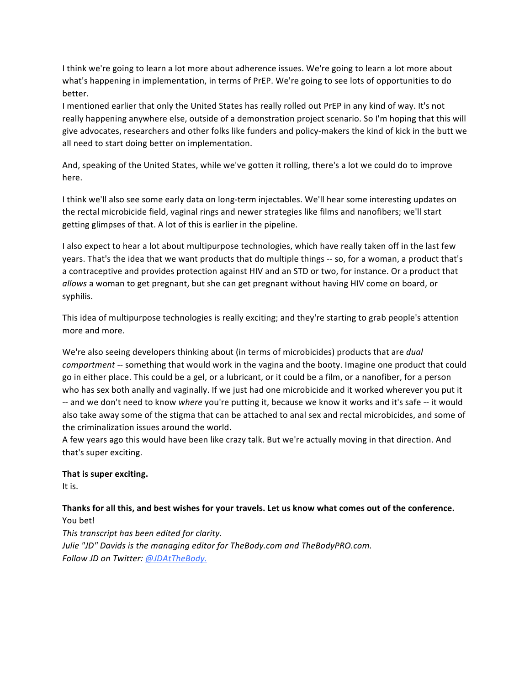I think we're going to learn a lot more about adherence issues. We're going to learn a lot more about what's happening in implementation, in terms of PrEP. We're going to see lots of opportunities to do better.

I mentioned earlier that only the United States has really rolled out PrEP in any kind of way. It's not really happening anywhere else, outside of a demonstration project scenario. So I'm hoping that this will give advocates, researchers and other folks like funders and policy-makers the kind of kick in the butt we all need to start doing better on implementation.

And, speaking of the United States, while we've gotten it rolling, there's a lot we could do to improve here.

I think we'll also see some early data on long-term injectables. We'll hear some interesting updates on the rectal microbicide field, vaginal rings and newer strategies like films and nanofibers; we'll start getting glimpses of that. A lot of this is earlier in the pipeline.

I also expect to hear a lot about multipurpose technologies, which have really taken off in the last few years. That's the idea that we want products that do multiple things -- so, for a woman, a product that's a contraceptive and provides protection against HIV and an STD or two, for instance. Or a product that *allows* a woman to get pregnant, but she can get pregnant without having HIV come on board, or syphilis.

This idea of multipurpose technologies is really exciting; and they're starting to grab people's attention more and more.

We're also seeing developers thinking about (in terms of microbicides) products that are *dual compartment* -- something that would work in the vagina and the booty. Imagine one product that could go in either place. This could be a gel, or a lubricant, or it could be a film, or a nanofiber, for a person who has sex both anally and vaginally. If we just had one microbicide and it worked wherever you put it -- and we don't need to know *where* you're putting it, because we know it works and it's safe -- it would also take away some of the stigma that can be attached to anal sex and rectal microbicides, and some of the criminalization issues around the world.

A few years ago this would have been like crazy talk. But we're actually moving in that direction. And that's super exciting.

#### That is super exciting.

It is.

#### Thanks for all this, and best wishes for your travels. Let us know what comes out of the conference. You bet!

This transcript has been edited for clarity. *Julie* "JD" Davids is the managing editor for TheBody.com and TheBodyPRO.com. *Follow JD on Twitter: @JDAtTheBody.*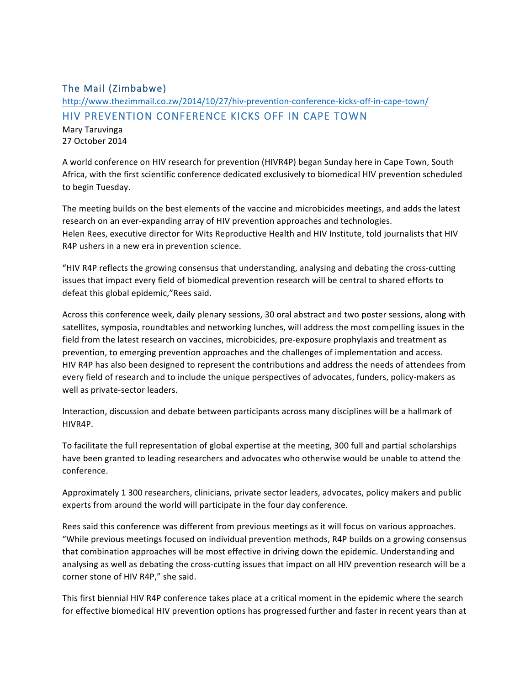# The Mail (Zimbabwe)

# http://www.thezimmail.co.zw/2014/10/27/hiv-prevention-conference-kicks-off-in-cape-town/ HIV PREVENTION CONFERENCE KICKS OFF IN CAPE TOWN

Mary Taruvinga 27 October 2014

A world conference on HIV research for prevention (HIVR4P) began Sunday here in Cape Town, South Africa, with the first scientific conference dedicated exclusively to biomedical HIV prevention scheduled to begin Tuesday.

The meeting builds on the best elements of the vaccine and microbicides meetings, and adds the latest research on an ever-expanding array of HIV prevention approaches and technologies. Helen Rees, executive director for Wits Reproductive Health and HIV Institute, told journalists that HIV R4P ushers in a new era in prevention science.

"HIV R4P reflects the growing consensus that understanding, analysing and debating the cross-cutting issues that impact every field of biomedical prevention research will be central to shared efforts to defeat this global epidemic,"Rees said.

Across this conference week, daily plenary sessions, 30 oral abstract and two poster sessions, along with satellites, symposia, roundtables and networking lunches, will address the most compelling issues in the field from the latest research on vaccines, microbicides, pre-exposure prophylaxis and treatment as prevention, to emerging prevention approaches and the challenges of implementation and access. HIV R4P has also been designed to represent the contributions and address the needs of attendees from every field of research and to include the unique perspectives of advocates, funders, policy-makers as well as private-sector leaders.

Interaction, discussion and debate between participants across many disciplines will be a hallmark of HIVR4P.

To facilitate the full representation of global expertise at the meeting, 300 full and partial scholarships have been granted to leading researchers and advocates who otherwise would be unable to attend the conference.

Approximately 1 300 researchers, clinicians, private sector leaders, advocates, policy makers and public experts from around the world will participate in the four day conference.

Rees said this conference was different from previous meetings as it will focus on various approaches. "While previous meetings focused on individual prevention methods, R4P builds on a growing consensus that combination approaches will be most effective in driving down the epidemic. Understanding and analysing as well as debating the cross-cutting issues that impact on all HIV prevention research will be a corner stone of HIV R4P," she said.

This first biennial HIV R4P conference takes place at a critical moment in the epidemic where the search for effective biomedical HIV prevention options has progressed further and faster in recent years than at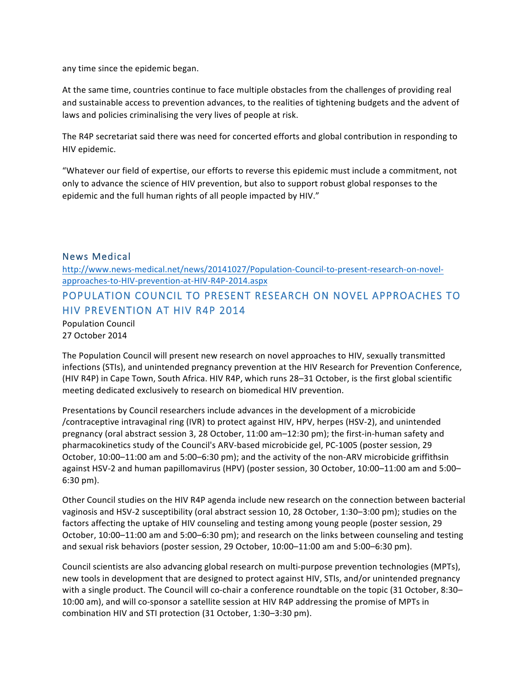any time since the epidemic began.

At the same time, countries continue to face multiple obstacles from the challenges of providing real and sustainable access to prevention advances, to the realities of tightening budgets and the advent of laws and policies criminalising the very lives of people at risk.

The R4P secretariat said there was need for concerted efforts and global contribution in responding to HIV epidemic.

"Whatever our field of expertise, our efforts to reverse this epidemic must include a commitment, not only to advance the science of HIV prevention, but also to support robust global responses to the epidemic and the full human rights of all people impacted by HIV."

## News Medical

http://www.news-medical.net/news/20141027/Population-Council-to-present-research-on-novelapproaches-to-HIV-prevention-at-HIV-R4P-2014.aspx POPULATION COUNCIL TO PRESENT RESEARCH ON NOVEL APPROACHES TO HIV PREVENTION AT HIV R4P 2014 Population Council 27 October 2014

The Population Council will present new research on novel approaches to HIV, sexually transmitted infections (STIs), and unintended pregnancy prevention at the HIV Research for Prevention Conference, (HIV R4P) in Cape Town, South Africa. HIV R4P, which runs 28-31 October, is the first global scientific meeting dedicated exclusively to research on biomedical HIV prevention.

Presentations by Council researchers include advances in the development of a microbicide /contraceptive intravaginal ring (IVR) to protect against HIV, HPV, herpes (HSV-2), and unintended pregnancy (oral abstract session 3, 28 October, 11:00 am–12:30 pm); the first-in-human safety and pharmacokinetics study of the Council's ARV-based microbicide gel, PC-1005 (poster session, 29 October, 10:00-11:00 am and 5:00-6:30 pm); and the activity of the non-ARV microbicide griffithsin against HSV-2 and human papillomavirus (HPV) (poster session, 30 October, 10:00–11:00 am and 5:00– 6:30 pm).

Other Council studies on the HIV R4P agenda include new research on the connection between bacterial vaginosis and HSV-2 susceptibility (oral abstract session 10, 28 October, 1:30–3:00 pm); studies on the factors affecting the uptake of HIV counseling and testing among young people (poster session, 29 October, 10:00–11:00 am and 5:00–6:30 pm); and research on the links between counseling and testing and sexual risk behaviors (poster session, 29 October, 10:00-11:00 am and 5:00-6:30 pm).

Council scientists are also advancing global research on multi-purpose prevention technologies (MPTs), new tools in development that are designed to protect against HIV, STIs, and/or unintended pregnancy with a single product. The Council will co-chair a conference roundtable on the topic (31 October, 8:30-10:00 am), and will co-sponsor a satellite session at HIV R4P addressing the promise of MPTs in combination HIV and STI protection (31 October, 1:30-3:30 pm).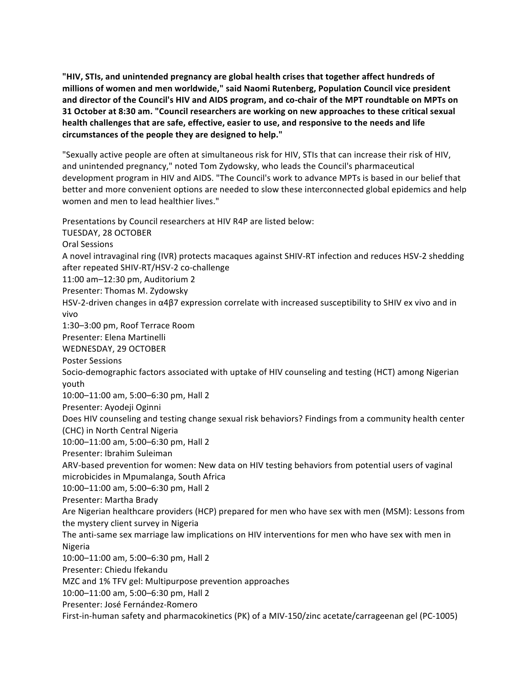"HIV, STIs, and unintended pregnancy are global health crises that together affect hundreds of millions of women and men worldwide," said Naomi Rutenberg, Population Council vice president and director of the Council's HIV and AIDS program, and co-chair of the MPT roundtable on MPTs on **31 October at 8:30 am. "Council researchers are working on new approaches to these critical sexual** health challenges that are safe, effective, easier to use, and responsive to the needs and life **circumstances of the people they are designed to help."**

"Sexually active people are often at simultaneous risk for HIV, STIs that can increase their risk of HIV, and unintended pregnancy," noted Tom Zydowsky, who leads the Council's pharmaceutical development program in HIV and AIDS. "The Council's work to advance MPTs is based in our belief that better and more convenient options are needed to slow these interconnected global epidemics and help women and men to lead healthier lives."

Presentations by Council researchers at HIV R4P are listed below: TUESDAY, 28 OCTOBER Oral Sessions A novel intravaginal ring (IVR) protects macaques against SHIV-RT infection and reduces HSV-2 shedding after repeated SHIV-RT/HSV-2 co-challenge 11:00 am-12:30 pm, Auditorium 2 Presenter: Thomas M. Zydowsky HSV-2-driven changes in  $\alpha$ 4 $\beta$ 7 expression correlate with increased susceptibility to SHIV ex vivo and in vivo 1:30-3:00 pm, Roof Terrace Room Presenter: Elena Martinelli WEDNESDAY, 29 OCTOBER Poster Sessions Socio-demographic factors associated with uptake of HIV counseling and testing (HCT) among Nigerian youth 10:00-11:00 am, 5:00-6:30 pm, Hall 2 Presenter: Ayodeji Oginni Does HIV counseling and testing change sexual risk behaviors? Findings from a community health center (CHC) in North Central Nigeria 10:00-11:00 am, 5:00-6:30 pm, Hall 2 Presenter: Ibrahim Suleiman ARV-based prevention for women: New data on HIV testing behaviors from potential users of vaginal microbicides in Mpumalanga, South Africa 10:00-11:00 am, 5:00-6:30 pm, Hall 2 Presenter: Martha Brady Are Nigerian healthcare providers (HCP) prepared for men who have sex with men (MSM): Lessons from the mystery client survey in Nigeria The anti-same sex marriage law implications on HIV interventions for men who have sex with men in Nigeria 10:00-11:00 am, 5:00-6:30 pm, Hall 2 Presenter: Chiedu Ifekandu MZC and 1% TFV gel: Multipurpose prevention approaches 10:00-11:00 am, 5:00-6:30 pm, Hall 2 Presenter: José Fernández-Romero First-in-human safety and pharmacokinetics (PK) of a MIV-150/zinc acetate/carrageenan gel (PC-1005)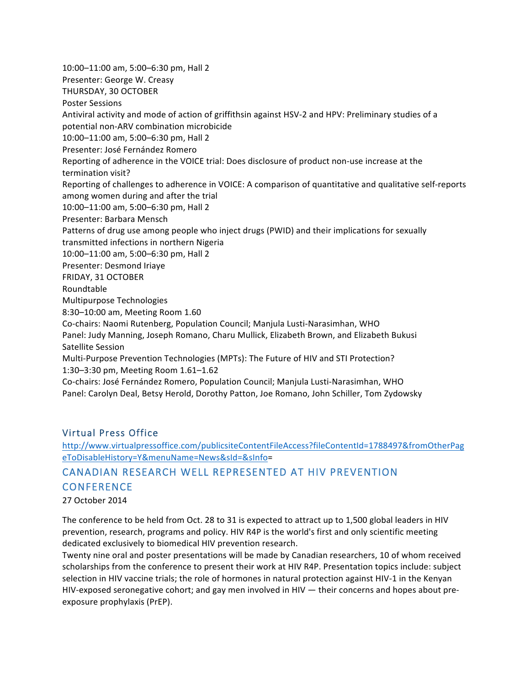10:00-11:00 am, 5:00-6:30 pm, Hall 2 Presenter: George W. Creasy THURSDAY, 30 OCTOBER Poster Sessions Antiviral activity and mode of action of griffithsin against HSV-2 and HPV: Preliminary studies of a potential non-ARV combination microbicide 10:00-11:00 am, 5:00-6:30 pm, Hall 2 Presenter: José Fernández Romero Reporting of adherence in the VOICE trial: Does disclosure of product non-use increase at the termination visit? Reporting of challenges to adherence in VOICE: A comparison of quantitative and qualitative self-reports among women during and after the trial 10:00-11:00 am, 5:00-6:30 pm, Hall 2 Presenter: Barbara Mensch Patterns of drug use among people who inject drugs (PWID) and their implications for sexually transmitted infections in northern Nigeria 10:00-11:00 am, 5:00-6:30 pm, Hall 2 Presenter: Desmond Iriaye FRIDAY, 31 OCTOBER Roundtable Multipurpose Technologies 8:30-10:00 am, Meeting Room 1.60 Co-chairs: Naomi Rutenberg, Population Council; Manjula Lusti-Narasimhan, WHO Panel: Judy Manning, Joseph Romano, Charu Mullick, Elizabeth Brown, and Elizabeth Bukusi Satellite Session Multi-Purpose Prevention Technologies (MPTs): The Future of HIV and STI Protection? 1:30–3:30 pm, Meeting Room 1.61–1.62 Co-chairs: José Fernández Romero, Population Council; Manjula Lusti-Narasimhan, WHO Panel: Carolyn Deal, Betsy Herold, Dorothy Patton, Joe Romano, John Schiller, Tom Zydowsky

# Virtual Press Office

http://www.virtualpressoffice.com/publicsiteContentFileAccess?fileContentId=1788497&fromOtherPag eToDisableHistory=Y&menuName=News&sId=&sInfo=

# CANADIAN RESEARCH WELL REPRESENTED AT HIV PREVENTION **CONFERENCE**

27 October 2014

The conference to be held from Oct. 28 to 31 is expected to attract up to 1,500 global leaders in HIV prevention, research, programs and policy. HIV R4P is the world's first and only scientific meeting dedicated exclusively to biomedical HIV prevention research.

Twenty nine oral and poster presentations will be made by Canadian researchers, 10 of whom received scholarships from the conference to present their work at HIV R4P. Presentation topics include: subject selection in HIV vaccine trials; the role of hormones in natural protection against HIV-1 in the Kenyan HIV-exposed seronegative cohort; and gay men involved in HIV  $-$  their concerns and hopes about preexposure prophylaxis (PrEP).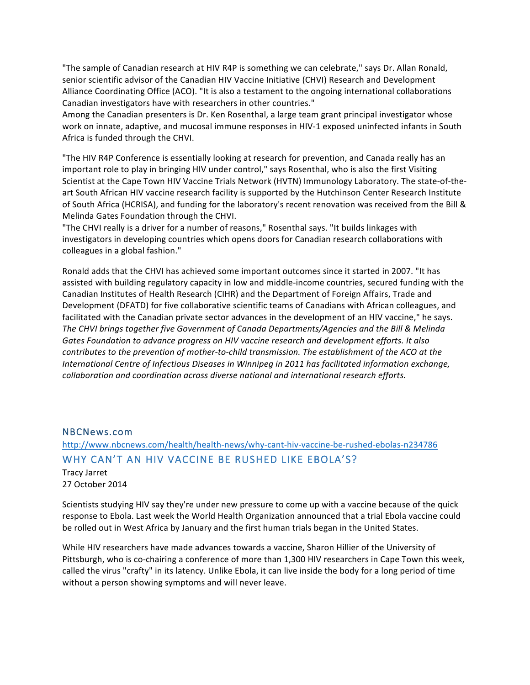"The sample of Canadian research at HIV R4P is something we can celebrate," says Dr. Allan Ronald, senior scientific advisor of the Canadian HIV Vaccine Initiative (CHVI) Research and Development Alliance Coordinating Office (ACO). "It is also a testament to the ongoing international collaborations Canadian investigators have with researchers in other countries."

Among the Canadian presenters is Dr. Ken Rosenthal, a large team grant principal investigator whose work on innate, adaptive, and mucosal immune responses in HIV-1 exposed uninfected infants in South Africa is funded through the CHVI.

"The HIV R4P Conference is essentially looking at research for prevention, and Canada really has an important role to play in bringing HIV under control," says Rosenthal, who is also the first Visiting Scientist at the Cape Town HIV Vaccine Trials Network (HVTN) Immunology Laboratory. The state-of-theart South African HIV vaccine research facility is supported by the Hutchinson Center Research Institute of South Africa (HCRISA), and funding for the laboratory's recent renovation was received from the Bill & Melinda Gates Foundation through the CHVI.

"The CHVI really is a driver for a number of reasons," Rosenthal says. "It builds linkages with investigators in developing countries which opens doors for Canadian research collaborations with colleagues in a global fashion."

Ronald adds that the CHVI has achieved some important outcomes since it started in 2007. "It has assisted with building regulatory capacity in low and middle-income countries, secured funding with the Canadian Institutes of Health Research (CIHR) and the Department of Foreign Affairs, Trade and Development (DFATD) for five collaborative scientific teams of Canadians with African colleagues, and facilitated with the Canadian private sector advances in the development of an HIV vaccine," he says. The CHVI brings together five Government of Canada Departments/Agencies and the Bill & Melinda Gates Foundation to advance progress on HIV vaccine research and development efforts. It also *contributes to the prevention of mother-to-child transmission. The establishment of the ACO at the International Centre of Infectious Diseases in Winnipeg in 2011 has facilitated information exchange,* collaboration and coordination across diverse national and international research efforts.

#### NBCNews.com

# http://www.nbcnews.com/health/health-news/why-cant-hiv-vaccine-be-rushed-ebolas-n234786 WHY CAN'T AN HIV VACCINE BE RUSHED LIKE EBOLA'S?

Tracy Jarret 27 October 2014

Scientists studying HIV say they're under new pressure to come up with a vaccine because of the quick response to Ebola. Last week the World Health Organization announced that a trial Ebola vaccine could be rolled out in West Africa by January and the first human trials began in the United States.

While HIV researchers have made advances towards a vaccine, Sharon Hillier of the University of Pittsburgh, who is co-chairing a conference of more than 1,300 HIV researchers in Cape Town this week, called the virus "crafty" in its latency. Unlike Ebola, it can live inside the body for a long period of time without a person showing symptoms and will never leave.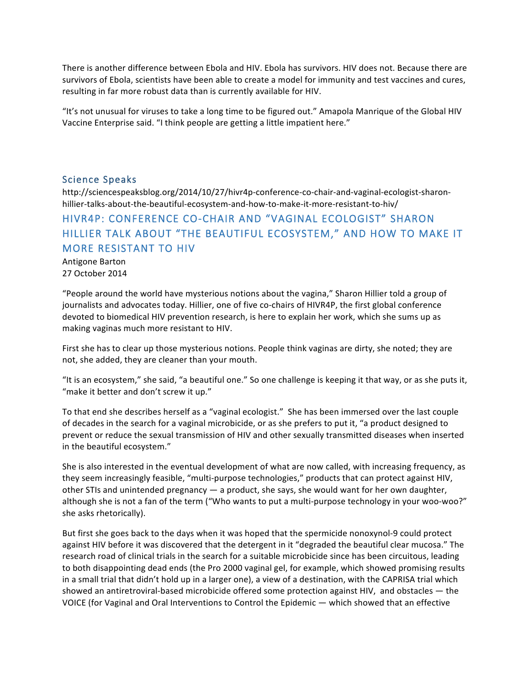There is another difference between Ebola and HIV. Ebola has survivors. HIV does not. Because there are survivors of Ebola, scientists have been able to create a model for immunity and test vaccines and cures, resulting in far more robust data than is currently available for HIV.

"It's not unusual for viruses to take a long time to be figured out." Amapola Manrique of the Global HIV Vaccine Enterprise said. "I think people are getting a little impatient here."

### Science Speaks

http://sciencespeaksblog.org/2014/10/27/hivr4p-conference-co-chair-and-vaginal-ecologist-sharonhillier-talks-about-the-beautiful-ecosystem-and-how-to-make-it-more-resistant-to-hiv/

# HIVR4P: CONFERENCE CO-CHAIR AND "VAGINAL ECOLOGIST" SHARON HILLIER TALK ABOUT "THE BEAUTIFUL ECOSYSTEM," AND HOW TO MAKE IT MORE RESISTANT TO HIV

Antigone Barton 27 October 2014

"People around the world have mysterious notions about the vagina," Sharon Hillier told a group of journalists and advocates today. Hillier, one of five co-chairs of HIVR4P, the first global conference devoted to biomedical HIV prevention research, is here to explain her work, which she sums up as making vaginas much more resistant to HIV.

First she has to clear up those mysterious notions. People think vaginas are dirty, she noted; they are not, she added, they are cleaner than your mouth.

"It is an ecosystem," she said, "a beautiful one." So one challenge is keeping it that way, or as she puts it, "make it better and don't screw it up."

To that end she describes herself as a "vaginal ecologist." She has been immersed over the last couple of decades in the search for a vaginal microbicide, or as she prefers to put it, "a product designed to prevent or reduce the sexual transmission of HIV and other sexually transmitted diseases when inserted in the beautiful ecosystem."

She is also interested in the eventual development of what are now called, with increasing frequency, as they seem increasingly feasible, "multi-purpose technologies," products that can protect against HIV, other STIs and unintended pregnancy  $-$  a product, she says, she would want for her own daughter, although she is not a fan of the term ("Who wants to put a multi-purpose technology in your woo-woo?" she asks rhetorically).

But first she goes back to the days when it was hoped that the spermicide nonoxynol-9 could protect against HIV before it was discovered that the detergent in it "degraded the beautiful clear mucosa." The research road of clinical trials in the search for a suitable microbicide since has been circuitous, leading to both disappointing dead ends (the Pro 2000 vaginal gel, for example, which showed promising results in a small trial that didn't hold up in a larger one), a view of a destination, with the CAPRISA trial which showed an antiretroviral-based microbicide offered some protection against HIV, and obstacles  $-$  the VOICE (for Vaginal and Oral Interventions to Control the Epidemic — which showed that an effective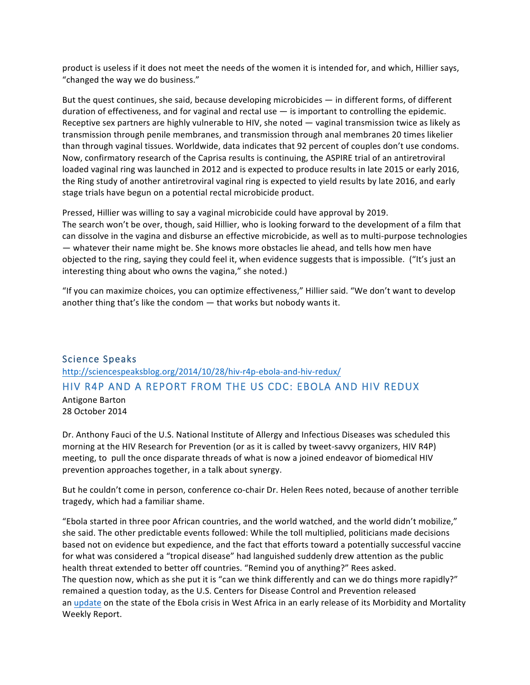product is useless if it does not meet the needs of the women it is intended for, and which, Hillier says, "changed the way we do business."

But the quest continues, she said, because developing microbicides — in different forms, of different duration of effectiveness, and for vaginal and rectal use  $-$  is important to controlling the epidemic. Receptive sex partners are highly vulnerable to HIV, she noted  $-$  vaginal transmission twice as likely as transmission through penile membranes, and transmission through anal membranes 20 times likelier than through vaginal tissues. Worldwide, data indicates that 92 percent of couples don't use condoms. Now, confirmatory research of the Caprisa results is continuing, the ASPIRE trial of an antiretroviral loaded vaginal ring was launched in 2012 and is expected to produce results in late 2015 or early 2016, the Ring study of another antiretroviral vaginal ring is expected to yield results by late 2016, and early stage trials have begun on a potential rectal microbicide product.

Pressed, Hillier was willing to say a vaginal microbicide could have approval by 2019. The search won't be over, though, said Hillier, who is looking forward to the development of a film that can dissolve in the vagina and disburse an effective microbicide, as well as to multi-purpose technologies — whatever their name might be. She knows more obstacles lie ahead, and tells how men have objected to the ring, saying they could feel it, when evidence suggests that is impossible. ("It's just an interesting thing about who owns the vagina," she noted.)

"If you can maximize choices, you can optimize effectiveness," Hillier said. "We don't want to develop another thing that's like the condom  $-$  that works but nobody wants it.

# Science Speaks http://sciencespeaksblog.org/2014/10/28/hiv-r4p-ebola-and-hiv-redux/ HIV R4P AND A REPORT FROM THE US CDC: EBOLA AND HIV REDUX Antigone Barton 28 October 2014

Dr. Anthony Fauci of the U.S. National Institute of Allergy and Infectious Diseases was scheduled this morning at the HIV Research for Prevention (or as it is called by tweet-savvy organizers, HIV R4P) meeting, to pull the once disparate threads of what is now a joined endeavor of biomedical HIV prevention approaches together, in a talk about synergy.

But he couldn't come in person, conference co-chair Dr. Helen Rees noted, because of another terrible tragedy, which had a familiar shame.

"Ebola started in three poor African countries, and the world watched, and the world didn't mobilize," she said. The other predictable events followed: While the toll multiplied, politicians made decisions based not on evidence but expedience, and the fact that efforts toward a potentially successful vaccine for what was considered a "tropical disease" had languished suddenly drew attention as the public health threat extended to better off countries. "Remind you of anything?" Rees asked. The question now, which as she put it is "can we think differently and can we do things more rapidly?" remained a question today, as the U.S. Centers for Disease Control and Prevention released an update on the state of the Ebola crisis in West Africa in an early release of its Morbidity and Mortality Weekly Report.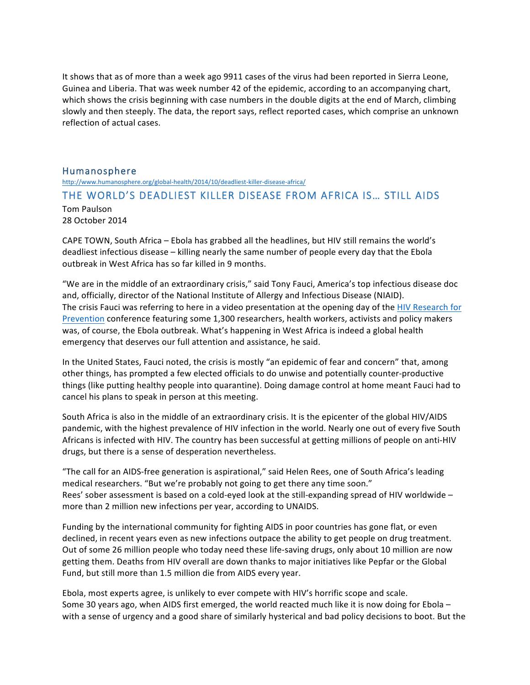It shows that as of more than a week ago 9911 cases of the virus had been reported in Sierra Leone, Guinea and Liberia. That was week number 42 of the epidemic, according to an accompanying chart, which shows the crisis beginning with case numbers in the double digits at the end of March, climbing slowly and then steeply. The data, the report says, reflect reported cases, which comprise an unknown reflection of actual cases.

#### Humanosphere

http://www.humanosphere.org/global-health/2014/10/deadliest-killer-disease-africa/

## THE WORLD'S DEADLIEST KILLER DISEASE FROM AFRICA IS… STILL AIDS

Tom Paulson 28 October 2014

CAPE TOWN, South Africa - Ebola has grabbed all the headlines, but HIV still remains the world's deadliest infectious disease – killing nearly the same number of people every day that the Ebola outbreak in West Africa has so far killed in 9 months.

"We are in the middle of an extraordinary crisis," said Tony Fauci, America's top infectious disease doc and, officially, director of the National Institute of Allergy and Infectious Disease (NIAID). The crisis Fauci was referring to here in a video presentation at the opening day of the HIV Research for Prevention conference featuring some 1,300 researchers, health workers, activists and policy makers was, of course, the Ebola outbreak. What's happening in West Africa is indeed a global health emergency that deserves our full attention and assistance, he said.

In the United States, Fauci noted, the crisis is mostly "an epidemic of fear and concern" that, among other things, has prompted a few elected officials to do unwise and potentially counter-productive things (like putting healthy people into quarantine). Doing damage control at home meant Fauci had to cancel his plans to speak in person at this meeting.

South Africa is also in the middle of an extraordinary crisis. It is the epicenter of the global HIV/AIDS pandemic, with the highest prevalence of HIV infection in the world. Nearly one out of every five South Africans is infected with HIV. The country has been successful at getting millions of people on anti-HIV drugs, but there is a sense of desperation nevertheless.

"The call for an AIDS-free generation is aspirational," said Helen Rees, one of South Africa's leading medical researchers. "But we're probably not going to get there any time soon." Rees' sober assessment is based on a cold-eyed look at the still-expanding spread of HIV worldwide  $$ more than 2 million new infections per year, according to UNAIDS.

Funding by the international community for fighting AIDS in poor countries has gone flat, or even declined, in recent years even as new infections outpace the ability to get people on drug treatment. Out of some 26 million people who today need these life-saving drugs, only about 10 million are now getting them. Deaths from HIV overall are down thanks to major initiatives like Pepfar or the Global Fund, but still more than 1.5 million die from AIDS every year.

Ebola, most experts agree, is unlikely to ever compete with HIV's horrific scope and scale. Some 30 years ago, when AIDS first emerged, the world reacted much like it is now doing for Ebola – with a sense of urgency and a good share of similarly hysterical and bad policy decisions to boot. But the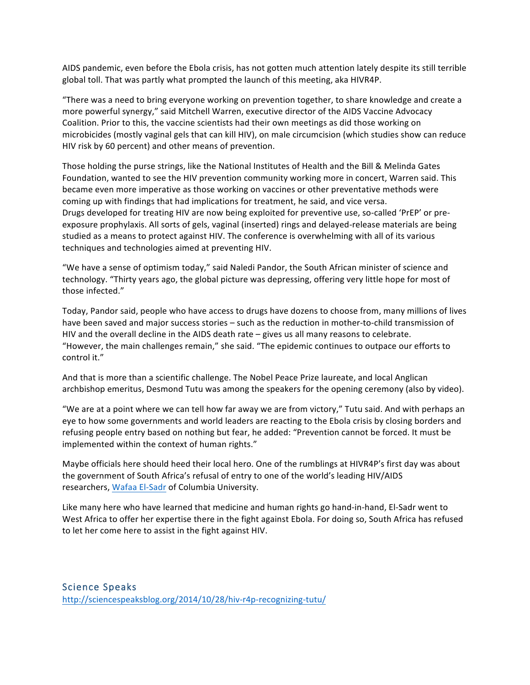AIDS pandemic, even before the Ebola crisis, has not gotten much attention lately despite its still terrible global toll. That was partly what prompted the launch of this meeting, aka HIVR4P.

"There was a need to bring everyone working on prevention together, to share knowledge and create a more powerful synergy," said Mitchell Warren, executive director of the AIDS Vaccine Advocacy Coalition. Prior to this, the vaccine scientists had their own meetings as did those working on microbicides (mostly vaginal gels that can kill HIV), on male circumcision (which studies show can reduce HIV risk by 60 percent) and other means of prevention.

Those holding the purse strings, like the National Institutes of Health and the Bill & Melinda Gates Foundation, wanted to see the HIV prevention community working more in concert, Warren said. This became even more imperative as those working on vaccines or other preventative methods were coming up with findings that had implications for treatment, he said, and vice versa. Drugs developed for treating HIV are now being exploited for preventive use, so-called 'PrEP' or preexposure prophylaxis. All sorts of gels, vaginal (inserted) rings and delayed-release materials are being studied as a means to protect against HIV. The conference is overwhelming with all of its various techniques and technologies aimed at preventing HIV.

"We have a sense of optimism today," said Naledi Pandor, the South African minister of science and technology. "Thirty years ago, the global picture was depressing, offering very little hope for most of those infected."

Today, Pandor said, people who have access to drugs have dozens to choose from, many millions of lives have been saved and major success stories - such as the reduction in mother-to-child transmission of HIV and the overall decline in the AIDS death rate  $-$  gives us all many reasons to celebrate. "However, the main challenges remain," she said. "The epidemic continues to outpace our efforts to control it."

And that is more than a scientific challenge. The Nobel Peace Prize laureate, and local Anglican archbishop emeritus, Desmond Tutu was among the speakers for the opening ceremony (also by video).

"We are at a point where we can tell how far away we are from victory," Tutu said. And with perhaps an eye to how some governments and world leaders are reacting to the Ebola crisis by closing borders and refusing people entry based on nothing but fear, he added: "Prevention cannot be forced. It must be implemented within the context of human rights."

Maybe officials here should heed their local hero. One of the rumblings at HIVR4P's first day was about the government of South Africa's refusal of entry to one of the world's leading HIV/AIDS researchers, Wafaa El-Sadr of Columbia University.

Like many here who have learned that medicine and human rights go hand-in-hand, El-Sadr went to West Africa to offer her expertise there in the fight against Ebola. For doing so, South Africa has refused to let her come here to assist in the fight against HIV.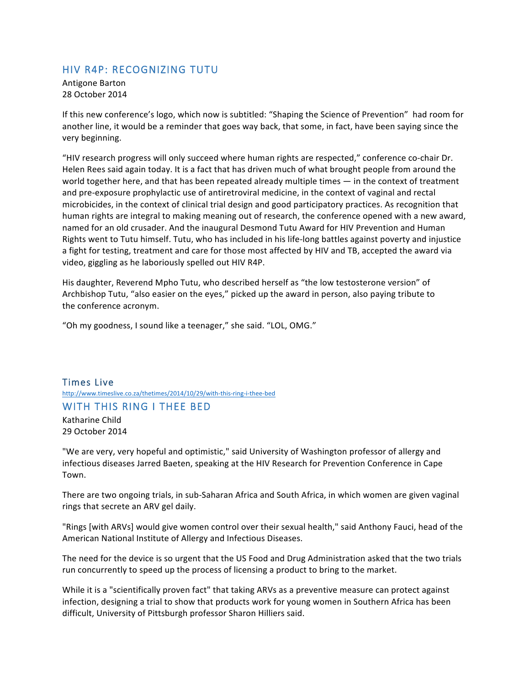# HIV R4P: RECOGNIZING TUTU

Antigone Barton 28 October 2014

If this new conference's logo, which now is subtitled: "Shaping the Science of Prevention" had room for another line, it would be a reminder that goes way back, that some, in fact, have been saying since the very beginning.

"HIV research progress will only succeed where human rights are respected," conference co-chair Dr. Helen Rees said again today. It is a fact that has driven much of what brought people from around the world together here, and that has been repeated already multiple times — in the context of treatment and pre-exposure prophylactic use of antiretroviral medicine, in the context of vaginal and rectal microbicides, in the context of clinical trial design and good participatory practices. As recognition that human rights are integral to making meaning out of research, the conference opened with a new award, named for an old crusader. And the inaugural Desmond Tutu Award for HIV Prevention and Human Rights went to Tutu himself. Tutu, who has included in his life-long battles against poverty and injustice a fight for testing, treatment and care for those most affected by HIV and TB, accepted the award via video, giggling as he laboriously spelled out HIV R4P.

His daughter, Reverend Mpho Tutu, who described herself as "the low testosterone version" of Archbishop Tutu, "also easier on the eyes," picked up the award in person, also paying tribute to the conference acronym.

"Oh my goodness, I sound like a teenager," she said. "LOL, OMG."

Times Live http://www.timeslive.co.za/thetimes/2014/10/29/with-this-ring-i-thee-bed

### WITH THIS RING I THEE BED

Katharine Child 29 October 2014

"We are very, very hopeful and optimistic," said University of Washington professor of allergy and infectious diseases Jarred Baeten, speaking at the HIV Research for Prevention Conference in Cape Town.

There are two ongoing trials, in sub-Saharan Africa and South Africa, in which women are given vaginal rings that secrete an ARV gel daily.

"Rings [with ARVs] would give women control over their sexual health," said Anthony Fauci, head of the American National Institute of Allergy and Infectious Diseases.

The need for the device is so urgent that the US Food and Drug Administration asked that the two trials run concurrently to speed up the process of licensing a product to bring to the market.

While it is a "scientifically proven fact" that taking ARVs as a preventive measure can protect against infection, designing a trial to show that products work for young women in Southern Africa has been difficult, University of Pittsburgh professor Sharon Hilliers said.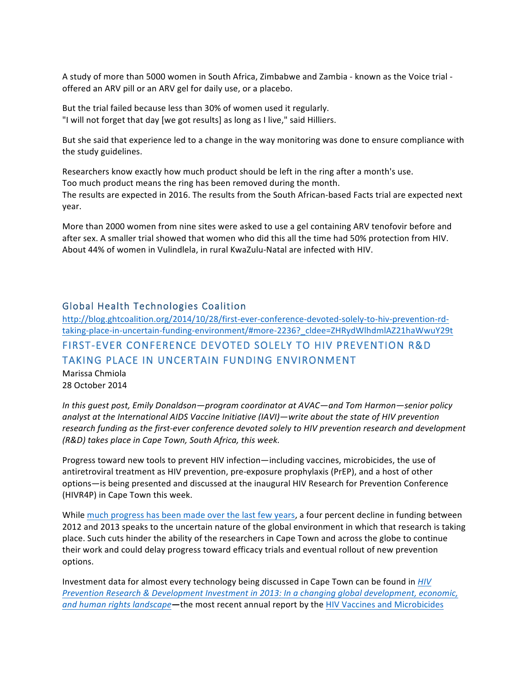A study of more than 5000 women in South Africa, Zimbabwe and Zambia - known as the Voice trial offered an ARV pill or an ARV gel for daily use, or a placebo.

But the trial failed because less than 30% of women used it regularly. "I will not forget that day [we got results] as long as I live," said Hilliers.

But she said that experience led to a change in the way monitoring was done to ensure compliance with the study guidelines.

Researchers know exactly how much product should be left in the ring after a month's use. Too much product means the ring has been removed during the month. The results are expected in 2016. The results from the South African-based Facts trial are expected next year.

More than 2000 women from nine sites were asked to use a gel containing ARV tenofovir before and after sex. A smaller trial showed that women who did this all the time had 50% protection from HIV. About 44% of women in Vulindlela, in rural KwaZulu-Natal are infected with HIV.

## Global Health Technologies Coalition

http://blog.ghtcoalition.org/2014/10/28/first-ever-conference-devoted-solely-to-hiv-prevention-rdtaking-place-in-uncertain-funding-environment/#more-2236?\_cldee=ZHRydWlhdmlAZ21haWwuY29t FIRST-EVER CONFERENCE DEVOTED SOLELY TO HIV PREVENTION R&D TAKING PLACE IN UNCERTAIN FUNDING ENVIRONMENT

Marissa Chmiola 28 October 2014

In this quest post, Emily Donaldson—program coordinator at AVAC—and Tom Harmon—senior policy analyst at the International AIDS Vaccine Initiative (IAVI)—write about the state of HIV prevention research funding as the first-ever conference devoted solely to HIV prevention research and development *(R&D) takes place in Cape Town, South Africa, this week.*

Progress toward new tools to prevent HIV infection—including vaccines, microbicides, the use of antiretroviral treatment as HIV prevention, pre-exposure prophylaxis (PrEP), and a host of other options—is being presented and discussed at the inaugural HIV Research for Prevention Conference (HIVR4P) in Cape Town this week.

While much progress has been made over the last few years, a four percent decline in funding between 2012 and 2013 speaks to the uncertain nature of the global environment in which that research is taking place. Such cuts hinder the ability of the researchers in Cape Town and across the globe to continue their work and could delay progress toward efficacy trials and eventual rollout of new prevention options.

Investment data for almost every technology being discussed in Cape Town can be found in *HIV Prevention Research & Development Investment in 2013: In a changing global development, economic, and human rights landscape*—the most recent annual report by the HIV Vaccines and Microbicides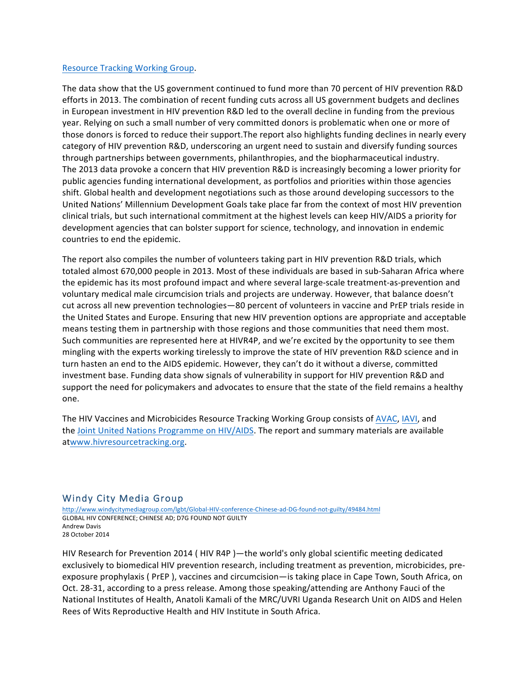#### Resource Tracking Working Group.

The data show that the US government continued to fund more than 70 percent of HIV prevention R&D efforts in 2013. The combination of recent funding cuts across all US government budgets and declines in European investment in HIV prevention R&D led to the overall decline in funding from the previous year. Relying on such a small number of very committed donors is problematic when one or more of those donors is forced to reduce their support. The report also highlights funding declines in nearly every category of HIV prevention R&D, underscoring an urgent need to sustain and diversify funding sources through partnerships between governments, philanthropies, and the biopharmaceutical industry. The 2013 data provoke a concern that HIV prevention R&D is increasingly becoming a lower priority for public agencies funding international development, as portfolios and priorities within those agencies shift. Global health and development negotiations such as those around developing successors to the United Nations' Millennium Development Goals take place far from the context of most HIV prevention clinical trials, but such international commitment at the highest levels can keep HIV/AIDS a priority for development agencies that can bolster support for science, technology, and innovation in endemic countries to end the epidemic.

The report also compiles the number of volunteers taking part in HIV prevention R&D trials, which totaled almost 670,000 people in 2013. Most of these individuals are based in sub-Saharan Africa where the epidemic has its most profound impact and where several large-scale treatment-as-prevention and voluntary medical male circumcision trials and projects are underway. However, that balance doesn't cut across all new prevention technologies—80 percent of volunteers in vaccine and PrEP trials reside in the United States and Europe. Ensuring that new HIV prevention options are appropriate and acceptable means testing them in partnership with those regions and those communities that need them most. Such communities are represented here at HIVR4P, and we're excited by the opportunity to see them mingling with the experts working tirelessly to improve the state of HIV prevention R&D science and in turn hasten an end to the AIDS epidemic. However, they can't do it without a diverse, committed investment base. Funding data show signals of vulnerability in support for HIV prevention R&D and support the need for policymakers and advocates to ensure that the state of the field remains a healthy one.

The HIV Vaccines and Microbicides Resource Tracking Working Group consists of AVAC, IAVI, and the Joint United Nations Programme on HIV/AIDS. The report and summary materials are available atwww.hivresourcetracking.org.

## Windy City Media Group

http://www.windycitymediagroup.com/lgbt/Global-HIV-conference-Chinese-ad-DG-found-not-guilty/49484.html GLOBAL HIV CONFERENCE; CHINESE AD; D7G FOUND NOT GUILTY Andrew Davis 28 October 2014

HIV Research for Prevention 2014 ( $HIV$  R4P)—the world's only global scientific meeting dedicated exclusively to biomedical HIV prevention research, including treatment as prevention, microbicides, preexposure prophylaxis ( PrEP ), vaccines and circumcision—is taking place in Cape Town, South Africa, on Oct. 28-31, according to a press release. Among those speaking/attending are Anthony Fauci of the National Institutes of Health, Anatoli Kamali of the MRC/UVRI Uganda Research Unit on AIDS and Helen Rees of Wits Reproductive Health and HIV Institute in South Africa.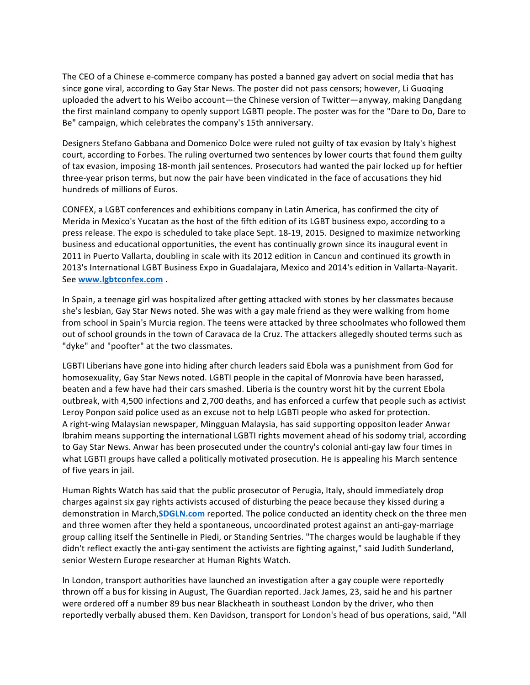The CEO of a Chinese e-commerce company has posted a banned gay advert on social media that has since gone viral, according to Gay Star News. The poster did not pass censors; however, Li Guoging uploaded the advert to his Weibo account—the Chinese version of Twitter—anyway, making Dangdang the first mainland company to openly support LGBTI people. The poster was for the "Dare to Do, Dare to Be" campaign, which celebrates the company's 15th anniversary.

Designers Stefano Gabbana and Domenico Dolce were ruled not guilty of tax evasion by Italy's highest court, according to Forbes. The ruling overturned two sentences by lower courts that found them guilty of tax evasion, imposing 18-month jail sentences. Prosecutors had wanted the pair locked up for heftier three-year prison terms, but now the pair have been vindicated in the face of accusations they hid hundreds of millions of Euros.

CONFEX, a LGBT conferences and exhibitions company in Latin America, has confirmed the city of Merida in Mexico's Yucatan as the host of the fifth edition of its LGBT business expo, according to a press release. The expo is scheduled to take place Sept. 18-19, 2015. Designed to maximize networking business and educational opportunities, the event has continually grown since its inaugural event in 2011 in Puerto Vallarta, doubling in scale with its 2012 edition in Cancun and continued its growth in 2013's International LGBT Business Expo in Guadalajara, Mexico and 2014's edition in Vallarta-Nayarit. See **www.lgbtconfex.com** .

In Spain, a teenage girl was hospitalized after getting attacked with stones by her classmates because she's lesbian, Gay Star News noted. She was with a gay male friend as they were walking from home from school in Spain's Murcia region. The teens were attacked by three schoolmates who followed them out of school grounds in the town of Caravaca de la Cruz. The attackers allegedly shouted terms such as "dyke" and "poofter" at the two classmates.

LGBTI Liberians have gone into hiding after church leaders said Ebola was a punishment from God for homosexuality, Gay Star News noted. LGBTI people in the capital of Monrovia have been harassed, beaten and a few have had their cars smashed. Liberia is the country worst hit by the current Ebola outbreak, with 4,500 infections and 2,700 deaths, and has enforced a curfew that people such as activist Leroy Ponpon said police used as an excuse not to help LGBTI people who asked for protection. A right-wing Malaysian newspaper, Mingguan Malaysia, has said supporting oppositon leader Anwar Ibrahim means supporting the international LGBTI rights movement ahead of his sodomy trial, according to Gay Star News. Anwar has been prosecuted under the country's colonial anti-gay law four times in what LGBTI groups have called a politically motivated prosecution. He is appealing his March sentence of five years in jail.

Human Rights Watch has said that the public prosecutor of Perugia, Italy, should immediately drop charges against six gay rights activists accused of disturbing the peace because they kissed during a demonstration in March, **SDGLN.com** reported. The police conducted an identity check on the three men and three women after they held a spontaneous, uncoordinated protest against an anti-gay-marriage group calling itself the Sentinelle in Piedi, or Standing Sentries. "The charges would be laughable if they didn't reflect exactly the anti-gay sentiment the activists are fighting against," said Judith Sunderland, senior Western Europe researcher at Human Rights Watch.

In London, transport authorities have launched an investigation after a gay couple were reportedly thrown off a bus for kissing in August, The Guardian reported. Jack James, 23, said he and his partner were ordered off a number 89 bus near Blackheath in southeast London by the driver, who then reportedly verbally abused them. Ken Davidson, transport for London's head of bus operations, said, "All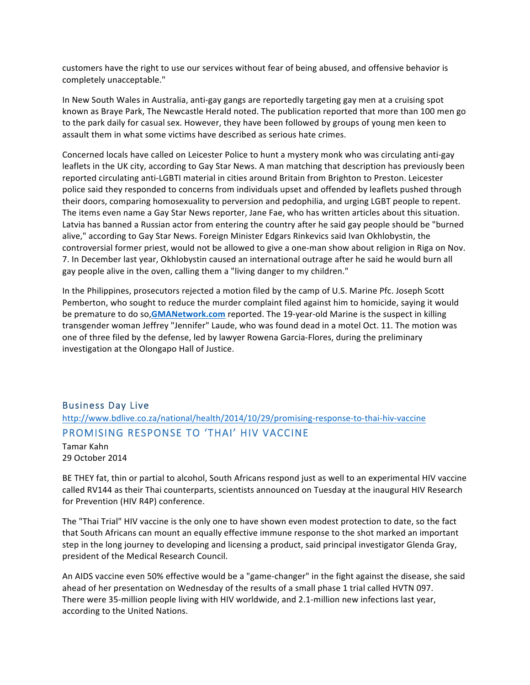customers have the right to use our services without fear of being abused, and offensive behavior is completely unacceptable."

In New South Wales in Australia, anti-gay gangs are reportedly targeting gay men at a cruising spot known as Braye Park, The Newcastle Herald noted. The publication reported that more than 100 men go to the park daily for casual sex. However, they have been followed by groups of young men keen to assault them in what some victims have described as serious hate crimes.

Concerned locals have called on Leicester Police to hunt a mystery monk who was circulating anti-gay leaflets in the UK city, according to Gay Star News. A man matching that description has previously been reported circulating anti-LGBTI material in cities around Britain from Brighton to Preston. Leicester police said they responded to concerns from individuals upset and offended by leaflets pushed through their doors, comparing homosexuality to perversion and pedophilia, and urging LGBT people to repent. The items even name a Gay Star News reporter, Jane Fae, who has written articles about this situation. Latvia has banned a Russian actor from entering the country after he said gay people should be "burned alive," according to Gay Star News. Foreign Minister Edgars Rinkevics said Ivan Okhlobystin, the controversial former priest, would not be allowed to give a one-man show about religion in Riga on Nov. 7. In December last year, Okhlobystin caused an international outrage after he said he would burn all gay people alive in the oven, calling them a "living danger to my children."

In the Philippines, prosecutors rejected a motion filed by the camp of U.S. Marine Pfc. Joseph Scott Pemberton, who sought to reduce the murder complaint filed against him to homicide, saying it would be premature to do so, GMANetwork.com reported. The 19-year-old Marine is the suspect in killing transgender woman Jeffrey "Jennifer" Laude, who was found dead in a motel Oct. 11. The motion was one of three filed by the defense, led by lawyer Rowena Garcia-Flores, during the preliminary investigation at the Olongapo Hall of Justice.

# Business Day Live http://www.bdlive.co.za/national/health/2014/10/29/promising-response-to-thai-hiv-vaccine PROMISING RESPONSE TO 'THAI' HIV VACCINE

Tamar Kahn 29 October 2014

BE THEY fat, thin or partial to alcohol, South Africans respond just as well to an experimental HIV vaccine called RV144 as their Thai counterparts, scientists announced on Tuesday at the inaugural HIV Research for Prevention (HIV R4P) conference.

The "Thai Trial" HIV vaccine is the only one to have shown even modest protection to date, so the fact that South Africans can mount an equally effective immune response to the shot marked an important step in the long journey to developing and licensing a product, said principal investigator Glenda Gray, president of the Medical Research Council.

An AIDS vaccine even 50% effective would be a "game-changer" in the fight against the disease, she said ahead of her presentation on Wednesday of the results of a small phase 1 trial called HVTN 097. There were 35-million people living with HIV worldwide, and 2.1-million new infections last year, according to the United Nations.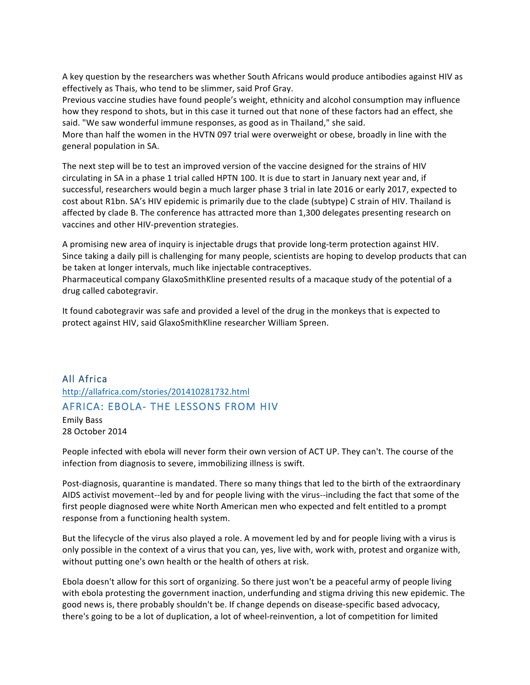A key question by the researchers was whether South Africans would produce antibodies against HIV as effectively as Thais, who tend to be slimmer, said Prof Gray.

Previous vaccine studies have found people's weight, ethnicity and alcohol consumption may influence how they respond to shots, but in this case it turned out that none of these factors had an effect, she said. "We saw wonderful immune responses, as good as in Thailand," she said.

More than half the women in the HVTN 097 trial were overweight or obese, broadly in line with the general population in SA.

The next step will be to test an improved version of the vaccine designed for the strains of HIV circulating in SA in a phase 1 trial called HPTN 100. It is due to start in January next year and, if successful, researchers would begin a much larger phase 3 trial in late 2016 or early 2017, expected to cost about R1bn. SA's HIV epidemic is primarily due to the clade (subtype) C strain of HIV. Thailand is affected by clade B. The conference has attracted more than 1,300 delegates presenting research on vaccines and other HIV-prevention strategies.

A promising new area of inquiry is injectable drugs that provide long-term protection against HIV. Since taking a daily pill is challenging for many people, scientists are hoping to develop products that can be taken at longer intervals, much like injectable contraceptives.

Pharmaceutical company GlaxoSmithKline presented results of a macaque study of the potential of a drug called cabotegravir.

It found cabotegravir was safe and provided a level of the drug in the monkeys that is expected to protect against HIV, said GlaxoSmithKline researcher William Spreen.

# All Africa http://allafrica.com/stories/201410281732.html AFRICA: EBOLA- THE LESSONS FROM HIV

Emily Bass 28 October 2014

People infected with ebola will never form their own version of ACT UP. They can't. The course of the infection from diagnosis to severe, immobilizing illness is swift.

Post-diagnosis, quarantine is mandated. There so many things that led to the birth of the extraordinary AIDS activist movement--led by and for people living with the virus--including the fact that some of the first people diagnosed were white North American men who expected and felt entitled to a prompt response from a functioning health system.

But the lifecycle of the virus also played a role. A movement led by and for people living with a virus is only possible in the context of a virus that you can, yes, live with, work with, protest and organize with, without putting one's own health or the health of others at risk.

Ebola doesn't allow for this sort of organizing. So there just won't be a peaceful army of people living with ebola protesting the government inaction, underfunding and stigma driving this new epidemic. The good news is, there probably shouldn't be. If change depends on disease-specific based advocacy, there's going to be a lot of duplication, a lot of wheel-reinvention, a lot of competition for limited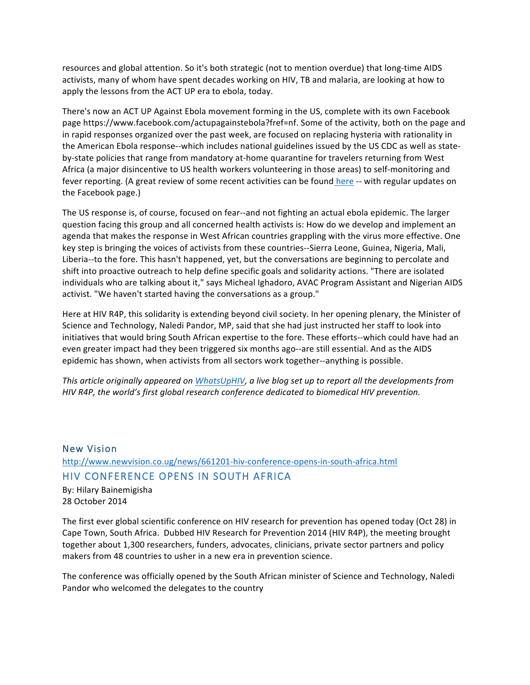resources and global attention. So it's both strategic (not to mention overdue) that long-time AIDS activists, many of whom have spent decades working on HIV, TB and malaria, are looking at how to apply the lessons from the ACT UP era to ebola, today.

There's now an ACT UP Against Ebola movement forming in the US, complete with its own Facebook page https://www.facebook.com/actupagainstebola?fref=nf. Some of the activity, both on the page and in rapid responses organized over the past week, are focused on replacing hysteria with rationality in the American Ebola response--which includes national guidelines issued by the US CDC as well as stateby-state policies that range from mandatory at-home quarantine for travelers returning from West Africa (a major disincentive to US health workers volunteering in those areas) to self-monitoring and fever reporting. (A great review of some recent activities can be found here -- with regular updates on the Facebook page.)

The US response is, of course, focused on fear--and not fighting an actual ebola epidemic. The larger question facing this group and all concerned health activists is: How do we develop and implement an agenda that makes the response in West African countries grappling with the virus more effective. One key step is bringing the voices of activists from these countries--Sierra Leone, Guinea, Nigeria, Mali, Liberia--to the fore. This hasn't happened, yet, but the conversations are beginning to percolate and shift into proactive outreach to help define specific goals and solidarity actions. "There are isolated individuals who are talking about it," says Micheal Ighadoro, AVAC Program Assistant and Nigerian AIDS activist. "We haven't started having the conversations as a group."

Here at HIV R4P, this solidarity is extending beyond civil society. In her opening plenary, the Minister of Science and Technology, Naledi Pandor, MP, said that she had just instructed her staff to look into initiatives that would bring South African expertise to the fore. These efforts--which could have had an even greater impact had they been triggered six months ago--are still essential. And as the AIDS epidemic has shown, when activists from all sectors work together--anything is possible.

*This article originally appeared on WhatsUpHIV, a live blog set up to report all the developments from HIV* R4P, the world's first global research conference dedicated to biomedical HIV prevention.

# New Vision http://www.newvision.co.ug/news/661201-hiv-conference-opens-in-south-africa.html HIV CONFERENCE OPENS IN SOUTH AFRICA

By: Hilary Bainemigisha 28 October 2014

The first ever global scientific conference on HIV research for prevention has opened today (Oct 28) in Cape Town, South Africa. Dubbed HIV Research for Prevention 2014 (HIV R4P), the meeting brought together about 1,300 researchers, funders, advocates, clinicians, private sector partners and policy makers from 48 countries to usher in a new era in prevention science.

The conference was officially opened by the South African minister of Science and Technology, Naledi Pandor who welcomed the delegates to the country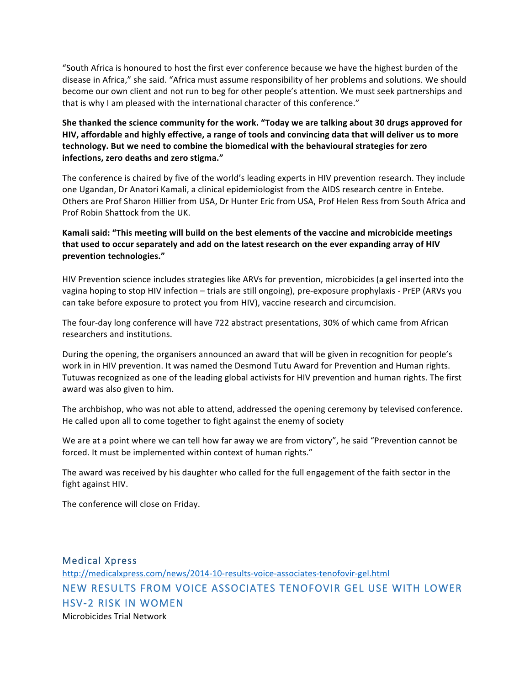"South Africa is honoured to host the first ever conference because we have the highest burden of the disease in Africa," she said. "Africa must assume responsibility of her problems and solutions. We should become our own client and not run to beg for other people's attention. We must seek partnerships and that is why I am pleased with the international character of this conference."

She thanked the science community for the work. "Today we are talking about 30 drugs approved for HIV, affordable and highly effective, a range of tools and convincing data that will deliver us to more technology. But we need to combine the biomedical with the behavioural strategies for zero infections, zero deaths and zero stigma."

The conference is chaired by five of the world's leading experts in HIV prevention research. They include one Ugandan, Dr Anatori Kamali, a clinical epidemiologist from the AIDS research centre in Entebe. Others are Prof Sharon Hillier from USA, Dr Hunter Eric from USA, Prof Helen Ress from South Africa and Prof Robin Shattock from the UK.

#### Kamali said: "This meeting will build on the best elements of the vaccine and microbicide meetings that used to occur separately and add on the latest research on the ever expanding array of HIV **prevention technologies."**

HIV Prevention science includes strategies like ARVs for prevention, microbicides (a gel inserted into the vagina hoping to stop HIV infection - trials are still ongoing), pre-exposure prophylaxis - PrEP (ARVs you can take before exposure to protect you from HIV), vaccine research and circumcision.

The four-day long conference will have 722 abstract presentations, 30% of which came from African researchers and institutions.

During the opening, the organisers announced an award that will be given in recognition for people's work in in HIV prevention. It was named the Desmond Tutu Award for Prevention and Human rights. Tutuwas recognized as one of the leading global activists for HIV prevention and human rights. The first award was also given to him.

The archbishop, who was not able to attend, addressed the opening ceremony by televised conference. He called upon all to come together to fight against the enemy of society

We are at a point where we can tell how far away we are from victory", he said "Prevention cannot be forced. It must be implemented within context of human rights."

The award was received by his daughter who called for the full engagement of the faith sector in the fight against HIV.

The conference will close on Friday.

# Medical Xpress http://medicalxpress.com/news/2014-10-results-voice-associates-tenofovir-gel.html NEW RESULTS FROM VOICE ASSOCIATES TENOFOVIR GEL USE WITH LOWER HSV-2 RISK IN WOMEN Microbicides Trial Network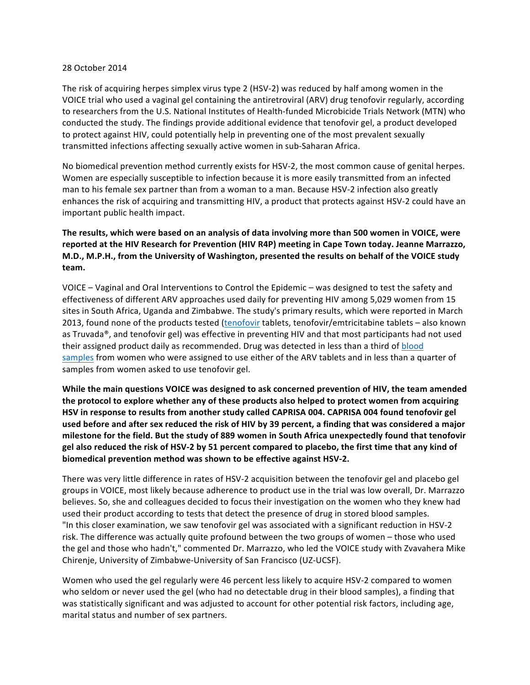#### 28 October 2014

The risk of acquiring herpes simplex virus type 2 (HSV-2) was reduced by half among women in the VOICE trial who used a vaginal gel containing the antiretroviral (ARV) drug tenofovir regularly, according to researchers from the U.S. National Institutes of Health-funded Microbicide Trials Network (MTN) who conducted the study. The findings provide additional evidence that tenofovir gel, a product developed to protect against HIV, could potentially help in preventing one of the most prevalent sexually transmitted infections affecting sexually active women in sub-Saharan Africa.

No biomedical prevention method currently exists for HSV-2, the most common cause of genital herpes. Women are especially susceptible to infection because it is more easily transmitted from an infected man to his female sex partner than from a woman to a man. Because HSV-2 infection also greatly enhances the risk of acquiring and transmitting HIV, a product that protects against HSV-2 could have an important public health impact.

### The results, which were based on an analysis of data involving more than 500 women in VOICE, were reported at the HIV Research for Prevention (HIV R4P) meeting in Cape Town today. Jeanne Marrazzo, M.D., M.P.H., from the University of Washington, presented the results on behalf of the VOICE study **team.**

VOICE – Vaginal and Oral Interventions to Control the Epidemic – was designed to test the safety and effectiveness of different ARV approaches used daily for preventing HIV among 5,029 women from 15 sites in South Africa, Uganda and Zimbabwe. The study's primary results, which were reported in March 2013, found none of the products tested (tenofovir tablets, tenofovir/emtricitabine tablets - also known as Truvada®, and tenofovir gel) was effective in preventing HIV and that most participants had not used their assigned product daily as recommended. Drug was detected in less than a third of blood samples from women who were assigned to use either of the ARV tablets and in less than a quarter of samples from women asked to use tenofovir gel.

While the main questions VOICE was designed to ask concerned prevention of HIV, the team amended the protocol to explore whether any of these products also helped to protect women from acquiring HSV in response to results from another study called CAPRISA 004. CAPRISA 004 found tenofovir gel used before and after sex reduced the risk of HIV by 39 percent, a finding that was considered a major milestone for the field. But the study of 889 women in South Africa unexpectedly found that tenofovir gel also reduced the risk of HSV-2 by 51 percent compared to placebo, the first time that any kind of **biomedical prevention method was shown to be effective against HSV-2.** 

There was very little difference in rates of HSV-2 acquisition between the tenofovir gel and placebo gel groups in VOICE, most likely because adherence to product use in the trial was low overall, Dr. Marrazzo believes. So, she and colleagues decided to focus their investigation on the women who they knew had used their product according to tests that detect the presence of drug in stored blood samples. "In this closer examination, we saw tenofovir gel was associated with a significant reduction in HSV-2 risk. The difference was actually quite profound between the two groups of women - those who used the gel and those who hadn't," commented Dr. Marrazzo, who led the VOICE study with Zvavahera Mike Chirenje, University of Zimbabwe-University of San Francisco (UZ-UCSF).

Women who used the gel regularly were 46 percent less likely to acquire HSV-2 compared to women who seldom or never used the gel (who had no detectable drug in their blood samples), a finding that was statistically significant and was adjusted to account for other potential risk factors, including age, marital status and number of sex partners.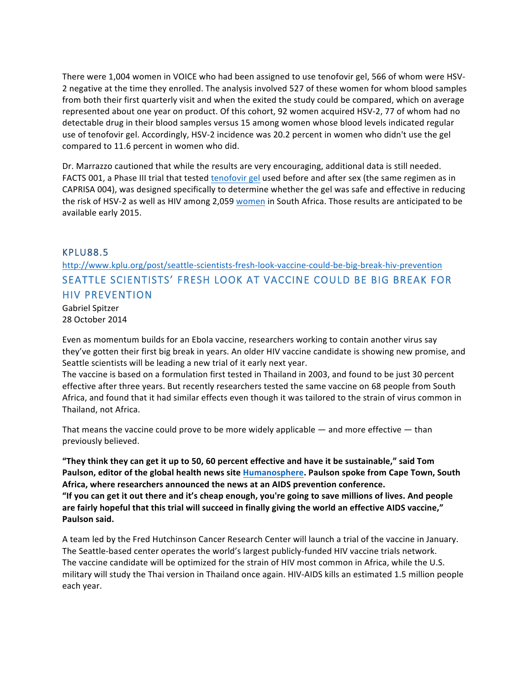There were 1,004 women in VOICE who had been assigned to use tenofovir gel, 566 of whom were HSV-2 negative at the time they enrolled. The analysis involved 527 of these women for whom blood samples from both their first quarterly visit and when the exited the study could be compared, which on average represented about one year on product. Of this cohort, 92 women acquired HSV-2, 77 of whom had no detectable drug in their blood samples versus 15 among women whose blood levels indicated regular use of tenofovir gel. Accordingly, HSV-2 incidence was 20.2 percent in women who didn't use the gel compared to 11.6 percent in women who did.

Dr. Marrazzo cautioned that while the results are very encouraging, additional data is still needed. FACTS 001, a Phase III trial that tested tenofovir gel used before and after sex (the same regimen as in CAPRISA 004), was designed specifically to determine whether the gel was safe and effective in reducing the risk of HSV-2 as well as HIV among 2,059 women in South Africa. Those results are anticipated to be available early 2015.

## KPLU88.5

http://www.kplu.org/post/seattle-scientists-fresh-look-vaccine-could-be-big-break-hiv-prevention SEATTLE SCIENTISTS' FRESH LOOK AT VACCINE COULD BE BIG BREAK FOR HIV PREVENTION

Gabriel Spitzer 28 October 2014

Even as momentum builds for an Ebola vaccine, researchers working to contain another virus say they've gotten their first big break in years. An older HIV vaccine candidate is showing new promise, and Seattle scientists will be leading a new trial of it early next year.

The vaccine is based on a formulation first tested in Thailand in 2003, and found to be just 30 percent effective after three years. But recently researchers tested the same vaccine on 68 people from South Africa, and found that it had similar effects even though it was tailored to the strain of virus common in Thailand, not Africa.

That means the vaccine could prove to be more widely applicable  $-$  and more effective  $-$  than previously believed.

"They think they can get it up to 50, 60 percent effective and have it be sustainable," said Tom Paulson, editor of the global health news site Humanosphere. Paulson spoke from Cape Town, South Africa, where researchers announced the news at an AIDS prevention conference. "If you can get it out there and it's cheap enough, you're going to save millions of lives. And people are fairly hopeful that this trial will succeed in finally giving the world an effective AIDS vaccine," **Paulson said.**

A team led by the Fred Hutchinson Cancer Research Center will launch a trial of the vaccine in January. The Seattle-based center operates the world's largest publicly-funded HIV vaccine trials network. The vaccine candidate will be optimized for the strain of HIV most common in Africa, while the U.S. military will study the Thai version in Thailand once again. HIV-AIDS kills an estimated 1.5 million people each year.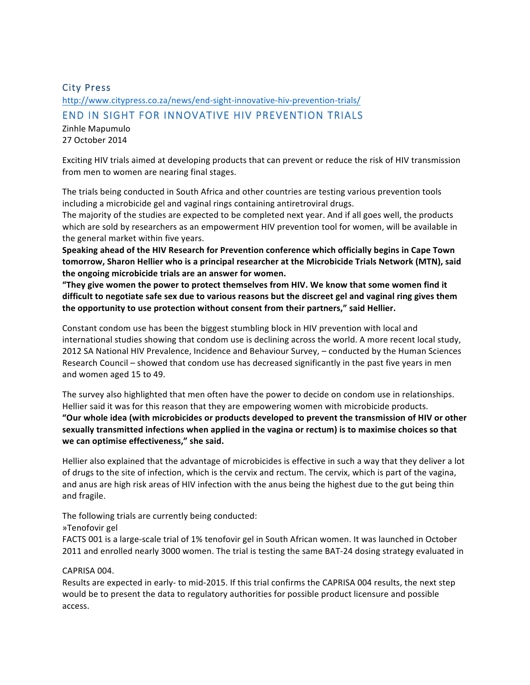# City Press http://www.citypress.co.za/news/end-sight-innovative-hiv-prevention-trials/ END IN SIGHT FOR INNOVATIVE HIV PREVENTION TRIALS

Zinhle Mapumulo 27 October 2014

Exciting HIV trials aimed at developing products that can prevent or reduce the risk of HIV transmission from men to women are nearing final stages.

The trials being conducted in South Africa and other countries are testing various prevention tools including a microbicide gel and vaginal rings containing antiretroviral drugs.

The majority of the studies are expected to be completed next year. And if all goes well, the products which are sold by researchers as an empowerment HIV prevention tool for women, will be available in the general market within five years.

Speaking ahead of the HIV Research for Prevention conference which officially begins in Cape Town tomorrow, Sharon Hellier who is a principal researcher at the Microbicide Trials Network (MTN), said the ongoing microbicide trials are an answer for women.

"They give women the power to protect themselves from HIV. We know that some women find it difficult to negotiate safe sex due to various reasons but the discreet gel and vaginal ring gives them the opportunity to use protection without consent from their partners," said Hellier.

Constant condom use has been the biggest stumbling block in HIV prevention with local and international studies showing that condom use is declining across the world. A more recent local study, 2012 SA National HIV Prevalence, Incidence and Behaviour Survey, - conducted by the Human Sciences Research Council – showed that condom use has decreased significantly in the past five years in men and women aged 15 to 49.

The survey also highlighted that men often have the power to decide on condom use in relationships. Hellier said it was for this reason that they are empowering women with microbicide products. "Our whole idea (with microbicides or products developed to prevent the transmission of HIV or other sexually transmitted infections when applied in the vagina or rectum) is to maximise choices so that we can optimise effectiveness," she said.

Hellier also explained that the advantage of microbicides is effective in such a way that they deliver a lot of drugs to the site of infection, which is the cervix and rectum. The cervix, which is part of the vagina, and anus are high risk areas of HIV infection with the anus being the highest due to the gut being thin and fragile.

The following trials are currently being conducted:

## »Tenofovir gel

FACTS 001 is a large-scale trial of 1% tenofovir gel in South African women. It was launched in October 2011 and enrolled nearly 3000 women. The trial is testing the same BAT-24 dosing strategy evaluated in

## CAPRISA 004.

Results are expected in early- to mid-2015. If this trial confirms the CAPRISA 004 results, the next step would be to present the data to regulatory authorities for possible product licensure and possible access.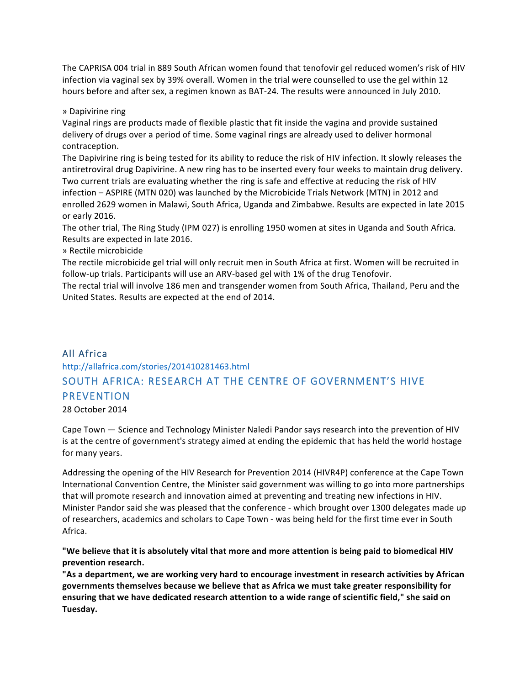The CAPRISA 004 trial in 889 South African women found that tenofovir gel reduced women's risk of HIV infection via vaginal sex by 39% overall. Women in the trial were counselled to use the gel within 12 hours before and after sex, a regimen known as BAT-24. The results were announced in July 2010.

» Dapivirine ring

Vaginal rings are products made of flexible plastic that fit inside the vagina and provide sustained delivery of drugs over a period of time. Some vaginal rings are already used to deliver hormonal contraception.

The Dapivirine ring is being tested for its ability to reduce the risk of HIV infection. It slowly releases the antiretroviral drug Dapivirine. A new ring has to be inserted every four weeks to maintain drug delivery. Two current trials are evaluating whether the ring is safe and effective at reducing the risk of HIV infection – ASPIRE (MTN 020) was launched by the Microbicide Trials Network (MTN) in 2012 and enrolled 2629 women in Malawi, South Africa, Uganda and Zimbabwe. Results are expected in late 2015 or early 2016.

The other trial, The Ring Study (IPM 027) is enrolling 1950 women at sites in Uganda and South Africa. Results are expected in late 2016.

» Rectile microbicide

The rectile microbicide gel trial will only recruit men in South Africa at first. Women will be recruited in follow-up trials. Participants will use an ARV-based gel with 1% of the drug Tenofovir.

The rectal trial will involve 186 men and transgender women from South Africa, Thailand, Peru and the United States. Results are expected at the end of 2014.

# All Africa

http://allafrica.com/stories/201410281463.html

# SOUTH AFRICA: RESEARCH AT THE CENTRE OF GOVERNMENT'S HIVE PREVENTION

28 October 2014

Cape Town — Science and Technology Minister Naledi Pandor says research into the prevention of HIV is at the centre of government's strategy aimed at ending the epidemic that has held the world hostage for many years.

Addressing the opening of the HIV Research for Prevention 2014 (HIVR4P) conference at the Cape Town International Convention Centre, the Minister said government was willing to go into more partnerships that will promote research and innovation aimed at preventing and treating new infections in HIV. Minister Pandor said she was pleased that the conference - which brought over 1300 delegates made up of researchers, academics and scholars to Cape Town - was being held for the first time ever in South Africa.

### "We believe that it is absolutely vital that more and more attention is being paid to biomedical HIV prevention research.

"As a department, we are working very hard to encourage investment in research activities by African governments themselves because we believe that as Africa we must take greater responsibility for ensuring that we have dedicated research attention to a wide range of scientific field," she said on **Tuesday.**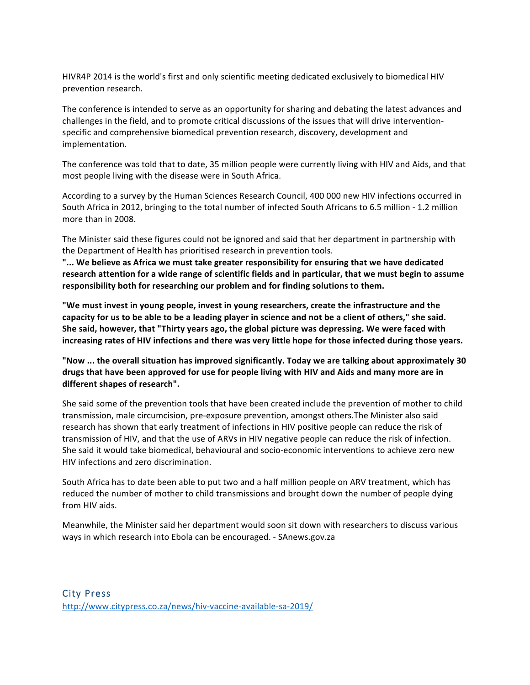HIVR4P 2014 is the world's first and only scientific meeting dedicated exclusively to biomedical HIV prevention research.

The conference is intended to serve as an opportunity for sharing and debating the latest advances and challenges in the field, and to promote critical discussions of the issues that will drive interventionspecific and comprehensive biomedical prevention research, discovery, development and implementation.

The conference was told that to date, 35 million people were currently living with HIV and Aids, and that most people living with the disease were in South Africa.

According to a survey by the Human Sciences Research Council, 400 000 new HIV infections occurred in South Africa in 2012, bringing to the total number of infected South Africans to 6.5 million - 1.2 million more than in 2008.

The Minister said these figures could not be ignored and said that her department in partnership with the Department of Health has prioritised research in prevention tools.

"... We believe as Africa we must take greater responsibility for ensuring that we have dedicated research attention for a wide range of scientific fields and in particular, that we must begin to assume responsibility both for researching our problem and for finding solutions to them.

"We must invest in young people, invest in young researchers, create the infrastructure and the capacity for us to be able to be a leading player in science and not be a client of others," she said. She said, however, that "Thirty years ago, the global picture was depressing. We were faced with increasing rates of HIV infections and there was very little hope for those infected during those years.

"Now ... the overall situation has improved significantly. Today we are talking about approximately 30 drugs that have been approved for use for people living with HIV and Aids and many more are in **different shapes of research".**

She said some of the prevention tools that have been created include the prevention of mother to child transmission, male circumcision, pre-exposure prevention, amongst others. The Minister also said research has shown that early treatment of infections in HIV positive people can reduce the risk of transmission of HIV, and that the use of ARVs in HIV negative people can reduce the risk of infection. She said it would take biomedical, behavioural and socio-economic interventions to achieve zero new HIV infections and zero discrimination.

South Africa has to date been able to put two and a half million people on ARV treatment, which has reduced the number of mother to child transmissions and brought down the number of people dying from HIV aids.

Meanwhile, the Minister said her department would soon sit down with researchers to discuss various ways in which research into Ebola can be encouraged. - SAnews.gov.za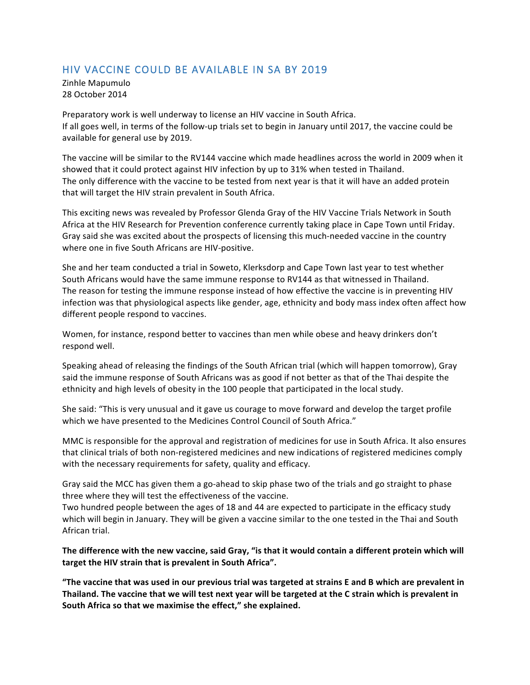# HIV VACCINE COULD BE AVAILABLE IN SA BY 2019

Zinhle Mapumulo 28 October 2014

Preparatory work is well underway to license an HIV vaccine in South Africa. If all goes well, in terms of the follow-up trials set to begin in January until 2017, the vaccine could be available for general use by 2019.

The vaccine will be similar to the RV144 vaccine which made headlines across the world in 2009 when it showed that it could protect against HIV infection by up to 31% when tested in Thailand. The only difference with the vaccine to be tested from next year is that it will have an added protein that will target the HIV strain prevalent in South Africa.

This exciting news was revealed by Professor Glenda Gray of the HIV Vaccine Trials Network in South Africa at the HIV Research for Prevention conference currently taking place in Cape Town until Friday. Gray said she was excited about the prospects of licensing this much-needed vaccine in the country where one in five South Africans are HIV-positive.

She and her team conducted a trial in Soweto, Klerksdorp and Cape Town last year to test whether South Africans would have the same immune response to RV144 as that witnessed in Thailand. The reason for testing the immune response instead of how effective the vaccine is in preventing HIV infection was that physiological aspects like gender, age, ethnicity and body mass index often affect how different people respond to vaccines.

Women, for instance, respond better to vaccines than men while obese and heavy drinkers don't respond well.

Speaking ahead of releasing the findings of the South African trial (which will happen tomorrow), Gray said the immune response of South Africans was as good if not better as that of the Thai despite the ethnicity and high levels of obesity in the 100 people that participated in the local study.

She said: "This is very unusual and it gave us courage to move forward and develop the target profile which we have presented to the Medicines Control Council of South Africa."

MMC is responsible for the approval and registration of medicines for use in South Africa. It also ensures that clinical trials of both non-registered medicines and new indications of registered medicines comply with the necessary requirements for safety, quality and efficacy.

Gray said the MCC has given them a go-ahead to skip phase two of the trials and go straight to phase three where they will test the effectiveness of the vaccine.

Two hundred people between the ages of 18 and 44 are expected to participate in the efficacy study which will begin in January. They will be given a vaccine similar to the one tested in the Thai and South African trial.

### The difference with the new vaccine, said Gray, "is that it would contain a different protein which will target the HIV strain that is prevalent in South Africa".

**The vaccine that was used in our previous trial was targeted at strains E and B which are prevalent in** Thailand. The vaccine that we will test next year will be targeted at the C strain which is prevalent in South Africa so that we maximise the effect," she explained.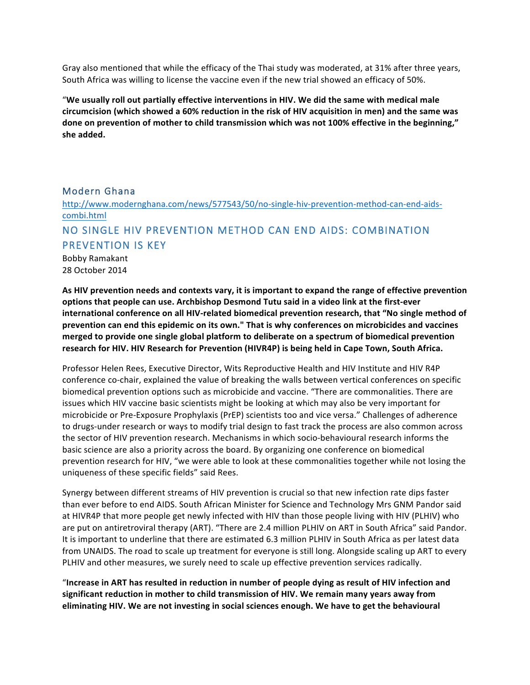Gray also mentioned that while the efficacy of the Thai study was moderated, at 31% after three years, South Africa was willing to license the vaccine even if the new trial showed an efficacy of 50%.

"We usually roll out partially effective interventions in HIV. We did the same with medical male circumcision (which showed a 60% reduction in the risk of HIV acquisition in men) and the same was done on prevention of mother to child transmission which was not 100% effective in the beginning," **she added.**

### Modern Ghana

http://www.modernghana.com/news/577543/50/no-single-hiv-prevention-method-can-end-aidscombi.html

# NO SINGLE HIV PREVENTION METHOD CAN END AIDS: COMBINATION PREVENTION IS KEY

Bobby Ramakant 28 October 2014

As HIV prevention needs and contexts vary, it is important to expand the range of effective prevention options that people can use. Archbishop Desmond Tutu said in a video link at the first-ever international conference on all HIV-related biomedical prevention research, that "No single method of prevention can end this epidemic on its own." That is why conferences on microbicides and vaccines merged to provide one single global platform to deliberate on a spectrum of biomedical prevention research for HIV. HIV Research for Prevention (HIVR4P) is being held in Cape Town, South Africa.

Professor Helen Rees, Executive Director, Wits Reproductive Health and HIV Institute and HIV R4P conference co-chair, explained the value of breaking the walls between vertical conferences on specific biomedical prevention options such as microbicide and vaccine. "There are commonalities. There are issues which HIV vaccine basic scientists might be looking at which may also be very important for microbicide or Pre-Exposure Prophylaxis (PrEP) scientists too and vice versa." Challenges of adherence to drugs-under research or ways to modify trial design to fast track the process are also common across the sector of HIV prevention research. Mechanisms in which socio-behavioural research informs the basic science are also a priority across the board. By organizing one conference on biomedical prevention research for HIV, "we were able to look at these commonalities together while not losing the uniqueness of these specific fields" said Rees.

Synergy between different streams of HIV prevention is crucial so that new infection rate dips faster than ever before to end AIDS. South African Minister for Science and Technology Mrs GNM Pandor said at HIVR4P that more people get newly infected with HIV than those people living with HIV (PLHIV) who are put on antiretroviral therapy (ART). "There are 2.4 million PLHIV on ART in South Africa" said Pandor. It is important to underline that there are estimated 6.3 million PLHIV in South Africa as per latest data from UNAIDS. The road to scale up treatment for everyone is still long. Alongside scaling up ART to every PLHIV and other measures, we surely need to scale up effective prevention services radically.

"Increase in ART has resulted in reduction in number of people dying as result of HIV infection and significant reduction in mother to child transmission of HIV. We remain many years away from eliminating HIV. We are not investing in social sciences enough. We have to get the behavioural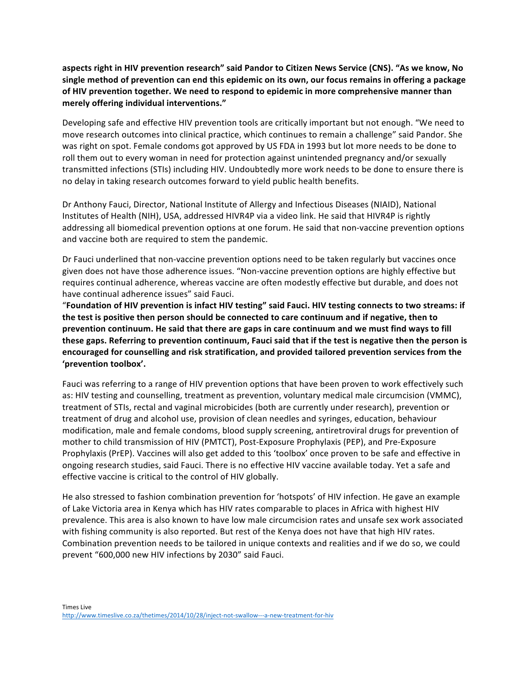aspects right in HIV prevention research" said Pandor to Citizen News Service (CNS). "As we know, No single method of prevention can end this epidemic on its own, our focus remains in offering a package of HIV prevention together. We need to respond to epidemic in more comprehensive manner than **merely offering individual interventions."**

Developing safe and effective HIV prevention tools are critically important but not enough. "We need to move research outcomes into clinical practice, which continues to remain a challenge" said Pandor. She was right on spot. Female condoms got approved by US FDA in 1993 but lot more needs to be done to roll them out to every woman in need for protection against unintended pregnancy and/or sexually transmitted infections (STIs) including HIV. Undoubtedly more work needs to be done to ensure there is no delay in taking research outcomes forward to yield public health benefits.

Dr Anthony Fauci, Director, National Institute of Allergy and Infectious Diseases (NIAID), National Institutes of Health (NIH), USA, addressed HIVR4P via a video link. He said that HIVR4P is rightly addressing all biomedical prevention options at one forum. He said that non-vaccine prevention options and vaccine both are required to stem the pandemic.

Dr Fauci underlined that non-vaccine prevention options need to be taken regularly but vaccines once given does not have those adherence issues. "Non-vaccine prevention options are highly effective but requires continual adherence, whereas vaccine are often modestly effective but durable, and does not have continual adherence issues" said Fauci.

"Foundation of HIV prevention is infact HIV testing" said Fauci. HIV testing connects to two streams: if the test is positive then person should be connected to care continuum and if negative, then to prevention continuum. He said that there are gaps in care continuum and we must find ways to fill these gaps. Referring to prevention continuum, Fauci said that if the test is negative then the person is encouraged for counselling and risk stratification, and provided tailored prevention services from the **'prevention toolbox'.**

Fauci was referring to a range of HIV prevention options that have been proven to work effectively such as: HIV testing and counselling, treatment as prevention, voluntary medical male circumcision (VMMC), treatment of STIs, rectal and vaginal microbicides (both are currently under research), prevention or treatment of drug and alcohol use, provision of clean needles and syringes, education, behaviour modification, male and female condoms, blood supply screening, antiretroviral drugs for prevention of mother to child transmission of HIV (PMTCT), Post-Exposure Prophylaxis (PEP), and Pre-Exposure Prophylaxis (PrEP). Vaccines will also get added to this 'toolbox' once proven to be safe and effective in ongoing research studies, said Fauci. There is no effective HIV vaccine available today. Yet a safe and effective vaccine is critical to the control of HIV globally.

He also stressed to fashion combination prevention for 'hotspots' of HIV infection. He gave an example of Lake Victoria area in Kenya which has HIV rates comparable to places in Africa with highest HIV prevalence. This area is also known to have low male circumcision rates and unsafe sex work associated with fishing community is also reported. But rest of the Kenya does not have that high HIV rates. Combination prevention needs to be tailored in unique contexts and realities and if we do so, we could prevent "600,000 new HIV infections by 2030" said Fauci.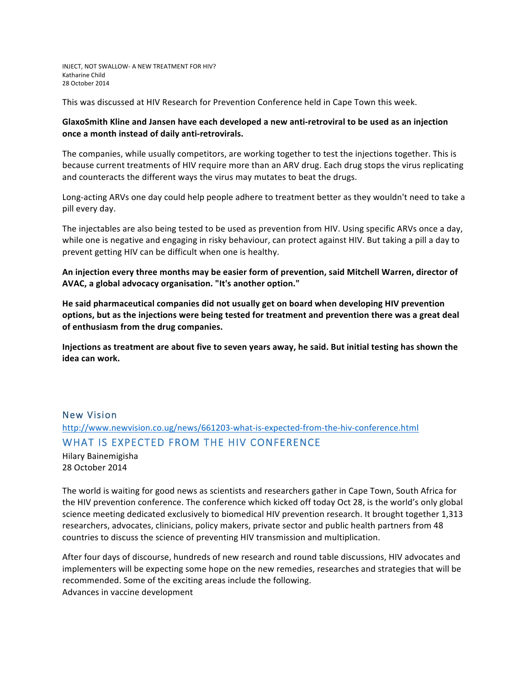INJECT, NOT SWALLOW- A NEW TREATMENT FOR HIV? Katharine Child 28 October 2014

This was discussed at HIV Research for Prevention Conference held in Cape Town this week.

### GlaxoSmith Kline and Jansen have each developed a new anti-retroviral to be used as an injection **once a month instead of daily anti-retrovirals.**

The companies, while usually competitors, are working together to test the injections together. This is because current treatments of HIV require more than an ARV drug. Each drug stops the virus replicating and counteracts the different ways the virus may mutates to beat the drugs.

Long-acting ARVs one day could help people adhere to treatment better as they wouldn't need to take a pill every day.

The injectables are also being tested to be used as prevention from HIV. Using specific ARVs once a day, while one is negative and engaging in risky behaviour, can protect against HIV. But taking a pill a day to prevent getting HIV can be difficult when one is healthy.

An injection every three months may be easier form of prevention, said Mitchell Warren, director of AVAC, a global advocacy organisation. "It's another option."

He said pharmaceutical companies did not usually get on board when developing HIV prevention options, but as the injections were being tested for treatment and prevention there was a great deal of enthusiasm from the drug companies.

**Injections** as treatment are about five to seven years away, he said. But initial testing has shown the **idea can work.**

# New Vision http://www.newvision.co.ug/news/661203-what-is-expected-from-the-hiv-conference.html WHAT IS EXPECTED FROM THE HIV CONFERENCE

Hilary Bainemigisha 28 October 2014

The world is waiting for good news as scientists and researchers gather in Cape Town, South Africa for the HIV prevention conference. The conference which kicked off today Oct 28, is the world's only global science meeting dedicated exclusively to biomedical HIV prevention research. It brought together 1,313 researchers, advocates, clinicians, policy makers, private sector and public health partners from 48 countries to discuss the science of preventing HIV transmission and multiplication.

After four days of discourse, hundreds of new research and round table discussions, HIV advocates and implementers will be expecting some hope on the new remedies, researches and strategies that will be recommended. Some of the exciting areas include the following. Advances in vaccine development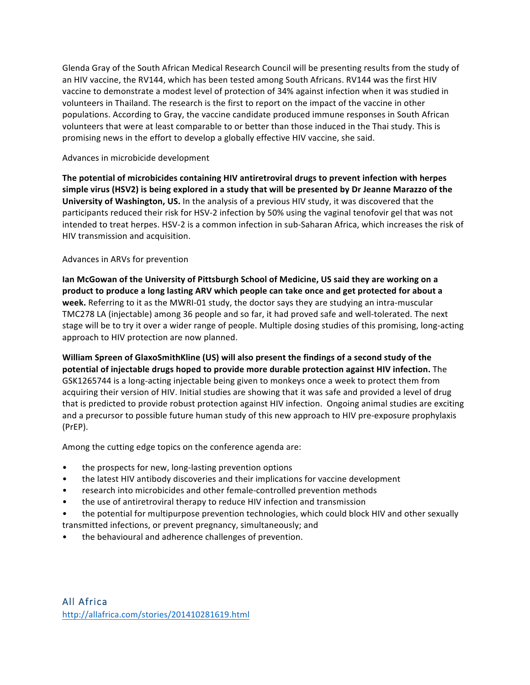Glenda Gray of the South African Medical Research Council will be presenting results from the study of an HIV vaccine, the RV144, which has been tested among South Africans. RV144 was the first HIV vaccine to demonstrate a modest level of protection of 34% against infection when it was studied in volunteers in Thailand. The research is the first to report on the impact of the vaccine in other populations. According to Gray, the vaccine candidate produced immune responses in South African volunteers that were at least comparable to or better than those induced in the Thai study. This is promising news in the effort to develop a globally effective HIV vaccine, she said.

#### Advances in microbicide development

The potential of microbicides containing HIV antiretroviral drugs to prevent infection with herpes simple virus (HSV2) is being explored in a study that will be presented by Dr Jeanne Marazzo of the **University of Washington, US.** In the analysis of a previous HIV study, it was discovered that the participants reduced their risk for HSV-2 infection by 50% using the vaginal tenofovir gel that was not intended to treat herpes. HSV-2 is a common infection in sub-Saharan Africa, which increases the risk of HIV transmission and acquisition.

#### Advances in ARVs for prevention

Ian McGowan of the University of Pittsburgh School of Medicine, US said they are working on a product to produce a long lasting ARV which people can take once and get protected for about a week. Referring to it as the MWRI-01 study, the doctor says they are studying an intra-muscular TMC278 LA (injectable) among 36 people and so far, it had proved safe and well-tolerated. The next stage will be to try it over a wider range of people. Multiple dosing studies of this promising, long-acting approach to HIV protection are now planned.

William Spreen of GlaxoSmithKline (US) will also present the findings of a second study of the **potential of injectable drugs hoped to provide more durable protection against HIV infection.** The GSK1265744 is a long-acting injectable being given to monkeys once a week to protect them from acquiring their version of HIV. Initial studies are showing that it was safe and provided a level of drug that is predicted to provide robust protection against HIV infection. Ongoing animal studies are exciting and a precursor to possible future human study of this new approach to HIV pre-exposure prophylaxis (PrEP).

Among the cutting edge topics on the conference agenda are:

- the prospects for new, long-lasting prevention options
- the latest HIV antibody discoveries and their implications for vaccine development
- research into microbicides and other female-controlled prevention methods
- the use of antiretroviral therapy to reduce HIV infection and transmission
- the potential for multipurpose prevention technologies, which could block HIV and other sexually
- transmitted infections, or prevent pregnancy, simultaneously; and
- the behavioural and adherence challenges of prevention.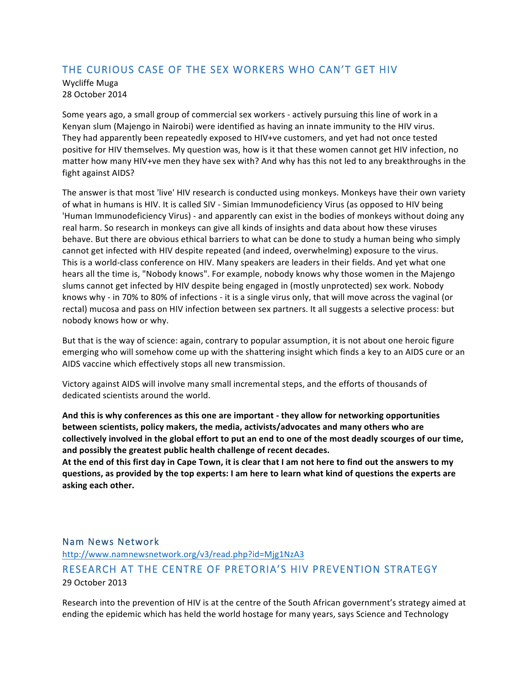# THE CURIOUS CASE OF THE SEX WORKERS WHO CAN'T GET HIV

Wycliffe Muga 28 October 2014

Some years ago, a small group of commercial sex workers - actively pursuing this line of work in a Kenyan slum (Majengo in Nairobi) were identified as having an innate immunity to the HIV virus. They had apparently been repeatedly exposed to HIV+ve customers, and yet had not once tested positive for HIV themselves. My question was, how is it that these women cannot get HIV infection, no matter how many HIV+ve men they have sex with? And why has this not led to any breakthroughs in the fight against AIDS?

The answer is that most 'live' HIV research is conducted using monkeys. Monkeys have their own variety of what in humans is HIV. It is called SIV - Simian Immunodeficiency Virus (as opposed to HIV being 'Human Immunodeficiency Virus) - and apparently can exist in the bodies of monkeys without doing any real harm. So research in monkeys can give all kinds of insights and data about how these viruses behave. But there are obvious ethical barriers to what can be done to study a human being who simply cannot get infected with HIV despite repeated (and indeed, overwhelming) exposure to the virus. This is a world-class conference on HIV. Many speakers are leaders in their fields. And yet what one hears all the time is, "Nobody knows". For example, nobody knows why those women in the Majengo slums cannot get infected by HIV despite being engaged in (mostly unprotected) sex work. Nobody knows why - in 70% to 80% of infections - it is a single virus only, that will move across the vaginal (or rectal) mucosa and pass on HIV infection between sex partners. It all suggests a selective process: but nobody knows how or why.

But that is the way of science: again, contrary to popular assumption, it is not about one heroic figure emerging who will somehow come up with the shattering insight which finds a key to an AIDS cure or an AIDS vaccine which effectively stops all new transmission.

Victory against AIDS will involve many small incremental steps, and the efforts of thousands of dedicated scientists around the world.

And this is why conferences as this one are important - they allow for networking opportunities between scientists, policy makers, the media, activists/advocates and many others who are collectively involved in the global effort to put an end to one of the most deadly scourges of our time, and possibly the greatest public health challenge of recent decades.

At the end of this first day in Cape Town, it is clear that I am not here to find out the answers to my questions, as provided by the top experts: I am here to learn what kind of questions the experts are **asking each other.**

## Nam News Network

http://www.namnewsnetwork.org/v3/read.php?id=Mjg1NzA3 RESEARCH AT THE CENTRE OF PRETORIA'S HIV PREVENTION STRATEGY 29 October 2013

Research into the prevention of HIV is at the centre of the South African government's strategy aimed at ending the epidemic which has held the world hostage for many years, says Science and Technology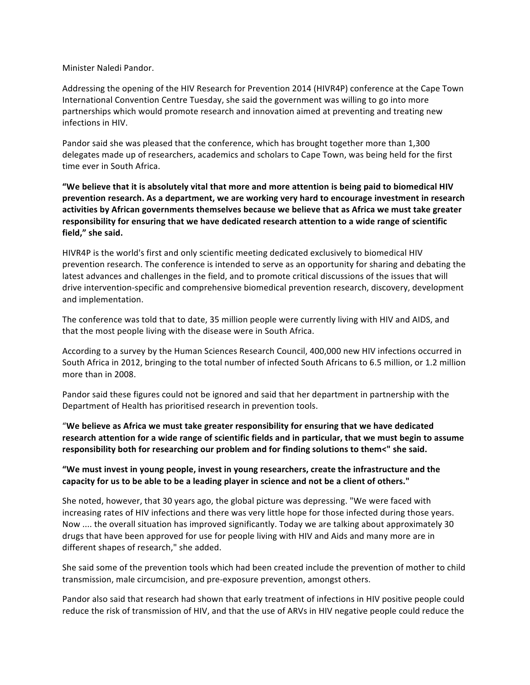Minister Naledi Pandor.

Addressing the opening of the HIV Research for Prevention 2014 (HIVR4P) conference at the Cape Town International Convention Centre Tuesday, she said the government was willing to go into more partnerships which would promote research and innovation aimed at preventing and treating new infections in HIV.

Pandor said she was pleased that the conference, which has brought together more than 1,300 delegates made up of researchers, academics and scholars to Cape Town, was being held for the first time ever in South Africa.

"We believe that it is absolutely vital that more and more attention is being paid to biomedical HIV prevention research. As a department, we are working very hard to encourage investment in research activities by African governments themselves because we believe that as Africa we must take greater responsibility for ensuring that we have dedicated research attention to a wide range of scientific field," she said.

HIVR4P is the world's first and only scientific meeting dedicated exclusively to biomedical HIV prevention research. The conference is intended to serve as an opportunity for sharing and debating the latest advances and challenges in the field, and to promote critical discussions of the issues that will drive intervention-specific and comprehensive biomedical prevention research, discovery, development and implementation.

The conference was told that to date, 35 million people were currently living with HIV and AIDS, and that the most people living with the disease were in South Africa.

According to a survey by the Human Sciences Research Council, 400,000 new HIV infections occurred in South Africa in 2012, bringing to the total number of infected South Africans to 6.5 million, or 1.2 million more than in 2008.

Pandor said these figures could not be ignored and said that her department in partnership with the Department of Health has prioritised research in prevention tools.

"We believe as Africa we must take greater responsibility for ensuring that we have dedicated research attention for a wide range of scientific fields and in particular, that we must begin to assume responsibility both for researching our problem and for finding solutions to them<" she said.

## "We must invest in young people, invest in young researchers, create the infrastructure and the capacity for us to be able to be a leading player in science and not be a client of others."

She noted, however, that 30 years ago, the global picture was depressing. "We were faced with increasing rates of HIV infections and there was very little hope for those infected during those years. Now .... the overall situation has improved significantly. Today we are talking about approximately 30 drugs that have been approved for use for people living with HIV and Aids and many more are in different shapes of research," she added.

She said some of the prevention tools which had been created include the prevention of mother to child transmission, male circumcision, and pre-exposure prevention, amongst others.

Pandor also said that research had shown that early treatment of infections in HIV positive people could reduce the risk of transmission of HIV, and that the use of ARVs in HIV negative people could reduce the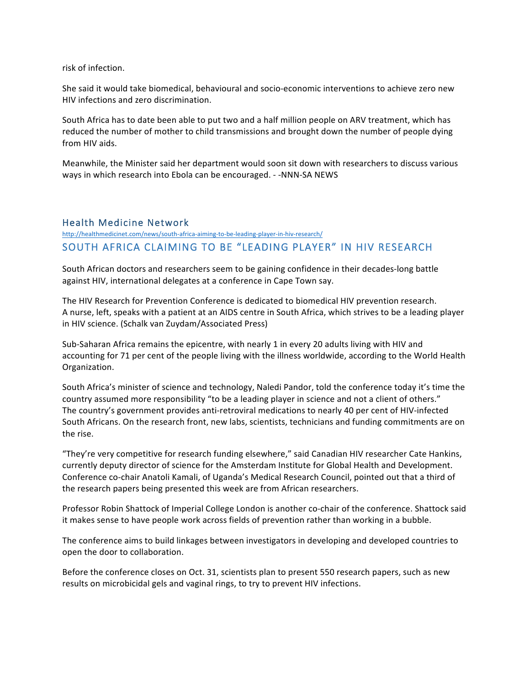risk of infection.

She said it would take biomedical, behavioural and socio-economic interventions to achieve zero new HIV infections and zero discrimination.

South Africa has to date been able to put two and a half million people on ARV treatment, which has reduced the number of mother to child transmissions and brought down the number of people dying from HIV aids.

Meanwhile, the Minister said her department would soon sit down with researchers to discuss various ways in which research into Ebola can be encouraged. - -NNN-SA NEWS

## Health Medicine Network

http://healthmedicinet.com/news/south-africa-aiming-to-be-leading-player-in-hiv-research/ SOUTH AFRICA CLAIMING TO BE "LEADING PLAYER" IN HIV RESEARCH

South African doctors and researchers seem to be gaining confidence in their decades-long battle against HIV, international delegates at a conference in Cape Town say.

The HIV Research for Prevention Conference is dedicated to biomedical HIV prevention research. A nurse, left, speaks with a patient at an AIDS centre in South Africa, which strives to be a leading player in HIV science. (Schalk van Zuydam/Associated Press)

Sub-Saharan Africa remains the epicentre, with nearly 1 in every 20 adults living with HIV and accounting for 71 per cent of the people living with the illness worldwide, according to the World Health Organization.

South Africa's minister of science and technology, Naledi Pandor, told the conference today it's time the country assumed more responsibility "to be a leading player in science and not a client of others." The country's government provides anti-retroviral medications to nearly 40 per cent of HIV-infected South Africans. On the research front, new labs, scientists, technicians and funding commitments are on the rise.

"They're very competitive for research funding elsewhere," said Canadian HIV researcher Cate Hankins, currently deputy director of science for the Amsterdam Institute for Global Health and Development. Conference co-chair Anatoli Kamali, of Uganda's Medical Research Council, pointed out that a third of the research papers being presented this week are from African researchers.

Professor Robin Shattock of Imperial College London is another co-chair of the conference. Shattock said it makes sense to have people work across fields of prevention rather than working in a bubble.

The conference aims to build linkages between investigators in developing and developed countries to open the door to collaboration.

Before the conference closes on Oct. 31, scientists plan to present 550 research papers, such as new results on microbicidal gels and vaginal rings, to try to prevent HIV infections.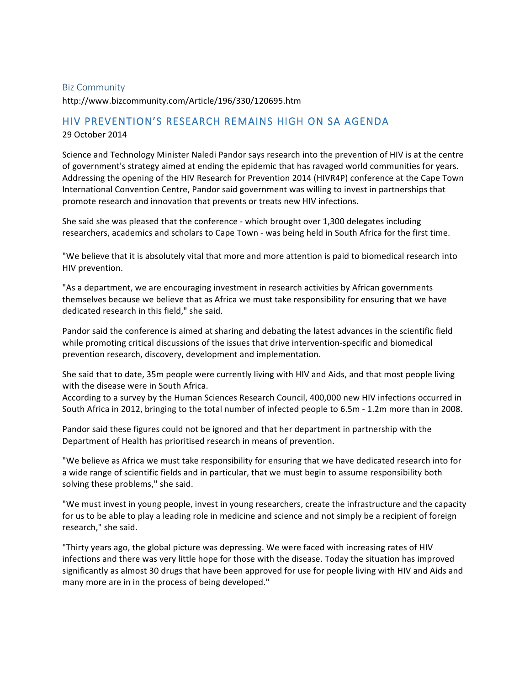#### Biz Community

http://www.bizcommunity.com/Article/196/330/120695.htm

## HIV PREVENTION'S RESEARCH REMAINS HIGH ON SA AGENDA

29 October 2014

Science and Technology Minister Naledi Pandor says research into the prevention of HIV is at the centre of government's strategy aimed at ending the epidemic that has ravaged world communities for years. Addressing the opening of the HIV Research for Prevention 2014 (HIVR4P) conference at the Cape Town International Convention Centre, Pandor said government was willing to invest in partnerships that promote research and innovation that prevents or treats new HIV infections.

She said she was pleased that the conference - which brought over 1,300 delegates including researchers, academics and scholars to Cape Town - was being held in South Africa for the first time.

"We believe that it is absolutely vital that more and more attention is paid to biomedical research into HIV prevention.

"As a department, we are encouraging investment in research activities by African governments themselves because we believe that as Africa we must take responsibility for ensuring that we have dedicated research in this field," she said.

Pandor said the conference is aimed at sharing and debating the latest advances in the scientific field while promoting critical discussions of the issues that drive intervention-specific and biomedical prevention research, discovery, development and implementation.

She said that to date, 35m people were currently living with HIV and Aids, and that most people living with the disease were in South Africa.

According to a survey by the Human Sciences Research Council, 400,000 new HIV infections occurred in South Africa in 2012, bringing to the total number of infected people to 6.5m - 1.2m more than in 2008.

Pandor said these figures could not be ignored and that her department in partnership with the Department of Health has prioritised research in means of prevention.

"We believe as Africa we must take responsibility for ensuring that we have dedicated research into for a wide range of scientific fields and in particular, that we must begin to assume responsibility both solving these problems," she said.

"We must invest in young people, invest in young researchers, create the infrastructure and the capacity for us to be able to play a leading role in medicine and science and not simply be a recipient of foreign research," she said.

"Thirty years ago, the global picture was depressing. We were faced with increasing rates of HIV infections and there was very little hope for those with the disease. Today the situation has improved significantly as almost 30 drugs that have been approved for use for people living with HIV and Aids and many more are in in the process of being developed."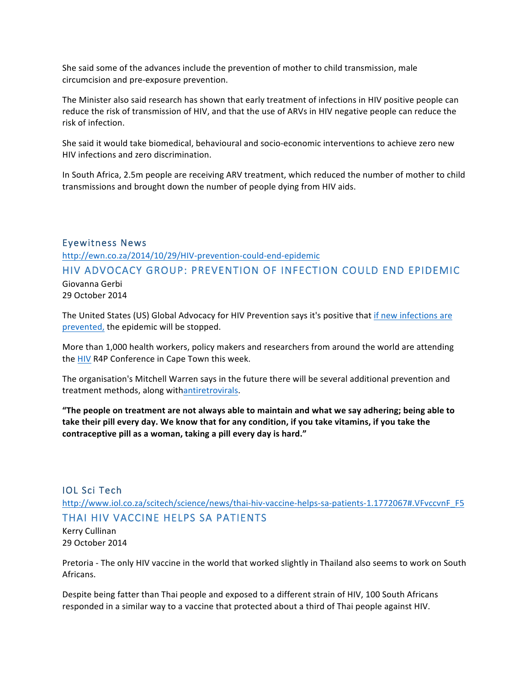She said some of the advances include the prevention of mother to child transmission, male circumcision and pre-exposure prevention.

The Minister also said research has shown that early treatment of infections in HIV positive people can reduce the risk of transmission of HIV, and that the use of ARVs in HIV negative people can reduce the risk of infection.

She said it would take biomedical, behavioural and socio-economic interventions to achieve zero new HIV infections and zero discrimination.

In South Africa, 2.5m people are receiving ARV treatment, which reduced the number of mother to child transmissions and brought down the number of people dying from HIV aids.

#### Eyewitness News

http://ewn.co.za/2014/10/29/HIV-prevention-could-end-epidemic

## HIV ADVOCACY GROUP: PREVENTION OF INFECTION COULD END EPIDEMIC

Giovanna Gerbi 29 October 2014

The United States (US) Global Advocacy for HIV Prevention says it's positive that if new infections are prevented, the epidemic will be stopped.

More than 1,000 health workers, policy makers and researchers from around the world are attending the HIV R4P Conference in Cape Town this week.

The organisation's Mitchell Warren says in the future there will be several additional prevention and treatment methods, along withantiretrovirals.

**The people on treatment are not always able to maintain and what we say adhering; being able to** take their pill every day. We know that for any condition, if you take vitamins, if you take the contraceptive pill as a woman, taking a pill every day is hard."

# IOL Sci Tech http://www.iol.co.za/scitech/science/news/thai-hiv-vaccine-helps-sa-patients-1.1772067#.VFvccvnF\_F5 THAI HIV VACCINE HELPS SA PATIENTS

Kerry Cullinan 29 October 2014

Pretoria - The only HIV vaccine in the world that worked slightly in Thailand also seems to work on South Africans.

Despite being fatter than Thai people and exposed to a different strain of HIV, 100 South Africans responded in a similar way to a vaccine that protected about a third of Thai people against HIV.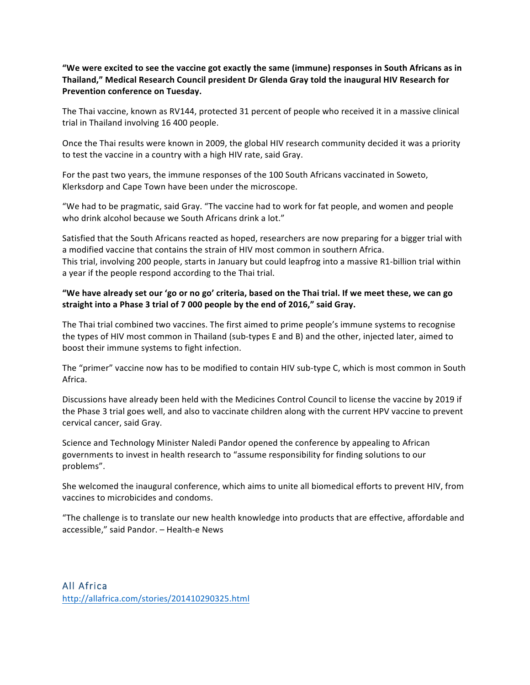## "We were excited to see the vaccine got exactly the same (immune) responses in South Africans as in Thailand," Medical Research Council president Dr Glenda Gray told the inaugural HIV Research for **Prevention conference on Tuesday.**

The Thai vaccine, known as RV144, protected 31 percent of people who received it in a massive clinical trial in Thailand involving 16 400 people.

Once the Thai results were known in 2009, the global HIV research community decided it was a priority to test the vaccine in a country with a high HIV rate, said Gray.

For the past two years, the immune responses of the 100 South Africans vaccinated in Soweto, Klerksdorp and Cape Town have been under the microscope.

"We had to be pragmatic, said Gray. "The vaccine had to work for fat people, and women and people who drink alcohol because we South Africans drink a lot."

Satisfied that the South Africans reacted as hoped, researchers are now preparing for a bigger trial with a modified vaccine that contains the strain of HIV most common in southern Africa. This trial, involving 200 people, starts in January but could leapfrog into a massive R1-billion trial within a year if the people respond according to the Thai trial.

## "We have already set our 'go or no go' criteria, based on the Thai trial. If we meet these, we can go straight into a Phase 3 trial of 7 000 people by the end of 2016," said Gray.

The Thai trial combined two vaccines. The first aimed to prime people's immune systems to recognise the types of HIV most common in Thailand (sub-types E and B) and the other, injected later, aimed to boost their immune systems to fight infection.

The "primer" vaccine now has to be modified to contain HIV sub-type C, which is most common in South Africa.

Discussions have already been held with the Medicines Control Council to license the vaccine by 2019 if the Phase 3 trial goes well, and also to vaccinate children along with the current HPV vaccine to prevent cervical cancer, said Gray.

Science and Technology Minister Naledi Pandor opened the conference by appealing to African governments to invest in health research to "assume responsibility for finding solutions to our problems".

She welcomed the inaugural conference, which aims to unite all biomedical efforts to prevent HIV, from vaccines to microbicides and condoms.

"The challenge is to translate our new health knowledge into products that are effective, affordable and accessible," said Pandor. - Health-e News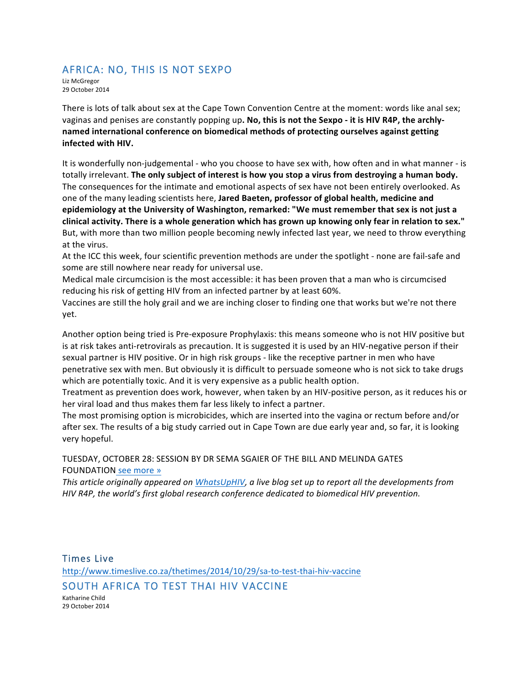# AFRICA: NO, THIS IS NOT SEXPO

Liz McGregor 29 October 2014

There is lots of talk about sex at the Cape Town Convention Centre at the moment: words like anal sex; vaginas and penises are constantly popping up. No, this is not the Sexpo - it is HIV R4P, the archlynamed international conference on biomedical methods of protecting ourselves against getting **infected with HIV.**

It is wonderfully non-judgemental - who you choose to have sex with, how often and in what manner - is totally irrelevant. The only subject of interest is how you stop a virus from destroying a human body. The consequences for the intimate and emotional aspects of sex have not been entirely overlooked. As one of the many leading scientists here, **Jared Baeten, professor of global health, medicine and** epidemiology at the University of Washington, remarked: "We must remember that sex is not just a clinical activity. There is a whole generation which has grown up knowing only fear in relation to sex." But, with more than two million people becoming newly infected last year, we need to throw everything at the virus.

At the ICC this week, four scientific prevention methods are under the spotlight - none are fail-safe and some are still nowhere near ready for universal use.

Medical male circumcision is the most accessible: it has been proven that a man who is circumcised reducing his risk of getting HIV from an infected partner by at least 60%.

Vaccines are still the holy grail and we are inching closer to finding one that works but we're not there yet.

Another option being tried is Pre-exposure Prophylaxis: this means someone who is not HIV positive but is at risk takes anti-retrovirals as precaution. It is suggested it is used by an HIV-negative person if their sexual partner is HIV positive. Or in high risk groups - like the receptive partner in men who have penetrative sex with men. But obviously it is difficult to persuade someone who is not sick to take drugs which are potentially toxic. And it is very expensive as a public health option.

Treatment as prevention does work, however, when taken by an HIV-positive person, as it reduces his or her viral load and thus makes them far less likely to infect a partner.

The most promising option is microbicides, which are inserted into the vagina or rectum before and/or after sex. The results of a big study carried out in Cape Town are due early year and, so far, it is looking very hopeful.

## TUESDAY, OCTOBER 28: SESSION BY DR SEMA SGAIER OF THE BILL AND MELINDA GATES FOUNDATION see more »

This article originally appeared on *WhatsUpHIV*, a live blog set up to report all the developments from *HIV* R4P, the world's first global research conference dedicated to biomedical HIV prevention.

Times Live http://www.timeslive.co.za/thetimes/2014/10/29/sa-to-test-thai-hiv-vaccine SOUTH AFRICA TO TEST THAI HIV VACCINE Katharine Child 29 October 2014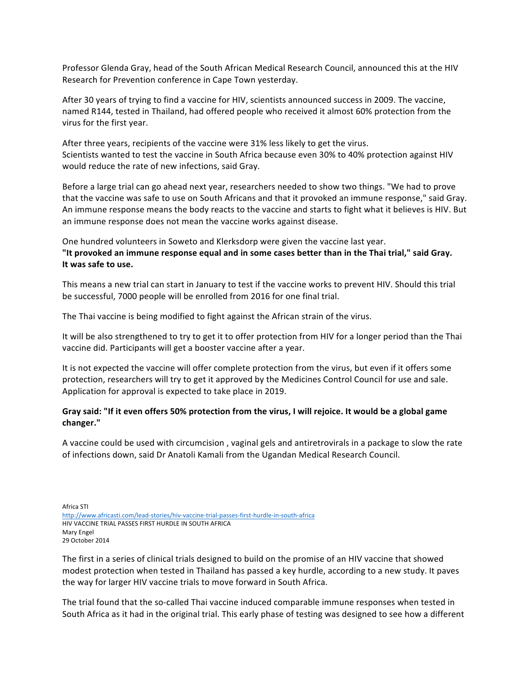Professor Glenda Gray, head of the South African Medical Research Council, announced this at the HIV Research for Prevention conference in Cape Town yesterday.

After 30 years of trying to find a vaccine for HIV, scientists announced success in 2009. The vaccine, named R144, tested in Thailand, had offered people who received it almost 60% protection from the virus for the first year.

After three years, recipients of the vaccine were 31% less likely to get the virus. Scientists wanted to test the vaccine in South Africa because even 30% to 40% protection against HIV would reduce the rate of new infections, said Gray.

Before a large trial can go ahead next year, researchers needed to show two things. "We had to prove that the vaccine was safe to use on South Africans and that it provoked an immune response," said Gray. An immune response means the body reacts to the vaccine and starts to fight what it believes is HIV. But an immune response does not mean the vaccine works against disease.

One hundred volunteers in Soweto and Klerksdorp were given the vaccine last year. "It provoked an immune response equal and in some cases better than in the Thai trial," said Gray. It was safe to use.

This means a new trial can start in January to test if the vaccine works to prevent HIV. Should this trial be successful, 7000 people will be enrolled from 2016 for one final trial.

The Thai vaccine is being modified to fight against the African strain of the virus.

It will be also strengthened to try to get it to offer protection from HIV for a longer period than the Thai vaccine did. Participants will get a booster vaccine after a year.

It is not expected the vaccine will offer complete protection from the virus, but even if it offers some protection, researchers will try to get it approved by the Medicines Control Council for use and sale. Application for approval is expected to take place in 2019.

## Gray said: "If it even offers 50% protection from the virus, I will rejoice. It would be a global game **changer."**

A vaccine could be used with circumcision, vaginal gels and antiretrovirals in a package to slow the rate of infections down, said Dr Anatoli Kamali from the Ugandan Medical Research Council.

Africa STI http://www.africasti.com/lead-stories/hiv-vaccine-trial-passes-first-hurdle-in-south-africa HIV VACCINE TRIAL PASSES FIRST HURDLE IN SOUTH AFRICA Mary Engel 29 October 2014

The first in a series of clinical trials designed to build on the promise of an HIV vaccine that showed modest protection when tested in Thailand has passed a key hurdle, according to a new study. It paves the way for larger HIV vaccine trials to move forward in South Africa.

The trial found that the so-called Thai vaccine induced comparable immune responses when tested in South Africa as it had in the original trial. This early phase of testing was designed to see how a different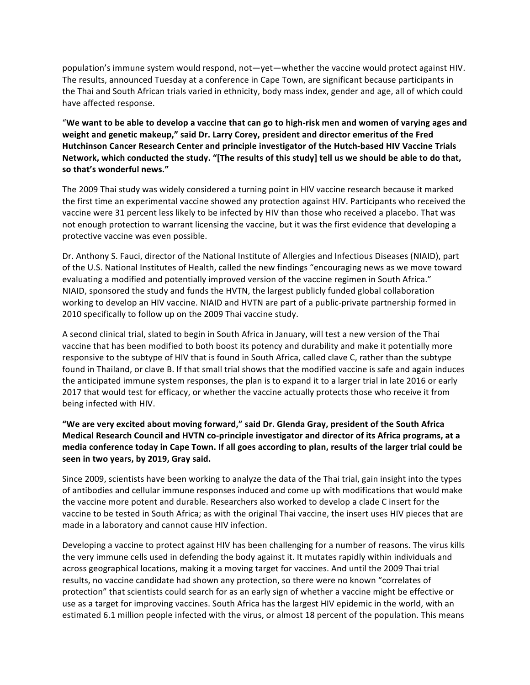population's immune system would respond, not—yet—whether the vaccine would protect against HIV. The results, announced Tuesday at a conference in Cape Town, are significant because participants in the Thai and South African trials varied in ethnicity, body mass index, gender and age, all of which could have affected response.

"We want to be able to develop a vaccine that can go to high-risk men and women of varying ages and weight and genetic makeup," said Dr. Larry Corey, president and director emeritus of the Fred Hutchinson Cancer Research Center and principle investigator of the Hutch-based HIV Vaccine Trials Network, which conducted the study. "[The results of this study] tell us we should be able to do that, so that's wonderful news."

The 2009 Thai study was widely considered a turning point in HIV vaccine research because it marked the first time an experimental vaccine showed any protection against HIV. Participants who received the vaccine were 31 percent less likely to be infected by HIV than those who received a placebo. That was not enough protection to warrant licensing the vaccine, but it was the first evidence that developing a protective vaccine was even possible.

Dr. Anthony S. Fauci, director of the National Institute of Allergies and Infectious Diseases (NIAID), part of the U.S. National Institutes of Health, called the new findings "encouraging news as we move toward evaluating a modified and potentially improved version of the vaccine regimen in South Africa." NIAID, sponsored the study and funds the HVTN, the largest publicly funded global collaboration working to develop an HIV vaccine. NIAID and HVTN are part of a public-private partnership formed in 2010 specifically to follow up on the 2009 Thai vaccine study.

A second clinical trial, slated to begin in South Africa in January, will test a new version of the Thai vaccine that has been modified to both boost its potency and durability and make it potentially more responsive to the subtype of HIV that is found in South Africa, called clave C, rather than the subtype found in Thailand, or clave B. If that small trial shows that the modified vaccine is safe and again induces the anticipated immune system responses, the plan is to expand it to a larger trial in late 2016 or early 2017 that would test for efficacy, or whether the vaccine actually protects those who receive it from being infected with HIV.

"We are very excited about moving forward," said Dr. Glenda Gray, president of the South Africa **Medical Research Council and HVTN co-principle investigator and director of its Africa programs, at a** media conference today in Cape Town. If all goes according to plan, results of the larger trial could be seen in two years, by 2019, Gray said.

Since 2009, scientists have been working to analyze the data of the Thai trial, gain insight into the types of antibodies and cellular immune responses induced and come up with modifications that would make the vaccine more potent and durable. Researchers also worked to develop a clade C insert for the vaccine to be tested in South Africa; as with the original Thai vaccine, the insert uses HIV pieces that are made in a laboratory and cannot cause HIV infection.

Developing a vaccine to protect against HIV has been challenging for a number of reasons. The virus kills the very immune cells used in defending the body against it. It mutates rapidly within individuals and across geographical locations, making it a moving target for vaccines. And until the 2009 Thai trial results, no vaccine candidate had shown any protection, so there were no known "correlates of protection" that scientists could search for as an early sign of whether a vaccine might be effective or use as a target for improving vaccines. South Africa has the largest HIV epidemic in the world, with an estimated 6.1 million people infected with the virus, or almost 18 percent of the population. This means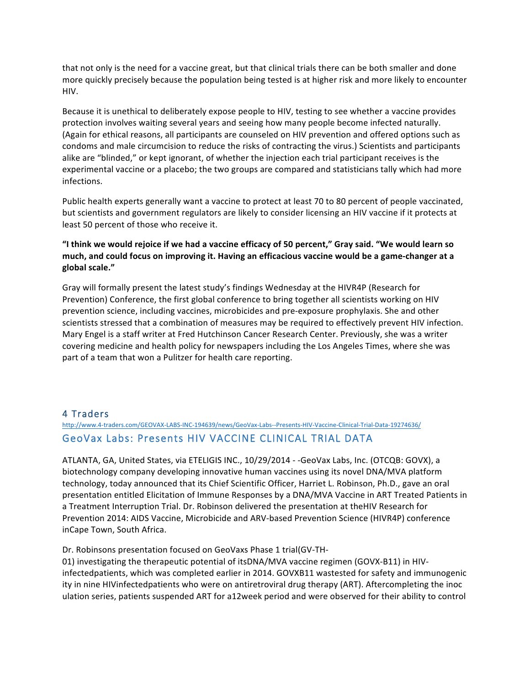that not only is the need for a vaccine great, but that clinical trials there can be both smaller and done more quickly precisely because the population being tested is at higher risk and more likely to encounter HIV.

Because it is unethical to deliberately expose people to HIV, testing to see whether a vaccine provides protection involves waiting several years and seeing how many people become infected naturally. (Again for ethical reasons, all participants are counseled on HIV prevention and offered options such as condoms and male circumcision to reduce the risks of contracting the virus.) Scientists and participants alike are "blinded," or kept ignorant, of whether the injection each trial participant receives is the experimental vaccine or a placebo; the two groups are compared and statisticians tally which had more infections.

Public health experts generally want a vaccine to protect at least 70 to 80 percent of people vaccinated, but scientists and government regulators are likely to consider licensing an HIV vaccine if it protects at least 50 percent of those who receive it.

## "I think we would rejoice if we had a vaccine efficacy of 50 percent," Gray said. "We would learn so much, and could focus on improving it. Having an efficacious vaccine would be a game-changer at a **global scale."**

Gray will formally present the latest study's findings Wednesday at the HIVR4P (Research for Prevention) Conference, the first global conference to bring together all scientists working on HIV prevention science, including vaccines, microbicides and pre-exposure prophylaxis. She and other scientists stressed that a combination of measures may be required to effectively prevent HIV infection. Mary Engel is a staff writer at Fred Hutchinson Cancer Research Center. Previously, she was a writer covering medicine and health policy for newspapers including the Los Angeles Times, where she was part of a team that won a Pulitzer for health care reporting.

## 4 Traders

# http://www.4-traders.com/GEOVAX-LABS-INC-194639/news/GeoVax-Labs--Presents-HIV-Vaccine-Clinical-Trial-Data-19274636/ GeoVax Labs: Presents HIV VACCINE CLINICAL TRIAL DATA

ATLANTA, GA, United States, via ETELIGIS INC., 10/29/2014 - -GeoVax Labs, Inc. (OTCQB: GOVX), a biotechnology company developing innovative human vaccines using its novel DNA/MVA platform technology, today announced that its Chief Scientific Officer, Harriet L. Robinson, Ph.D., gave an oral presentation entitled Elicitation of Immune Responses by a DNA/MVA Vaccine in ART Treated Patients in a Treatment Interruption Trial. Dr. Robinson delivered the presentation at theHIV Research for Prevention 2014: AIDS Vaccine, Microbicide and ARV-based Prevention Science (HIVR4P) conference inCape Town, South Africa.

Dr. Robinsons presentation focused on GeoVaxs Phase 1 trial(GV-TH-

01) investigating the therapeutic potential of itsDNA/MVA vaccine regimen (GOVX-B11) in HIVinfectedpatients, which was completed earlier in 2014. GOVXB11 wastested for safety and immunogenic ity in nine HIVinfectedpatients who were on antiretroviral drug therapy (ART). Aftercompleting the inoc ulation series, patients suspended ART for a12week period and were observed for their ability to control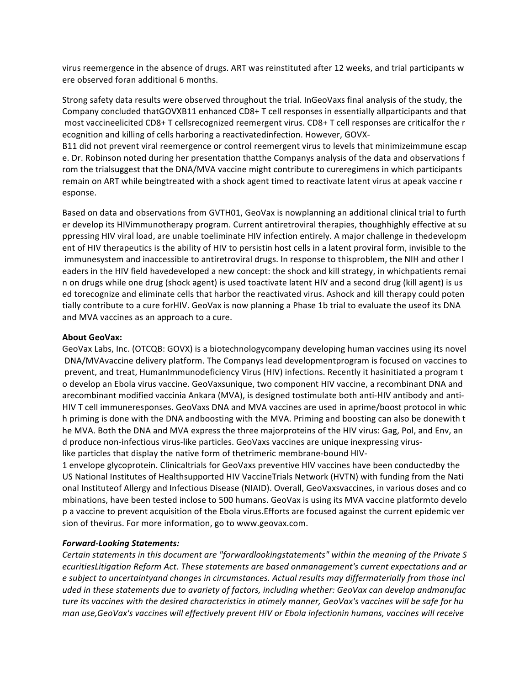virus reemergence in the absence of drugs. ART was reinstituted after 12 weeks, and trial participants w ere observed foran additional 6 months.

Strong safety data results were observed throughout the trial. InGeoVaxs final analysis of the study, the Company concluded thatGOVXB11 enhanced CD8+ T cell responses in essentially allparticipants and that most vaccineelicited CD8+ T cellsrecognized reemergent virus. CD8+ T cell responses are criticalfor the r ecognition and killing of cells harboring a reactivatedinfection. However, GOVX-

B11 did not prevent viral reemergence or control reemergent virus to levels that minimizeimmune escap e. Dr. Robinson noted during her presentation thatthe Companys analysis of the data and observations f rom the trialsuggest that the DNA/MVA vaccine might contribute to cureregimens in which participants remain on ART while beingtreated with a shock agent timed to reactivate latent virus at apeak vaccine r esponse.

Based on data and observations from GVTH01, GeoVax is nowplanning an additional clinical trial to furth er develop its HIVimmunotherapy program. Current antiretroviral therapies, thoughhighly effective at su ppressing HIV viral load, are unable toeliminate HIV infection entirely. A major challenge in thedevelopm ent of HIV therapeutics is the ability of HIV to persistin host cells in a latent proviral form, invisible to the immunesystem and inaccessible to antiretroviral drugs. In response to thisproblem, the NIH and other l eaders in the HIV field havedeveloped a new concept: the shock and kill strategy, in whichpatients remai n on drugs while one drug (shock agent) is used toactivate latent HIV and a second drug (kill agent) is us ed torecognize and eliminate cells that harbor the reactivated virus. Ashock and kill therapy could poten tially contribute to a cure forHIV. GeoVax is now planning a Phase 1b trial to evaluate the useof its DNA and MVA vaccines as an approach to a cure.

#### **About GeoVax:**

GeoVax Labs, Inc. (OTCQB: GOVX) is a biotechnologycompany developing human vaccines using its novel DNA/MVAvaccine delivery platform. The Companys lead developmentprogram is focused on vaccines to prevent, and treat, HumanImmunodeficiency Virus (HIV) infections. Recently it hasinitiated a program t o develop an Ebola virus vaccine. GeoVaxsunique, two component HIV vaccine, a recombinant DNA and arecombinant modified vaccinia Ankara (MVA), is designed tostimulate both anti-HIV antibody and anti-HIV T cell immuneresponses. GeoVaxs DNA and MVA vaccines are used in aprime/boost protocol in whic h priming is done with the DNA andboosting with the MVA. Priming and boosting can also be donewith t he MVA. Both the DNA and MVA express the three majorproteins of the HIV virus: Gag, Pol, and Env, an d produce non-infectious virus-like particles. GeoVaxs vaccines are unique inexpressing viruslike particles that display the native form of thetrimeric membrane-bound HIV-

1 envelope glycoprotein. Clinicaltrials for GeoVaxs preventive HIV vaccines have been conductedby the US National Institutes of Healthsupported HIV VaccineTrials Network (HVTN) with funding from the Nati onal Instituteof Allergy and Infectious Disease (NIAID). Overall, GeoVaxsvaccines, in various doses and co mbinations, have been tested inclose to 500 humans. GeoVax is using its MVA vaccine platformto develo p a vaccine to prevent acquisition of the Ebola virus.Efforts are focused against the current epidemic ver sion of thevirus. For more information, go to www.geovax.com.

#### *Forward-Looking Statements:*

*Certain statements in this document are "forwardlookingstatements" within the meaning of the Private S ecuritiesLitigation Reform Act. These statements are based onmanagement's current expectations and ar e subject to uncertaintyand changes in circumstances. Actual results may differmaterially from those incl uded in these statements due to avariety of factors, including whether: GeoVax can develop andmanufac* ture its vaccines with the desired characteristics in atimely manner, GeoVax's vaccines will be safe for hu *man use,GeoVax's vaccines will effectively prevent HIV or Ebola infectionin humans, vaccines will receive*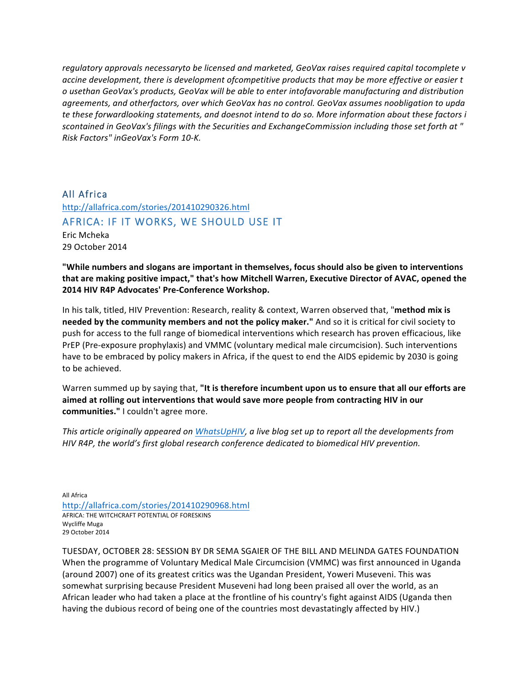*regulatory approvals necessaryto be licensed and marketed, GeoVax raises required capital tocomplete v accine development, there is development ofcompetitive products that may be more effective or easier t o usethan GeoVax's products, GeoVax will be able to enter intofavorable manufacturing and distribution agreements, and otherfactors, over which GeoVax has no control. GeoVax assumes noobligation to upda te these forwardlooking statements, and doesnot intend to do so. More information about these factors i scontained in GeoVax's filings with the Securities and ExchangeCommission including those set forth at " Risk Factors" inGeoVax's Form 10-K.*

All Africa http://allafrica.com/stories/201410290326.html AFRICA: IF IT WORKS, WE SHOULD USE IT Eric Mcheka 29 October 2014

"While numbers and slogans are important in themselves, focus should also be given to interventions that are making positive impact," that's how Mitchell Warren, Executive Director of AVAC, opened the **2014 HIV R4P Advocates' Pre-Conference Workshop.**

In his talk, titled, HIV Prevention: Research, reality & context, Warren observed that, "method mix is **needed by the community members and not the policy maker."** And so it is critical for civil society to push for access to the full range of biomedical interventions which research has proven efficacious, like PrEP (Pre-exposure prophylaxis) and VMMC (voluntary medical male circumcision). Such interventions have to be embraced by policy makers in Africa, if the quest to end the AIDS epidemic by 2030 is going to be achieved.

Warren summed up by saying that, "It is therefore incumbent upon us to ensure that all our efforts are aimed at rolling out interventions that would save more people from contracting HIV in our communities." I couldn't agree more.

*This article originally appeared on WhatsUpHIV, a live blog set up to report all the developments from HIV* R4P, the world's first global research conference dedicated to biomedical HIV prevention.

**All Africa** http://allafrica.com/stories/201410290968.html AFRICA: THE WITCHCRAFT POTENTIAL OF FORESKINS Wycliffe Muga 29 October 2014

TUESDAY, OCTOBER 28: SESSION BY DR SEMA SGAIER OF THE BILL AND MELINDA GATES FOUNDATION When the programme of Voluntary Medical Male Circumcision (VMMC) was first announced in Uganda (around 2007) one of its greatest critics was the Ugandan President, Yoweri Museveni. This was somewhat surprising because President Museveni had long been praised all over the world, as an African leader who had taken a place at the frontline of his country's fight against AIDS (Uganda then having the dubious record of being one of the countries most devastatingly affected by HIV.)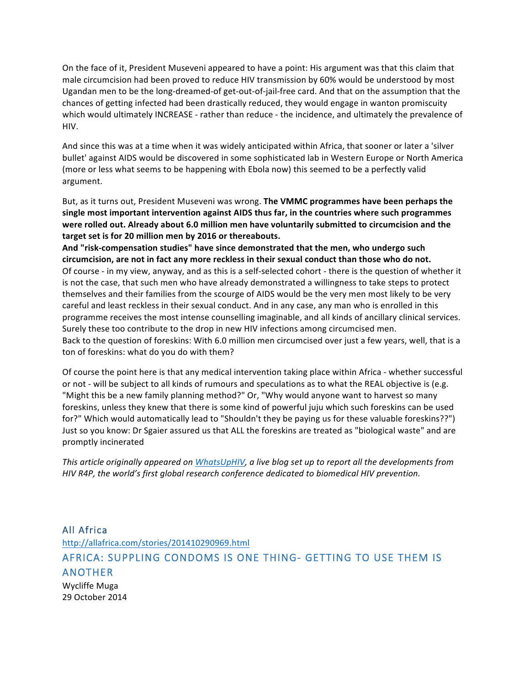On the face of it, President Museveni appeared to have a point: His argument was that this claim that male circumcision had been proved to reduce HIV transmission by 60% would be understood by most Ugandan men to be the long-dreamed-of get-out-of-jail-free card. And that on the assumption that the chances of getting infected had been drastically reduced, they would engage in wanton promiscuity which would ultimately INCREASE - rather than reduce - the incidence, and ultimately the prevalence of HIV.

And since this was at a time when it was widely anticipated within Africa, that sooner or later a 'silver bullet' against AIDS would be discovered in some sophisticated lab in Western Europe or North America (more or less what seems to be happening with Ebola now) this seemed to be a perfectly valid argument.

But, as it turns out, President Museveni was wrong. The VMMC programmes have been perhaps the single most important intervention against AIDS thus far, in the countries where such programmes were rolled out. Already about 6.0 million men have voluntarily submitted to circumcision and the target set is for 20 million men by 2016 or thereabouts.

And "risk-compensation studies" have since demonstrated that the men, who undergo such circumcision, are not in fact any more reckless in their sexual conduct than those who do not. Of course - in my view, anyway, and as this is a self-selected cohort - there is the question of whether it is not the case, that such men who have already demonstrated a willingness to take steps to protect themselves and their families from the scourge of AIDS would be the very men most likely to be very careful and least reckless in their sexual conduct. And in any case, any man who is enrolled in this programme receives the most intense counselling imaginable, and all kinds of ancillary clinical services. Surely these too contribute to the drop in new HIV infections among circumcised men. Back to the question of foreskins: With 6.0 million men circumcised over just a few years, well, that is a ton of foreskins: what do you do with them?

Of course the point here is that any medical intervention taking place within Africa - whether successful or not - will be subject to all kinds of rumours and speculations as to what the REAL objective is (e.g. "Might this be a new family planning method?" Or, "Why would anyone want to harvest so many foreskins, unless they knew that there is some kind of powerful juju which such foreskins can be used for?" Which would automatically lead to "Shouldn't they be paying us for these valuable foreskins??") Just so you know: Dr Sgaier assured us that ALL the foreskins are treated as "biological waste" and are promptly incinerated

*This article originally appeared on WhatsUpHIV, a live blog set up to report all the developments from HIV* R4P, the world's first global research conference dedicated to biomedical HIV prevention.

## All Africa

http://allafrica.com/stories/201410290969.html AFRICA: SUPPLING CONDOMS IS ONE THING- GETTING TO USE THEM IS ANOTHER

Wycliffe Muga 29 October 2014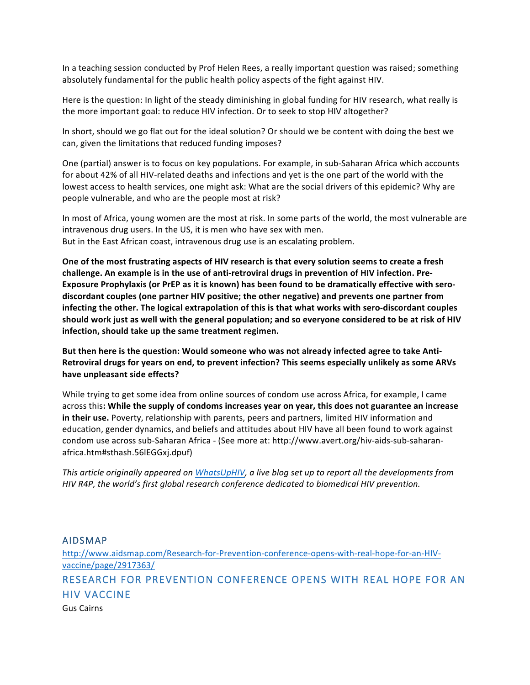In a teaching session conducted by Prof Helen Rees, a really important question was raised; something absolutely fundamental for the public health policy aspects of the fight against HIV.

Here is the question: In light of the steady diminishing in global funding for HIV research, what really is the more important goal: to reduce HIV infection. Or to seek to stop HIV altogether?

In short, should we go flat out for the ideal solution? Or should we be content with doing the best we can, given the limitations that reduced funding imposes?

One (partial) answer is to focus on key populations. For example, in sub-Saharan Africa which accounts for about 42% of all HIV-related deaths and infections and yet is the one part of the world with the lowest access to health services, one might ask: What are the social drivers of this epidemic? Why are people vulnerable, and who are the people most at risk?

In most of Africa, young women are the most at risk. In some parts of the world, the most vulnerable are intravenous drug users. In the US, it is men who have sex with men. But in the East African coast, intravenous drug use is an escalating problem.

One of the most frustrating aspects of HIV research is that every solution seems to create a fresh challenge. An example is in the use of anti-retroviral drugs in prevention of HIV infection. Pre-**Exposure Prophylaxis (or PrEP as it is known) has been found to be dramatically effective with sero**discordant couples (one partner HIV positive; the other negative) and prevents one partner from infecting the other. The logical extrapolation of this is that what works with sero-discordant couples should work just as well with the general population; and so everyone considered to be at risk of HIV infection, should take up the same treatment regimen.

But then here is the question: Would someone who was not already infected agree to take Anti-Retroviral drugs for years on end, to prevent infection? This seems especially unlikely as some ARVs have unpleasant side effects?

While trying to get some idea from online sources of condom use across Africa, for example, I came across this: While the supply of condoms increases year on year, this does not guarantee an increase in their use. Poverty, relationship with parents, peers and partners, limited HIV information and education, gender dynamics, and beliefs and attitudes about HIV have all been found to work against condom use across sub-Saharan Africa - (See more at: http://www.avert.org/hiv-aids-sub-saharanafrica.htm#sthash.56lEGGxj.dpuf)

*This article originally appeared on WhatsUpHIV, a live blog set up to report all the developments from HIV* R4P, the world's first global research conference dedicated to biomedical HIV prevention.

#### AIDSMAP

http://www.aidsmap.com/Research-for-Prevention-conference-opens-with-real-hope-for-an-HIVvaccine/page/2917363/ RESEARCH FOR PREVENTION CONFERENCE OPENS WITH REAL HOPE FOR AN HIV VACCINE Gus Cairns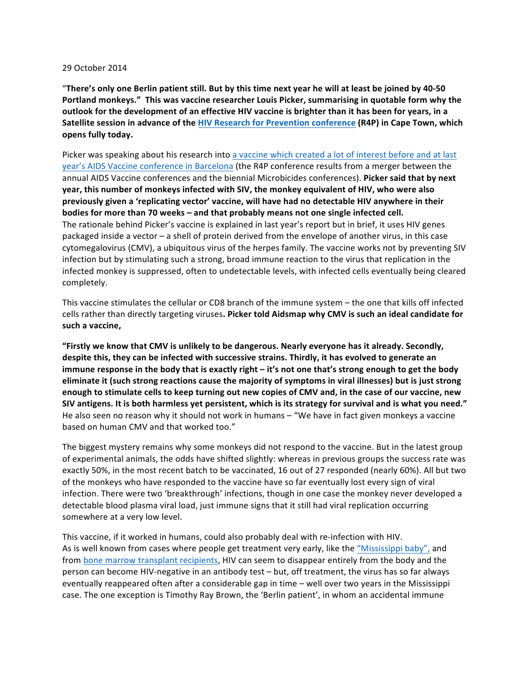#### 29 October 2014

"There's only one Berlin patient still. But by this time next year he will at least be joined by 40-50 Portland monkeys." This was vaccine researcher Louis Picker, summarising in quotable form why the **outlook** for the development of an effective HIV vaccine is brighter than it has been for years, in a **Satellite session in advance of the HIV Research for Prevention conference (R4P) in Cape Town, which opens fully today.**

Picker was speaking about his research into a vaccine which created a lot of interest before and at last year's AIDS Vaccine conference in Barcelona (the R4P conference results from a merger between the annual AIDS Vaccine conferences and the biennial Microbicides conferences). Picker said that by next year, this number of monkeys infected with SIV, the monkey equivalent of HIV, who were also previously given a 'replicating vector' vaccine, will have had no detectable HIV anywhere in their **bodies for more than 70 weeks - and that probably means not one single infected cell.** The rationale behind Picker's vaccine is explained in last year's report but in brief, it uses HIV genes packaged inside a vector  $-$  a shell of protein derived from the envelope of another virus, in this case cytomegalovirus (CMV), a ubiquitous virus of the herpes family. The vaccine works not by preventing SIV infection but by stimulating such a strong, broad immune reaction to the virus that replication in the infected monkey is suppressed, often to undetectable levels, with infected cells eventually being cleared completely.

This vaccine stimulates the cellular or CD8 branch of the immune system – the one that kills off infected cells rather than directly targeting viruses. Picker told Aidsmap why CMV is such an ideal candidate for such a vaccine,

"Firstly we know that CMV is unlikely to be dangerous. Nearly everyone has it already. Secondly, despite this, they can be infected with successive strains. Thirdly, it has evolved to generate an **immune response in the body that is exactly right – it's not one that's strong enough to get the body** eliminate it (such strong reactions cause the majority of symptoms in viral illnesses) but is just strong enough to stimulate cells to keep turning out new copies of CMV and, in the case of our vaccine, new SIV antigens. It is both harmless yet persistent, which is its strategy for survival and is what you need." He also seen no reason why it should not work in humans  $-$  "We have in fact given monkeys a vaccine based on human CMV and that worked too."

The biggest mystery remains why some monkeys did not respond to the vaccine. But in the latest group of experimental animals, the odds have shifted slightly: whereas in previous groups the success rate was exactly 50%, in the most recent batch to be vaccinated, 16 out of 27 responded (nearly 60%). All but two of the monkeys who have responded to the vaccine have so far eventually lost every sign of viral infection. There were two 'breakthrough' infections, though in one case the monkey never developed a detectable blood plasma viral load, just immune signs that it still had viral replication occurring somewhere at a very low level.

This vaccine, if it worked in humans, could also probably deal with re-infection with HIV. As is well known from cases where people get treatment very early, like the "Mississippi baby", and from bone marrow transplant recipients, HIV can seem to disappear entirely from the body and the person can become HIV-negative in an antibody test – but, off treatment, the virus has so far always eventually reappeared often after a considerable gap in time – well over two years in the Mississippi case. The one exception is Timothy Ray Brown, the 'Berlin patient', in whom an accidental immune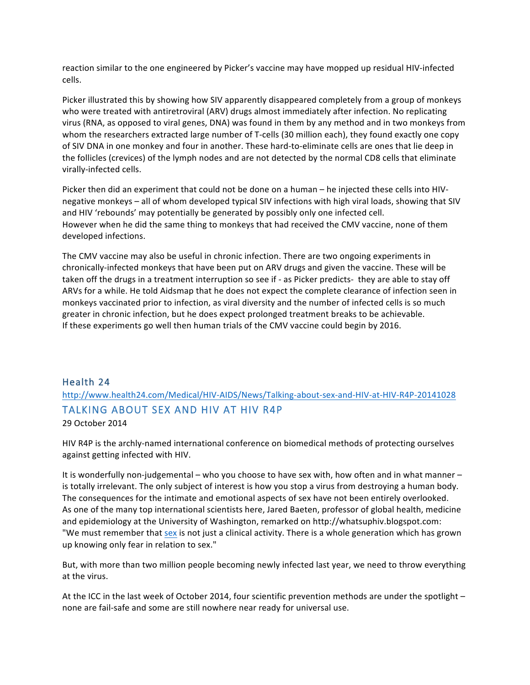reaction similar to the one engineered by Picker's vaccine may have mopped up residual HIV-infected cells.

Picker illustrated this by showing how SIV apparently disappeared completely from a group of monkeys who were treated with antiretroviral (ARV) drugs almost immediately after infection. No replicating virus (RNA, as opposed to viral genes, DNA) was found in them by any method and in two monkeys from whom the researchers extracted large number of T-cells (30 million each), they found exactly one copy of SIV DNA in one monkey and four in another. These hard-to-eliminate cells are ones that lie deep in the follicles (crevices) of the lymph nodes and are not detected by the normal CD8 cells that eliminate virally-infected cells.

Picker then did an experiment that could not be done on a human – he injected these cells into HIVnegative monkeys – all of whom developed typical SIV infections with high viral loads, showing that SIV and HIV 'rebounds' may potentially be generated by possibly only one infected cell. However when he did the same thing to monkeys that had received the CMV vaccine, none of them developed infections.

The CMV vaccine may also be useful in chronic infection. There are two ongoing experiments in chronically-infected monkeys that have been put on ARV drugs and given the vaccine. These will be taken off the drugs in a treatment interruption so see if - as Picker predicts- they are able to stay off ARVs for a while. He told Aidsmap that he does not expect the complete clearance of infection seen in monkeys vaccinated prior to infection, as viral diversity and the number of infected cells is so much greater in chronic infection, but he does expect prolonged treatment breaks to be achievable. If these experiments go well then human trials of the CMV vaccine could begin by 2016.

## Health 24

http://www.health24.com/Medical/HIV-AIDS/News/Talking-about-sex-and-HIV-at-HIV-R4P-20141028 TALKING ABOUT SEX AND HIV AT HIV R4P

29 October 2014

HIV R4P is the archly-named international conference on biomedical methods of protecting ourselves against getting infected with HIV.

It is wonderfully non-judgemental – who you choose to have sex with, how often and in what manner – is totally irrelevant. The only subject of interest is how you stop a virus from destroying a human body. The consequences for the intimate and emotional aspects of sex have not been entirely overlooked. As one of the many top international scientists here, Jared Baeten, professor of global health, medicine and epidemiology at the University of Washington, remarked on http://whatsuphiv.blogspot.com: "We must remember that sex is not just a clinical activity. There is a whole generation which has grown up knowing only fear in relation to sex."

But, with more than two million people becoming newly infected last year, we need to throw everything at the virus.

At the ICC in the last week of October 2014, four scientific prevention methods are under the spotlight none are fail-safe and some are still nowhere near ready for universal use.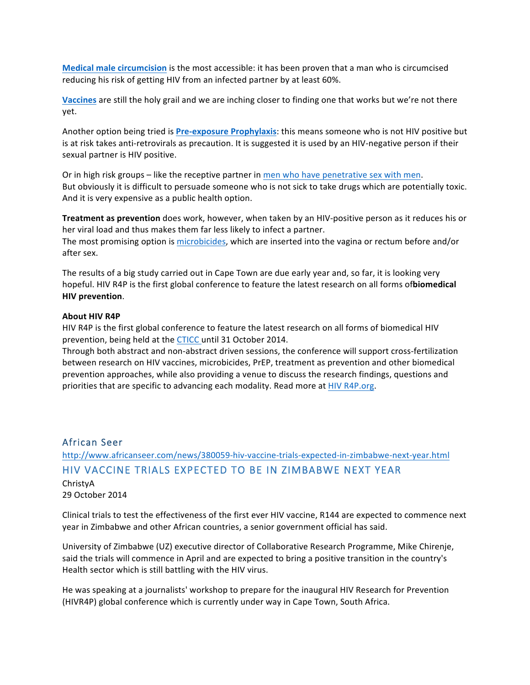**Medical male circumcision** is the most accessible: it has been proven that a man who is circumcised reducing his risk of getting HIV from an infected partner by at least 60%.

**Vaccines** are still the holy grail and we are inching closer to finding one that works but we're not there yet.

Another option being tried is Pre-exposure Prophylaxis: this means someone who is not HIV positive but is at risk takes anti-retrovirals as precaution. It is suggested it is used by an HIV-negative person if their sexual partner is HIV positive.

Or in high risk groups – like the receptive partner in men who have penetrative sex with men. But obviously it is difficult to persuade someone who is not sick to take drugs which are potentially toxic. And it is very expensive as a public health option.

**Treatment as prevention** does work, however, when taken by an HIV-positive person as it reduces his or her viral load and thus makes them far less likely to infect a partner.

The most promising option is microbicides, which are inserted into the vagina or rectum before and/or after sex.

The results of a big study carried out in Cape Town are due early year and, so far, it is looking very hopeful. HIV R4P is the first global conference to feature the latest research on all forms ofbiomedical **HIV prevention**.

#### **About HIV R4P**

HIV R4P is the first global conference to feature the latest research on all forms of biomedical HIV prevention, being held at the CTICC until 31 October 2014.

Through both abstract and non-abstract driven sessions, the conference will support cross-fertilization between research on HIV vaccines, microbicides, PrEP, treatment as prevention and other biomedical prevention approaches, while also providing a venue to discuss the research findings, questions and priorities that are specific to advancing each modality. Read more at HIV R4P.org.

## African Seer

http://www.africanseer.com/news/380059-hiv-vaccine-trials-expected-in-zimbabwe-next-year.html HIV VACCINE TRIALS EXPECTED TO BE IN ZIMBABWE NEXT YEAR ChristyA 29 October 2014

Clinical trials to test the effectiveness of the first ever HIV vaccine, R144 are expected to commence next year in Zimbabwe and other African countries, a senior government official has said.

University of Zimbabwe (UZ) executive director of Collaborative Research Programme, Mike Chirenje, said the trials will commence in April and are expected to bring a positive transition in the country's Health sector which is still battling with the HIV virus.

He was speaking at a journalists' workshop to prepare for the inaugural HIV Research for Prevention (HIVR4P) global conference which is currently under way in Cape Town, South Africa.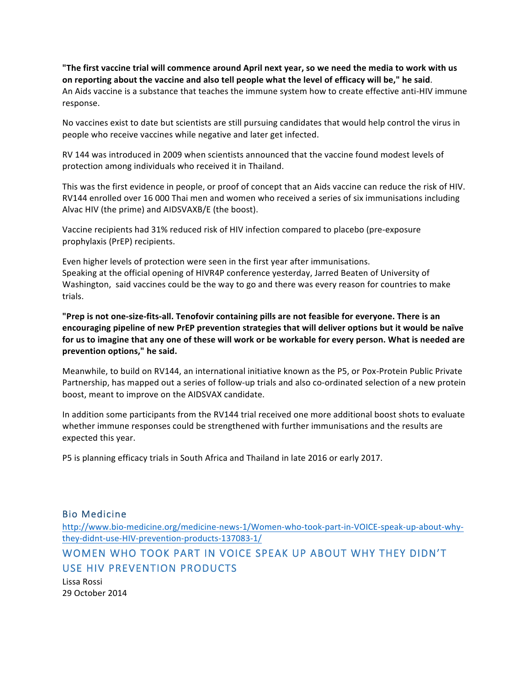"The first vaccine trial will commence around April next year, so we need the media to work with us on reporting about the vaccine and also tell people what the level of efficacy will be," he said. An Aids vaccine is a substance that teaches the immune system how to create effective anti-HIV immune response.

No vaccines exist to date but scientists are still pursuing candidates that would help control the virus in people who receive vaccines while negative and later get infected.

RV 144 was introduced in 2009 when scientists announced that the vaccine found modest levels of protection among individuals who received it in Thailand.

This was the first evidence in people, or proof of concept that an Aids vaccine can reduce the risk of HIV. RV144 enrolled over 16 000 Thai men and women who received a series of six immunisations including Alvac HIV (the prime) and AIDSVAXB/E (the boost).

Vaccine recipients had 31% reduced risk of HIV infection compared to placebo (pre-exposure prophylaxis (PrEP) recipients.

Even higher levels of protection were seen in the first year after immunisations. Speaking at the official opening of HIVR4P conference yesterday, Jarred Beaten of University of Washington, said vaccines could be the way to go and there was every reason for countries to make trials.

"Prep is not one-size-fits-all. Tenofovir containing pills are not feasible for everyone. There is an encouraging pipeline of new PrEP prevention strategies that will deliver options but it would be naïve for us to imagine that any one of these will work or be workable for every person. What is needed are prevention options," he said.

Meanwhile, to build on RV144, an international initiative known as the P5, or Pox-Protein Public Private Partnership, has mapped out a series of follow-up trials and also co-ordinated selection of a new protein boost, meant to improve on the AIDSVAX candidate.

In addition some participants from the RV144 trial received one more additional boost shots to evaluate whether immune responses could be strengthened with further immunisations and the results are expected this year.

P5 is planning efficacy trials in South Africa and Thailand in late 2016 or early 2017.

Bio Medicine

http://www.bio-medicine.org/medicine-news-1/Women-who-took-part-in-VOICE-speak-up-about-whythey-didnt-use-HIV-prevention-products-137083-1/

WOMEN WHO TOOK PART IN VOICE SPEAK UP ABOUT WHY THEY DIDN'T USE HIV PREVENTION PRODUCTS

Lissa Rossi 29 October 2014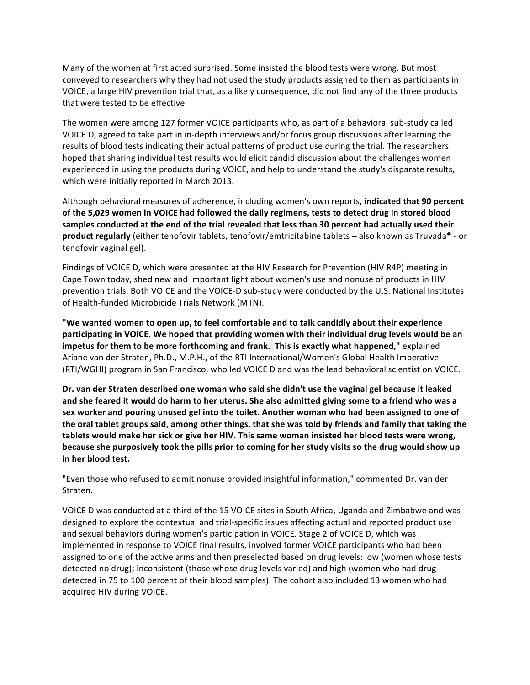Many of the women at first acted surprised. Some insisted the blood tests were wrong. But most conveyed to researchers why they had not used the study products assigned to them as participants in VOICE, a large HIV prevention trial that, as a likely consequence, did not find any of the three products that were tested to be effective.

The women were among 127 former VOICE participants who, as part of a behavioral sub-study called VOICE D, agreed to take part in in-depth interviews and/or focus group discussions after learning the results of blood tests indicating their actual patterns of product use during the trial. The researchers hoped that sharing individual test results would elicit candid discussion about the challenges women experienced in using the products during VOICE, and help to understand the study's disparate results, which were initially reported in March 2013.

Although behavioral measures of adherence, including women's own reports, indicated that 90 percent of the 5,029 women in VOICE had followed the daily regimens, tests to detect drug in stored blood samples conducted at the end of the trial revealed that less than 30 percent had actually used their **product regularly** (either tenofovir tablets, tenofovir/emtricitabine tablets – also known as Truvada<sup>®</sup> - or tenofovir vaginal gel).

Findings of VOICE D, which were presented at the HIV Research for Prevention (HIV R4P) meeting in Cape Town today, shed new and important light about women's use and nonuse of products in HIV prevention trials. Both VOICE and the VOICE-D sub-study were conducted by the U.S. National Institutes of Health-funded Microbicide Trials Network (MTN).

"We wanted women to open up, to feel comfortable and to talk candidly about their experience participating in VOICE. We hoped that providing women with their individual drug levels would be an **impetus for them to be more forthcoming and frank. This is exactly what happened," explained** Ariane van der Straten, Ph.D., M.P.H., of the RTI International/Women's Global Health Imperative (RTI/WGHI) program in San Francisco, who led VOICE D and was the lead behavioral scientist on VOICE.

Dr. van der Straten described one woman who said she didn't use the vaginal gel because it leaked and she feared it would do harm to her uterus. She also admitted giving some to a friend who was a sex worker and pouring unused gel into the toilet. Another woman who had been assigned to one of the oral tablet groups said, among other things, that she was told by friends and family that taking the tablets would make her sick or give her HIV. This same woman insisted her blood tests were wrong, **because she purposively took the pills prior to coming for her study visits so the drug would show up in her blood test.**

"Even those who refused to admit nonuse provided insightful information," commented Dr. van der Straten.

VOICE D was conducted at a third of the 15 VOICE sites in South Africa, Uganda and Zimbabwe and was designed to explore the contextual and trial-specific issues affecting actual and reported product use and sexual behaviors during women's participation in VOICE. Stage 2 of VOICE D, which was implemented in response to VOICE final results, involved former VOICE participants who had been assigned to one of the active arms and then preselected based on drug levels: low (women whose tests detected no drug); inconsistent (those whose drug levels varied) and high (women who had drug detected in 75 to 100 percent of their blood samples). The cohort also included 13 women who had acquired HIV during VOICE.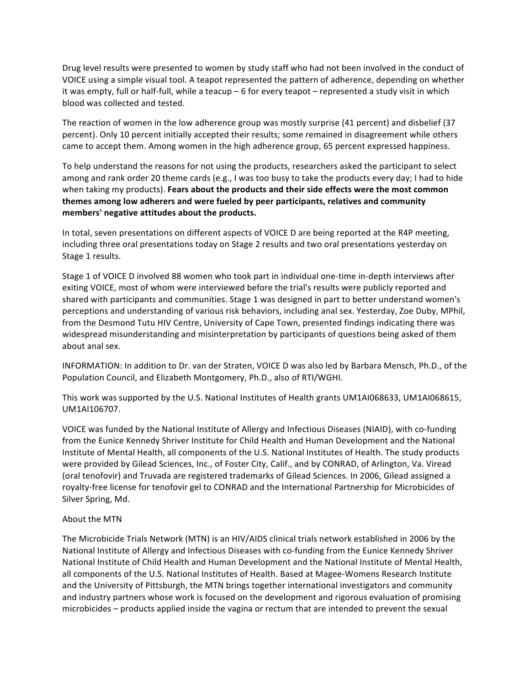Drug level results were presented to women by study staff who had not been involved in the conduct of VOICE using a simple visual tool. A teapot represented the pattern of adherence, depending on whether it was empty, full or half-full, while a teacup - 6 for every teapot - represented a study visit in which blood was collected and tested.

The reaction of women in the low adherence group was mostly surprise (41 percent) and disbelief (37 percent). Only 10 percent initially accepted their results; some remained in disagreement while others came to accept them. Among women in the high adherence group, 65 percent expressed happiness.

To help understand the reasons for not using the products, researchers asked the participant to select among and rank order 20 theme cards (e.g., I was too busy to take the products every day; I had to hide when taking my products). Fears about the products and their side effects were the most common themes among low adherers and were fueled by peer participants, relatives and community members' negative attitudes about the products.

In total, seven presentations on different aspects of VOICE D are being reported at the R4P meeting, including three oral presentations today on Stage 2 results and two oral presentations yesterday on Stage 1 results.

Stage 1 of VOICE D involved 88 women who took part in individual one-time in-depth interviews after exiting VOICE, most of whom were interviewed before the trial's results were publicly reported and shared with participants and communities. Stage 1 was designed in part to better understand women's perceptions and understanding of various risk behaviors, including anal sex. Yesterday, Zoe Duby, MPhil, from the Desmond Tutu HIV Centre, University of Cape Town, presented findings indicating there was widespread misunderstanding and misinterpretation by participants of questions being asked of them about anal sex.

INFORMATION: In addition to Dr. van der Straten, VOICE D was also led by Barbara Mensch, Ph.D., of the Population Council, and Elizabeth Montgomery, Ph.D., also of RTI/WGHI.

This work was supported by the U.S. National Institutes of Health grants UM1AI068633, UM1AI068615, UM1AI106707.

VOICE was funded by the National Institute of Allergy and Infectious Diseases (NIAID), with co-funding from the Eunice Kennedy Shriver Institute for Child Health and Human Development and the National Institute of Mental Health, all components of the U.S. National Institutes of Health. The study products were provided by Gilead Sciences, Inc., of Foster City, Calif., and by CONRAD, of Arlington, Va. Viread (oral tenofovir) and Truvada are registered trademarks of Gilead Sciences. In 2006, Gilead assigned a royalty-free license for tenofovir gel to CONRAD and the International Partnership for Microbicides of Silver Spring, Md.

#### About the MTN

The Microbicide Trials Network (MTN) is an HIV/AIDS clinical trials network established in 2006 by the National Institute of Allergy and Infectious Diseases with co-funding from the Eunice Kennedy Shriver National Institute of Child Health and Human Development and the National Institute of Mental Health, all components of the U.S. National Institutes of Health. Based at Magee-Womens Research Institute and the University of Pittsburgh, the MTN brings together international investigators and community and industry partners whose work is focused on the development and rigorous evaluation of promising microbicides – products applied inside the vagina or rectum that are intended to prevent the sexual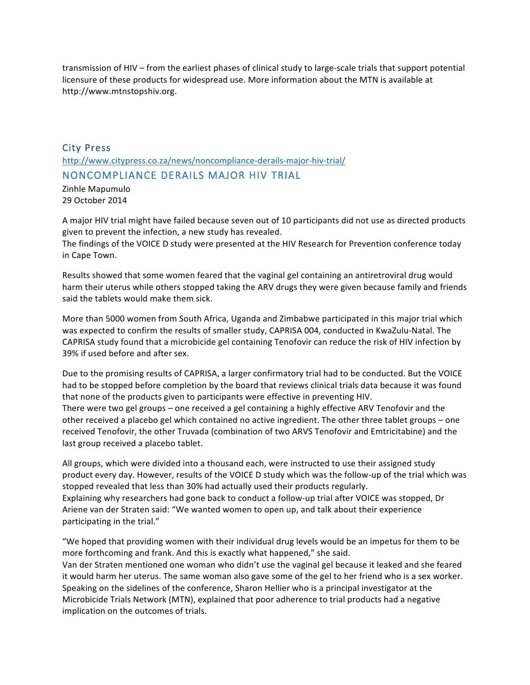transmission of HIV – from the earliest phases of clinical study to large-scale trials that support potential licensure of these products for widespread use. More information about the MTN is available at http://www.mtnstopshiv.org.

# City Press http://www.citypress.co.za/news/noncompliance-derails-major-hiv-trial/ NONCOMPLIANCE DERAILS MAJOR HIV TRIAL

Zinhle Mapumulo 29 October 2014

A major HIV trial might have failed because seven out of 10 participants did not use as directed products given to prevent the infection, a new study has revealed.

The findings of the VOICE D study were presented at the HIV Research for Prevention conference today in Cape Town.

Results showed that some women feared that the vaginal gel containing an antiretroviral drug would harm their uterus while others stopped taking the ARV drugs they were given because family and friends said the tablets would make them sick.

More than 5000 women from South Africa, Uganda and Zimbabwe participated in this major trial which was expected to confirm the results of smaller study, CAPRISA 004, conducted in KwaZulu-Natal. The CAPRISA study found that a microbicide gel containing Tenofovir can reduce the risk of HIV infection by 39% if used before and after sex.

Due to the promising results of CAPRISA, a larger confirmatory trial had to be conducted. But the VOICE had to be stopped before completion by the board that reviews clinical trials data because it was found that none of the products given to participants were effective in preventing HIV. There were two gel groups - one received a gel containing a highly effective ARV Tenofovir and the other received a placebo gel which contained no active ingredient. The other three tablet groups – one received Tenofovir, the other Truvada (combination of two ARVS Tenofovir and Emtricitabine) and the last group received a placebo tablet.

All groups, which were divided into a thousand each, were instructed to use their assigned study product every day. However, results of the VOICE D study which was the follow-up of the trial which was stopped revealed that less than 30% had actually used their products regularly. Explaining why researchers had gone back to conduct a follow-up trial after VOICE was stopped, Dr Ariene van der Straten said: "We wanted women to open up, and talk about their experience participating in the trial."

"We hoped that providing women with their individual drug levels would be an impetus for them to be more forthcoming and frank. And this is exactly what happened," she said.

Van der Straten mentioned one woman who didn't use the vaginal gel because it leaked and she feared it would harm her uterus. The same woman also gave some of the gel to her friend who is a sex worker. Speaking on the sidelines of the conference, Sharon Hellier who is a principal investigator at the Microbicide Trials Network (MTN), explained that poor adherence to trial products had a negative implication on the outcomes of trials.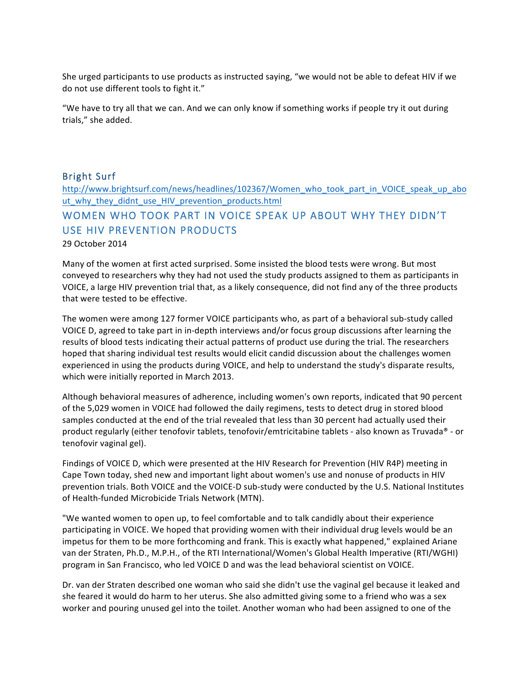She urged participants to use products as instructed saying, "we would not be able to defeat HIV if we do not use different tools to fight it."

"We have to try all that we can. And we can only know if something works if people try it out during trials," she added.

## Bright Surf

http://www.brightsurf.com/news/headlines/102367/Women\_who\_took\_part\_in\_VOICE\_speak\_up\_abo ut\_why\_they\_didnt\_use\_HIV\_prevention\_products.html

# WOMEN WHO TOOK PART IN VOICE SPEAK UP ABOUT WHY THEY DIDN'T USE HIV PREVENTION PRODUCTS

29 October 2014

Many of the women at first acted surprised. Some insisted the blood tests were wrong. But most conveyed to researchers why they had not used the study products assigned to them as participants in VOICE, a large HIV prevention trial that, as a likely consequence, did not find any of the three products that were tested to be effective.

The women were among 127 former VOICE participants who, as part of a behavioral sub-study called VOICE D, agreed to take part in in-depth interviews and/or focus group discussions after learning the results of blood tests indicating their actual patterns of product use during the trial. The researchers hoped that sharing individual test results would elicit candid discussion about the challenges women experienced in using the products during VOICE, and help to understand the study's disparate results, which were initially reported in March 2013.

Although behavioral measures of adherence, including women's own reports, indicated that 90 percent of the 5,029 women in VOICE had followed the daily regimens, tests to detect drug in stored blood samples conducted at the end of the trial revealed that less than 30 percent had actually used their product regularly (either tenofovir tablets, tenofovir/emtricitabine tablets - also known as Truvada® - or tenofovir vaginal gel).

Findings of VOICE D, which were presented at the HIV Research for Prevention (HIV R4P) meeting in Cape Town today, shed new and important light about women's use and nonuse of products in HIV prevention trials. Both VOICE and the VOICE-D sub-study were conducted by the U.S. National Institutes of Health-funded Microbicide Trials Network (MTN).

"We wanted women to open up, to feel comfortable and to talk candidly about their experience participating in VOICE. We hoped that providing women with their individual drug levels would be an impetus for them to be more forthcoming and frank. This is exactly what happened," explained Ariane van der Straten, Ph.D., M.P.H., of the RTI International/Women's Global Health Imperative (RTI/WGHI) program in San Francisco, who led VOICE D and was the lead behavioral scientist on VOICE.

Dr. van der Straten described one woman who said she didn't use the vaginal gel because it leaked and she feared it would do harm to her uterus. She also admitted giving some to a friend who was a sex worker and pouring unused gel into the toilet. Another woman who had been assigned to one of the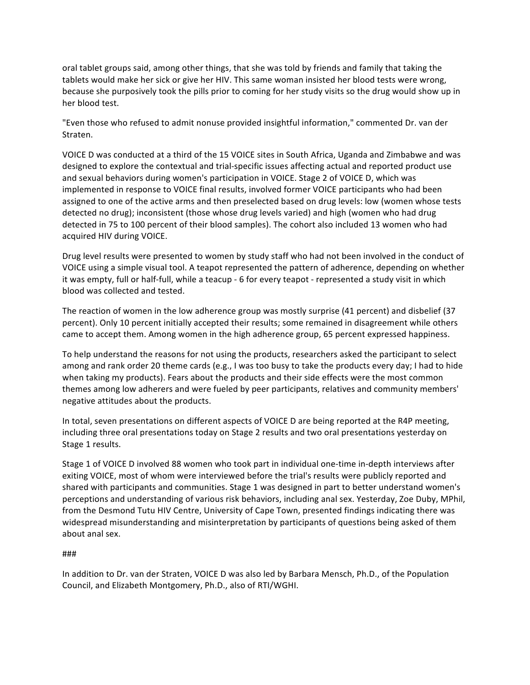oral tablet groups said, among other things, that she was told by friends and family that taking the tablets would make her sick or give her HIV. This same woman insisted her blood tests were wrong, because she purposively took the pills prior to coming for her study visits so the drug would show up in her blood test.

"Even those who refused to admit nonuse provided insightful information," commented Dr. van der Straten.

VOICE D was conducted at a third of the 15 VOICE sites in South Africa, Uganda and Zimbabwe and was designed to explore the contextual and trial-specific issues affecting actual and reported product use and sexual behaviors during women's participation in VOICE. Stage 2 of VOICE D, which was implemented in response to VOICE final results, involved former VOICE participants who had been assigned to one of the active arms and then preselected based on drug levels: low (women whose tests detected no drug); inconsistent (those whose drug levels varied) and high (women who had drug detected in 75 to 100 percent of their blood samples). The cohort also included 13 women who had acquired HIV during VOICE.

Drug level results were presented to women by study staff who had not been involved in the conduct of VOICE using a simple visual tool. A teapot represented the pattern of adherence, depending on whether it was empty, full or half-full, while a teacup - 6 for every teapot - represented a study visit in which blood was collected and tested.

The reaction of women in the low adherence group was mostly surprise (41 percent) and disbelief (37 percent). Only 10 percent initially accepted their results; some remained in disagreement while others came to accept them. Among women in the high adherence group, 65 percent expressed happiness.

To help understand the reasons for not using the products, researchers asked the participant to select among and rank order 20 theme cards (e.g., I was too busy to take the products every day; I had to hide when taking my products). Fears about the products and their side effects were the most common themes among low adherers and were fueled by peer participants, relatives and community members' negative attitudes about the products.

In total, seven presentations on different aspects of VOICE D are being reported at the R4P meeting, including three oral presentations today on Stage 2 results and two oral presentations yesterday on Stage 1 results.

Stage 1 of VOICE D involved 88 women who took part in individual one-time in-depth interviews after exiting VOICE, most of whom were interviewed before the trial's results were publicly reported and shared with participants and communities. Stage 1 was designed in part to better understand women's perceptions and understanding of various risk behaviors, including anal sex. Yesterday, Zoe Duby, MPhil, from the Desmond Tutu HIV Centre, University of Cape Town, presented findings indicating there was widespread misunderstanding and misinterpretation by participants of questions being asked of them about anal sex.

#### ###

In addition to Dr. van der Straten, VOICE D was also led by Barbara Mensch, Ph.D., of the Population Council, and Elizabeth Montgomery, Ph.D., also of RTI/WGHI.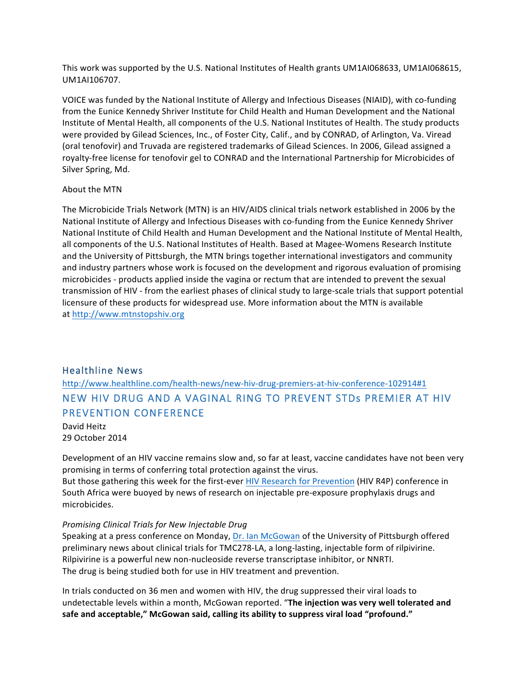This work was supported by the U.S. National Institutes of Health grants UM1AI068633, UM1AI068615, UM1AI106707.

VOICE was funded by the National Institute of Allergy and Infectious Diseases (NIAID), with co-funding from the Eunice Kennedy Shriver Institute for Child Health and Human Development and the National Institute of Mental Health, all components of the U.S. National Institutes of Health. The study products were provided by Gilead Sciences, Inc., of Foster City, Calif., and by CONRAD, of Arlington, Va. Viread (oral tenofovir) and Truvada are registered trademarks of Gilead Sciences. In 2006, Gilead assigned a royalty-free license for tenofovir gel to CONRAD and the International Partnership for Microbicides of Silver Spring, Md.

#### About the MTN

The Microbicide Trials Network (MTN) is an HIV/AIDS clinical trials network established in 2006 by the National Institute of Allergy and Infectious Diseases with co-funding from the Eunice Kennedy Shriver National Institute of Child Health and Human Development and the National Institute of Mental Health, all components of the U.S. National Institutes of Health. Based at Magee-Womens Research Institute and the University of Pittsburgh, the MTN brings together international investigators and community and industry partners whose work is focused on the development and rigorous evaluation of promising microbicides - products applied inside the vagina or rectum that are intended to prevent the sexual transmission of HIV - from the earliest phases of clinical study to large-scale trials that support potential licensure of these products for widespread use. More information about the MTN is available at http://www.mtnstopshiv.org

## Healthline News

# http://www.healthline.com/health-news/new-hiv-drug-premiers-at-hiv-conference-102914#1 NEW HIV DRUG AND A VAGINAL RING TO PREVENT STDs PREMIER AT HIV PREVENTION CONFERENCE

David Heitz 29 October 2014

Development of an HIV vaccine remains slow and, so far at least, vaccine candidates have not been very promising in terms of conferring total protection against the virus. But those gathering this week for the first-ever HIV Research for Prevention (HIV R4P) conference in South Africa were buoyed by news of research on injectable pre-exposure prophylaxis drugs and microbicides.

#### *Promising Clinical Trials for New Injectable Drug*

Speaking at a press conference on Monday, Dr. Ian McGowan of the University of Pittsburgh offered preliminary news about clinical trials for TMC278-LA, a long-lasting, injectable form of rilpivirine. Rilpivirine is a powerful new non-nucleoside reverse transcriptase inhibitor, or NNRTI. The drug is being studied both for use in HIV treatment and prevention.

In trials conducted on 36 men and women with HIV, the drug suppressed their viral loads to undetectable levels within a month, McGowan reported. "The injection was very well tolerated and safe and acceptable," McGowan said, calling its ability to suppress viral load "profound."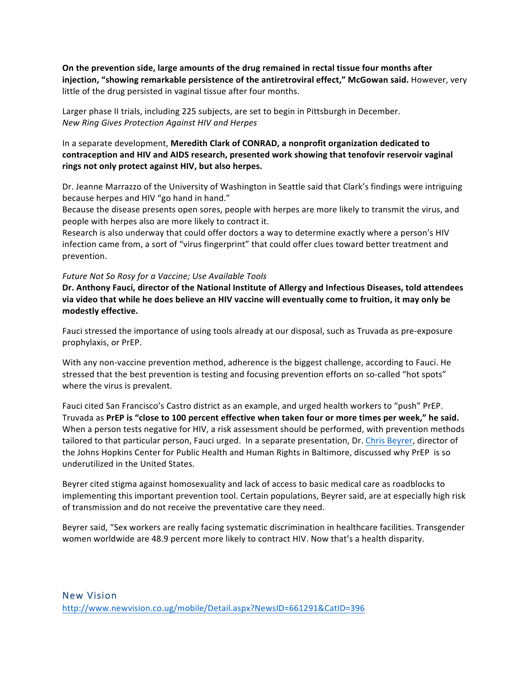On the prevention side, large amounts of the drug remained in rectal tissue four months after injection, "showing remarkable persistence of the antiretroviral effect," McGowan said. However, very little of the drug persisted in vaginal tissue after four months.

Larger phase II trials, including 225 subjects, are set to begin in Pittsburgh in December. *New Ring Gives Protection Against HIV and Herpes*

In a separate development, Meredith Clark of CONRAD, a nonprofit organization dedicated to contraception and HIV and AIDS research, presented work showing that tenofovir reservoir vaginal rings not only protect against HIV, but also herpes.

Dr. Jeanne Marrazzo of the University of Washington in Seattle said that Clark's findings were intriguing because herpes and HIV "go hand in hand."

Because the disease presents open sores, people with herpes are more likely to transmit the virus, and people with herpes also are more likely to contract it.

Research is also underway that could offer doctors a way to determine exactly where a person's HIV infection came from, a sort of "virus fingerprint" that could offer clues toward better treatment and prevention.

#### Future Not So Rosy for a Vaccine; Use Available Tools

Dr. Anthony Fauci, director of the National Institute of Allergy and Infectious Diseases, told attendees via video that while he does believe an HIV vaccine will eventually come to fruition, it may only be **modestly effective.**

Fauci stressed the importance of using tools already at our disposal, such as Truvada as pre-exposure prophylaxis, or PrEP.

With any non-vaccine prevention method, adherence is the biggest challenge, according to Fauci. He stressed that the best prevention is testing and focusing prevention efforts on so-called "hot spots" where the virus is prevalent.

Fauci cited San Francisco's Castro district as an example, and urged health workers to "push" PrEP. Truvada as PrEP is "close to 100 percent effective when taken four or more times per week," he said. When a person tests negative for HIV, a risk assessment should be performed, with prevention methods tailored to that particular person, Fauci urged. In a separate presentation, Dr. Chris Beyrer, director of the Johns Hopkins Center for Public Health and Human Rights in Baltimore, discussed why PrEP is so underutilized in the United States.

Beyrer cited stigma against homosexuality and lack of access to basic medical care as roadblocks to implementing this important prevention tool. Certain populations, Beyrer said, are at especially high risk of transmission and do not receive the preventative care they need.

Beyrer said, "Sex workers are really facing systematic discrimination in healthcare facilities. Transgender women worldwide are 48.9 percent more likely to contract HIV. Now that's a health disparity.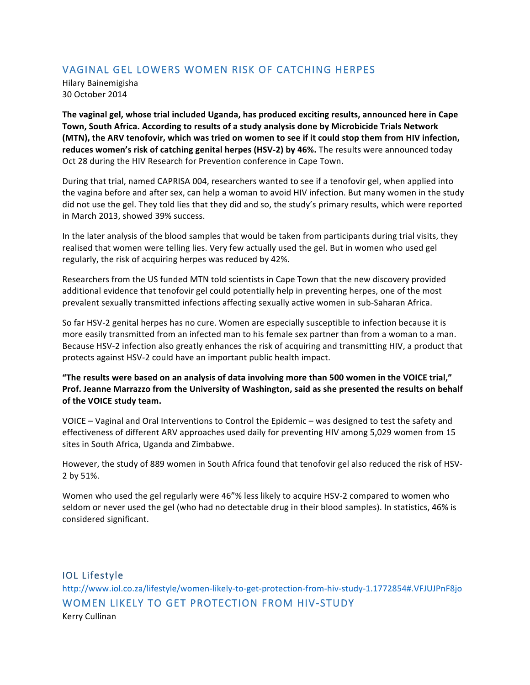# VAGINAL GEL LOWERS WOMEN RISK OF CATCHING HERPES

Hilary Bainemigisha 30 October 2014

The vaginal gel, whose trial included Uganda, has produced exciting results, announced here in Cape Town, South Africa. According to results of a study analysis done by Microbicide Trials Network **(MTN), the ARV tenofovir, which was tried on women to see if it could stop them from HIV infection,** reduces women's risk of catching genital herpes (HSV-2) by 46%. The results were announced today Oct 28 during the HIV Research for Prevention conference in Cape Town.

During that trial, named CAPRISA 004, researchers wanted to see if a tenofovir gel, when applied into the vagina before and after sex, can help a woman to avoid HIV infection. But many women in the study did not use the gel. They told lies that they did and so, the study's primary results, which were reported in March 2013, showed 39% success.

In the later analysis of the blood samples that would be taken from participants during trial visits, they realised that women were telling lies. Very few actually used the gel. But in women who used gel regularly, the risk of acquiring herpes was reduced by 42%.

Researchers from the US funded MTN told scientists in Cape Town that the new discovery provided additional evidence that tenofovir gel could potentially help in preventing herpes, one of the most prevalent sexually transmitted infections affecting sexually active women in sub-Saharan Africa.

So far HSV-2 genital herpes has no cure. Women are especially susceptible to infection because it is more easily transmitted from an infected man to his female sex partner than from a woman to a man. Because HSV-2 infection also greatly enhances the risk of acquiring and transmitting HIV, a product that protects against HSV-2 could have an important public health impact.

"The results were based on an analysis of data involving more than 500 women in the VOICE trial," Prof. Jeanne Marrazzo from the University of Washington, said as she presented the results on behalf of the VOICE study team.

VOICE  $-$  Vaginal and Oral Interventions to Control the Epidemic  $-$  was designed to test the safety and effectiveness of different ARV approaches used daily for preventing HIV among 5,029 women from 15 sites in South Africa, Uganda and Zimbabwe.

However, the study of 889 women in South Africa found that tenofovir gel also reduced the risk of HSV-2 by 51%.

Women who used the gel regularly were 46"% less likely to acquire HSV-2 compared to women who seldom or never used the gel (who had no detectable drug in their blood samples). In statistics, 46% is considered significant.

IOL Lifestyle http://www.iol.co.za/lifestyle/women-likely-to-get-protection-from-hiv-study-1.1772854#.VFJUJPnF8jo WOMEN LIKELY TO GET PROTECTION FROM HIV-STUDY Kerry Cullinan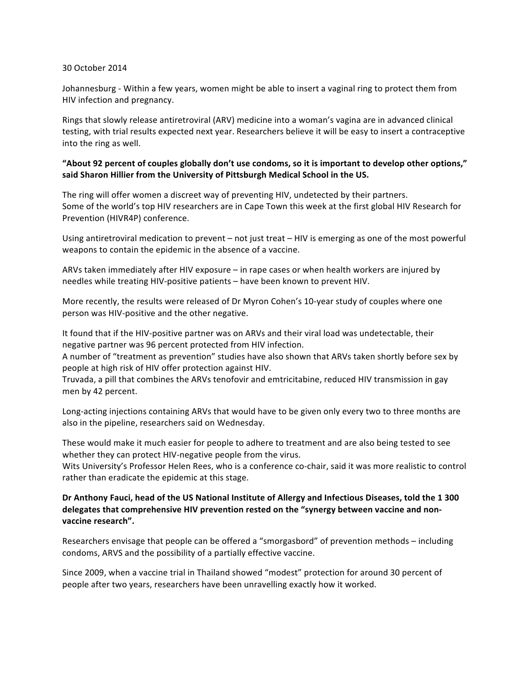#### 30 October 2014

Johannesburg - Within a few years, women might be able to insert a vaginal ring to protect them from HIV infection and pregnancy.

Rings that slowly release antiretroviral (ARV) medicine into a woman's vagina are in advanced clinical testing, with trial results expected next year. Researchers believe it will be easy to insert a contraceptive into the ring as well.

## "About 92 percent of couples globally don't use condoms, so it is important to develop other options," said Sharon Hillier from the University of Pittsburgh Medical School in the US.

The ring will offer women a discreet way of preventing HIV, undetected by their partners. Some of the world's top HIV researchers are in Cape Town this week at the first global HIV Research for Prevention (HIVR4P) conference.

Using antiretroviral medication to prevent – not just treat – HIV is emerging as one of the most powerful weapons to contain the epidemic in the absence of a vaccine.

ARVs taken immediately after HIV exposure  $-$  in rape cases or when health workers are injured by needles while treating HIV-positive patients - have been known to prevent HIV.

More recently, the results were released of Dr Myron Cohen's 10-year study of couples where one person was HIV-positive and the other negative.

It found that if the HIV-positive partner was on ARVs and their viral load was undetectable, their negative partner was 96 percent protected from HIV infection.

A number of "treatment as prevention" studies have also shown that ARVs taken shortly before sex by people at high risk of HIV offer protection against HIV.

Truvada, a pill that combines the ARVs tenofovir and emtricitabine, reduced HIV transmission in gay men by 42 percent.

Long-acting injections containing ARVs that would have to be given only every two to three months are also in the pipeline, researchers said on Wednesday.

These would make it much easier for people to adhere to treatment and are also being tested to see whether they can protect HIV-negative people from the virus.

Wits University's Professor Helen Rees, who is a conference co-chair, said it was more realistic to control rather than eradicate the epidemic at this stage.

### Dr Anthony Fauci, head of the US National Institute of Allergy and Infectious Diseases, told the 1 300 delegates that comprehensive HIV prevention rested on the "synergy between vaccine and nonvaccine research".

Researchers envisage that people can be offered a "smorgasbord" of prevention methods - including condoms, ARVS and the possibility of a partially effective vaccine.

Since 2009, when a vaccine trial in Thailand showed "modest" protection for around 30 percent of people after two years, researchers have been unravelling exactly how it worked.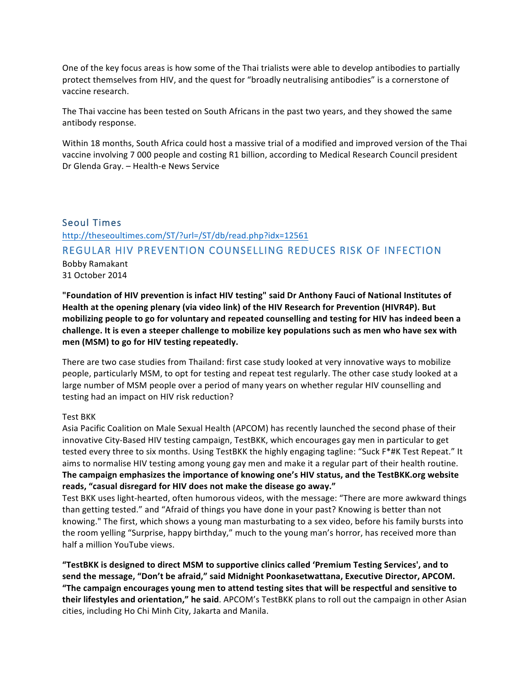One of the key focus areas is how some of the Thai trialists were able to develop antibodies to partially protect themselves from HIV, and the quest for "broadly neutralising antibodies" is a cornerstone of vaccine research.

The Thai vaccine has been tested on South Africans in the past two years, and they showed the same antibody response.

Within 18 months, South Africa could host a massive trial of a modified and improved version of the Thai vaccine involving 7 000 people and costing R1 billion, according to Medical Research Council president Dr Glenda Gray. - Health-e News Service

## Seoul Times

http://theseoultimes.com/ST/?url=/ST/db/read.php?idx=12561

## REGULAR HIV PREVENTION COUNSELLING REDUCES RISK OF INFECTION

Bobby Ramakant 31 October 2014

"Foundation of HIV prevention is infact HIV testing" said Dr Anthony Fauci of National Institutes of Health at the opening plenary (via video link) of the HIV Research for Prevention (HIVR4P). But mobilizing people to go for voluntary and repeated counselling and testing for HIV has indeed been a challenge. It is even a steeper challenge to mobilize key populations such as men who have sex with men (MSM) to go for HIV testing repeatedly.

There are two case studies from Thailand: first case study looked at very innovative ways to mobilize people, particularly MSM, to opt for testing and repeat test regularly. The other case study looked at a large number of MSM people over a period of many years on whether regular HIV counselling and testing had an impact on HIV risk reduction?

#### Test BKK

Asia Pacific Coalition on Male Sexual Health (APCOM) has recently launched the second phase of their innovative City-Based HIV testing campaign, TestBKK, which encourages gay men in particular to get tested every three to six months. Using TestBKK the highly engaging tagline: "Suck F\*#K Test Repeat." It aims to normalise HIV testing among young gay men and make it a regular part of their health routine. The campaign emphasizes the importance of knowing one's HIV status, and the TestBKK.org website reads, "casual disregard for HIV does not make the disease go away."

Test BKK uses light-hearted, often humorous videos, with the message: "There are more awkward things than getting tested." and "Afraid of things you have done in your past? Knowing is better than not knowing." The first, which shows a young man masturbating to a sex video, before his family bursts into the room yelling "Surprise, happy birthday," much to the young man's horror, has received more than half a million YouTube views.

"TestBKK is designed to direct MSM to supportive clinics called 'Premium Testing Services', and to send the message, "Don't be afraid," said Midnight Poonkasetwattana, Executive Director, APCOM. "The campaign encourages young men to attend testing sites that will be respectful and sensitive to **their lifestyles and orientation," he said**. APCOM's TestBKK plans to roll out the campaign in other Asian cities, including Ho Chi Minh City, Jakarta and Manila.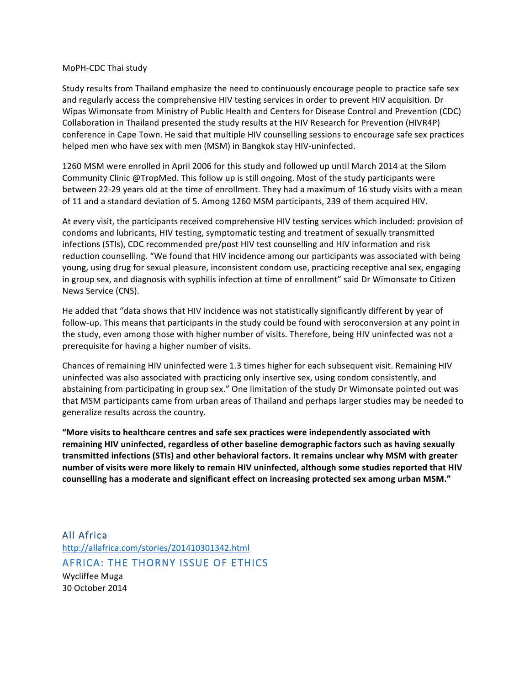#### MoPH-CDC Thai study

Study results from Thailand emphasize the need to continuously encourage people to practice safe sex and regularly access the comprehensive HIV testing services in order to prevent HIV acquisition. Dr Wipas Wimonsate from Ministry of Public Health and Centers for Disease Control and Prevention (CDC) Collaboration in Thailand presented the study results at the HIV Research for Prevention (HIVR4P) conference in Cape Town. He said that multiple HIV counselling sessions to encourage safe sex practices helped men who have sex with men (MSM) in Bangkok stay HIV-uninfected.

1260 MSM were enrolled in April 2006 for this study and followed up until March 2014 at the Silom Community Clinic @TropMed. This follow up is still ongoing. Most of the study participants were between 22-29 years old at the time of enrollment. They had a maximum of 16 study visits with a mean of 11 and a standard deviation of 5. Among 1260 MSM participants, 239 of them acquired HIV.

At every visit, the participants received comprehensive HIV testing services which included: provision of condoms and lubricants, HIV testing, symptomatic testing and treatment of sexually transmitted infections (STIs), CDC recommended pre/post HIV test counselling and HIV information and risk reduction counselling. "We found that HIV incidence among our participants was associated with being young, using drug for sexual pleasure, inconsistent condom use, practicing receptive anal sex, engaging in group sex, and diagnosis with syphilis infection at time of enrollment" said Dr Wimonsate to Citizen News Service (CNS).

He added that "data shows that HIV incidence was not statistically significantly different by year of follow-up. This means that participants in the study could be found with seroconversion at any point in the study, even among those with higher number of visits. Therefore, being HIV uninfected was not a prerequisite for having a higher number of visits.

Chances of remaining HIV uninfected were 1.3 times higher for each subsequent visit. Remaining HIV uninfected was also associated with practicing only insertive sex, using condom consistently, and abstaining from participating in group sex." One limitation of the study Dr Wimonsate pointed out was that MSM participants came from urban areas of Thailand and perhaps larger studies may be needed to generalize results across the country.

"More visits to healthcare centres and safe sex practices were independently associated with remaining HIV uninfected, regardless of other baseline demographic factors such as having sexually transmitted infections (STIs) and other behavioral factors. It remains unclear why MSM with greater number of visits were more likely to remain HIV uninfected, although some studies reported that HIV counselling has a moderate and significant effect on increasing protected sex among urban MSM."

All Africa http://allafrica.com/stories/201410301342.html AFRICA: THE THORNY ISSUE OF ETHICS Wycliffee Muga 30 October 2014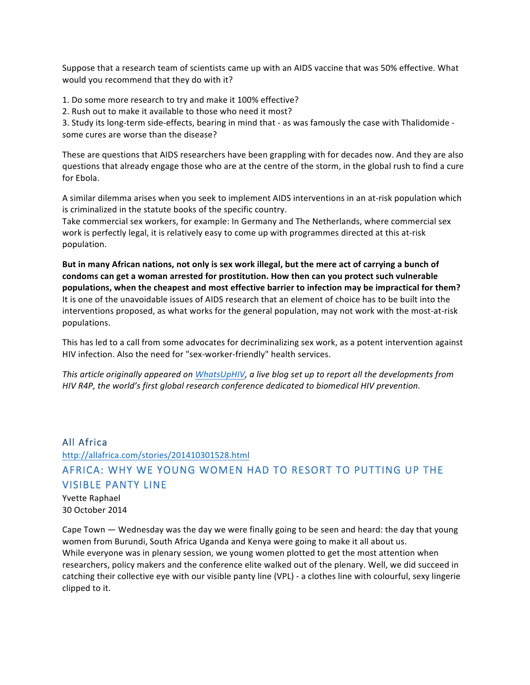Suppose that a research team of scientists came up with an AIDS vaccine that was 50% effective. What would you recommend that they do with it?

- 1. Do some more research to try and make it 100% effective?
- 2. Rush out to make it available to those who need it most?

3. Study its long-term side-effects, bearing in mind that - as was famously the case with Thalidomide some cures are worse than the disease?

These are questions that AIDS researchers have been grappling with for decades now. And they are also questions that already engage those who are at the centre of the storm, in the global rush to find a cure for Ebola.

A similar dilemma arises when you seek to implement AIDS interventions in an at-risk population which is criminalized in the statute books of the specific country.

Take commercial sex workers, for example: In Germany and The Netherlands, where commercial sex work is perfectly legal, it is relatively easy to come up with programmes directed at this at-risk population.

But in many African nations, not only is sex work illegal, but the mere act of carrying a bunch of condoms can get a woman arrested for prostitution. How then can you protect such vulnerable populations, when the cheapest and most effective barrier to infection may be impractical for them? It is one of the unavoidable issues of AIDS research that an element of choice has to be built into the interventions proposed, as what works for the general population, may not work with the most-at-risk populations.

This has led to a call from some advocates for decriminalizing sex work, as a potent intervention against HIV infection. Also the need for "sex-worker-friendly" health services.

*This article originally appeared on WhatsUpHIV, a live blog set up to report all the developments from HIV* R4P, the world's first global research conference dedicated to biomedical HIV prevention.

## All Africa

# http://allafrica.com/stories/201410301528.html AFRICA: WHY WE YOUNG WOMEN HAD TO RESORT TO PUTTING UP THE VISIBLE PANTY LINE

Yvette Raphael 30 October 2014

Cape Town  $-$  Wednesday was the day we were finally going to be seen and heard: the day that young women from Burundi, South Africa Uganda and Kenya were going to make it all about us. While everyone was in plenary session, we young women plotted to get the most attention when researchers, policy makers and the conference elite walked out of the plenary. Well, we did succeed in catching their collective eye with our visible panty line (VPL) - a clothes line with colourful, sexy lingerie clipped to it.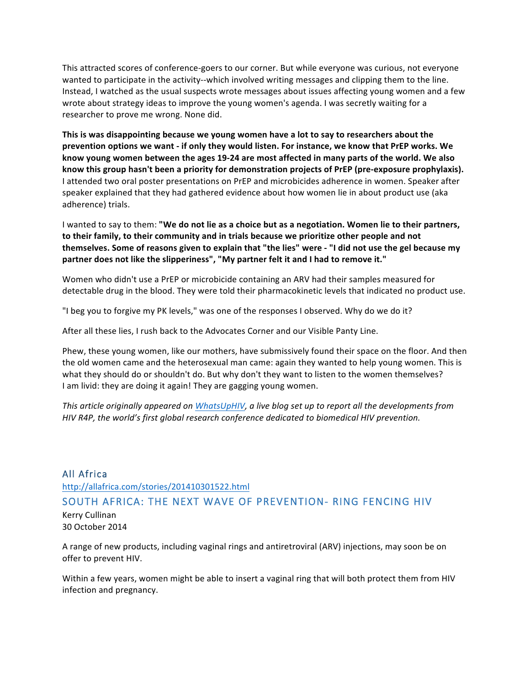This attracted scores of conference-goers to our corner. But while everyone was curious, not everyone wanted to participate in the activity--which involved writing messages and clipping them to the line. Instead, I watched as the usual suspects wrote messages about issues affecting young women and a few wrote about strategy ideas to improve the young women's agenda. I was secretly waiting for a researcher to prove me wrong. None did.

This is was disappointing because we young women have a lot to say to researchers about the prevention options we want - if only they would listen. For instance, we know that PrEP works. We know young women between the ages 19-24 are most affected in many parts of the world. We also know this group hasn't been a priority for demonstration projects of PrEP (pre-exposure prophylaxis). I attended two oral poster presentations on PrEP and microbicides adherence in women. Speaker after speaker explained that they had gathered evidence about how women lie in about product use (aka adherence) trials.

I wanted to say to them: "We do not lie as a choice but as a negotiation. Women lie to their partners, to their family, to their community and in trials because we prioritize other people and not **themselves.** Some of reasons given to explain that "the lies" were - "I did not use the gel because my partner does not like the slipperiness", "My partner felt it and I had to remove it."

Women who didn't use a PrEP or microbicide containing an ARV had their samples measured for detectable drug in the blood. They were told their pharmacokinetic levels that indicated no product use.

"I beg you to forgive my PK levels," was one of the responses I observed. Why do we do it?

After all these lies, I rush back to the Advocates Corner and our Visible Panty Line.

Phew, these young women, like our mothers, have submissively found their space on the floor. And then the old women came and the heterosexual man came: again they wanted to help young women. This is what they should do or shouldn't do. But why don't they want to listen to the women themselves? I am livid: they are doing it again! They are gagging young women.

*This article originally appeared on WhatsUpHIV, a live blog set up to report all the developments from HIV* R4P, the world's first global research conference dedicated to biomedical HIV prevention.

## All Africa

http://allafrica.com/stories/201410301522.html SOUTH AFRICA: THE NEXT WAVE OF PREVENTION- RING FENCING HIV Kerry Cullinan

30 October 2014

A range of new products, including vaginal rings and antiretroviral (ARV) injections, may soon be on offer to prevent HIV.

Within a few years, women might be able to insert a vaginal ring that will both protect them from HIV infection and pregnancy.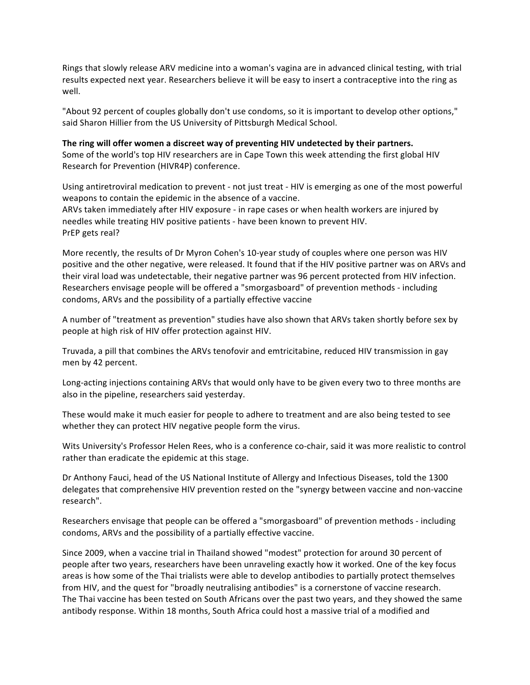Rings that slowly release ARV medicine into a woman's vagina are in advanced clinical testing, with trial results expected next year. Researchers believe it will be easy to insert a contraceptive into the ring as well.

"About 92 percent of couples globally don't use condoms, so it is important to develop other options," said Sharon Hillier from the US University of Pittsburgh Medical School.

The ring will offer women a discreet way of preventing HIV undetected by their partners. Some of the world's top HIV researchers are in Cape Town this week attending the first global HIV Research for Prevention (HIVR4P) conference.

Using antiretroviral medication to prevent - not just treat - HIV is emerging as one of the most powerful weapons to contain the epidemic in the absence of a vaccine. ARVs taken immediately after HIV exposure - in rape cases or when health workers are injured by needles while treating HIV positive patients - have been known to prevent HIV. PrEP gets real?

More recently, the results of Dr Myron Cohen's 10-year study of couples where one person was HIV positive and the other negative, were released. It found that if the HIV positive partner was on ARVs and their viral load was undetectable, their negative partner was 96 percent protected from HIV infection. Researchers envisage people will be offered a "smorgasboard" of prevention methods - including condoms, ARVs and the possibility of a partially effective vaccine

A number of "treatment as prevention" studies have also shown that ARVs taken shortly before sex by people at high risk of HIV offer protection against HIV.

Truvada, a pill that combines the ARVs tenofovir and emtricitabine, reduced HIV transmission in gay men by 42 percent.

Long-acting injections containing ARVs that would only have to be given every two to three months are also in the pipeline, researchers said yesterday.

These would make it much easier for people to adhere to treatment and are also being tested to see whether they can protect HIV negative people form the virus.

Wits University's Professor Helen Rees, who is a conference co-chair, said it was more realistic to control rather than eradicate the epidemic at this stage.

Dr Anthony Fauci, head of the US National Institute of Allergy and Infectious Diseases, told the 1300 delegates that comprehensive HIV prevention rested on the "synergy between vaccine and non-vaccine research".

Researchers envisage that people can be offered a "smorgasboard" of prevention methods - including condoms, ARVs and the possibility of a partially effective vaccine.

Since 2009, when a vaccine trial in Thailand showed "modest" protection for around 30 percent of people after two years, researchers have been unraveling exactly how it worked. One of the key focus areas is how some of the Thai trialists were able to develop antibodies to partially protect themselves from HIV, and the quest for "broadly neutralising antibodies" is a cornerstone of vaccine research. The Thai vaccine has been tested on South Africans over the past two years, and they showed the same antibody response. Within 18 months, South Africa could host a massive trial of a modified and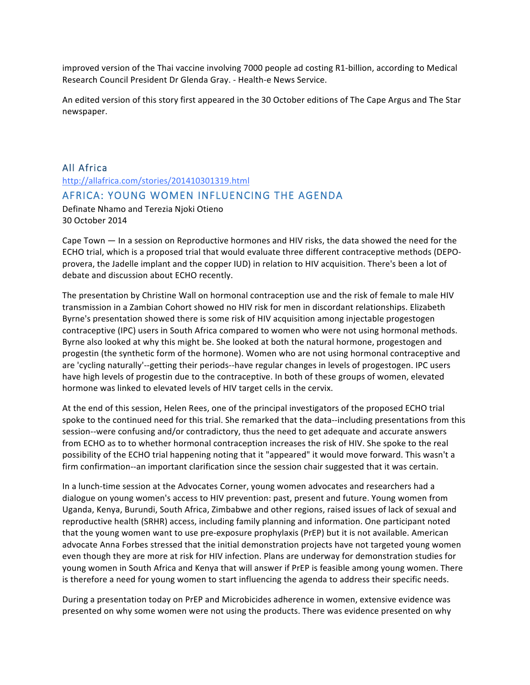improved version of the Thai vaccine involving 7000 people ad costing R1-billion, according to Medical Research Council President Dr Glenda Gray. - Health-e News Service.

An edited version of this story first appeared in the 30 October editions of The Cape Argus and The Star newspaper.

# All Africa http://allafrica.com/stories/201410301319.html AFRICA: YOUNG WOMEN INFLUENCING THE AGENDA Definate Nhamo and Terezia Njoki Otieno

30 October 2014

Cape Town  $-$  In a session on Reproductive hormones and HIV risks, the data showed the need for the ECHO trial, which is a proposed trial that would evaluate three different contraceptive methods (DEPOprovera, the Jadelle implant and the copper IUD) in relation to HIV acquisition. There's been a lot of debate and discussion about ECHO recently.

The presentation by Christine Wall on hormonal contraception use and the risk of female to male HIV transmission in a Zambian Cohort showed no HIV risk for men in discordant relationships. Elizabeth Byrne's presentation showed there is some risk of HIV acquisition among injectable progestogen contraceptive (IPC) users in South Africa compared to women who were not using hormonal methods. Byrne also looked at why this might be. She looked at both the natural hormone, progestogen and progestin (the synthetic form of the hormone). Women who are not using hormonal contraceptive and are 'cycling naturally'--getting their periods--have regular changes in levels of progestogen. IPC users have high levels of progestin due to the contraceptive. In both of these groups of women, elevated hormone was linked to elevated levels of HIV target cells in the cervix.

At the end of this session, Helen Rees, one of the principal investigators of the proposed ECHO trial spoke to the continued need for this trial. She remarked that the data--including presentations from this session--were confusing and/or contradictory, thus the need to get adequate and accurate answers from ECHO as to to whether hormonal contraception increases the risk of HIV. She spoke to the real possibility of the ECHO trial happening noting that it "appeared" it would move forward. This wasn't a firm confirmation--an important clarification since the session chair suggested that it was certain.

In a lunch-time session at the Advocates Corner, young women advocates and researchers had a dialogue on young women's access to HIV prevention: past, present and future. Young women from Uganda, Kenya, Burundi, South Africa, Zimbabwe and other regions, raised issues of lack of sexual and reproductive health (SRHR) access, including family planning and information. One participant noted that the young women want to use pre-exposure prophylaxis (PrEP) but it is not available. American advocate Anna Forbes stressed that the initial demonstration projects have not targeted young women even though they are more at risk for HIV infection. Plans are underway for demonstration studies for young women in South Africa and Kenya that will answer if PrEP is feasible among young women. There is therefore a need for young women to start influencing the agenda to address their specific needs.

During a presentation today on PrEP and Microbicides adherence in women, extensive evidence was presented on why some women were not using the products. There was evidence presented on why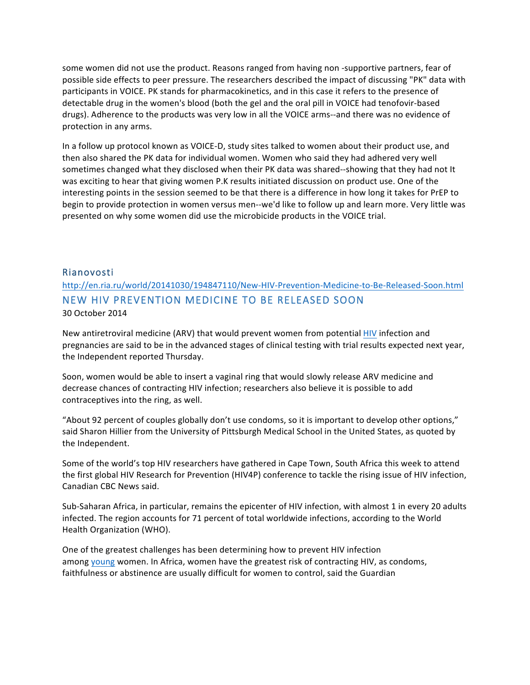some women did not use the product. Reasons ranged from having non -supportive partners, fear of possible side effects to peer pressure. The researchers described the impact of discussing "PK" data with participants in VOICE. PK stands for pharmacokinetics, and in this case it refers to the presence of detectable drug in the women's blood (both the gel and the oral pill in VOICE had tenofovir-based drugs). Adherence to the products was very low in all the VOICE arms--and there was no evidence of protection in any arms.

In a follow up protocol known as VOICE-D, study sites talked to women about their product use, and then also shared the PK data for individual women. Women who said they had adhered very well sometimes changed what they disclosed when their PK data was shared--showing that they had not It was exciting to hear that giving women P.K results initiated discussion on product use. One of the interesting points in the session seemed to be that there is a difference in how long it takes for PrEP to begin to provide protection in women versus men--we'd like to follow up and learn more. Very little was presented on why some women did use the microbicide products in the VOICE trial.

#### Rianovosti

http://en.ria.ru/world/20141030/194847110/New-HIV-Prevention-Medicine-to-Be-Released-Soon.html NEW HIV PREVENTION MEDICINE TO BE RELEASED SOON 30 October 2014

New antiretroviral medicine (ARV) that would prevent women from potential HIV infection and pregnancies are said to be in the advanced stages of clinical testing with trial results expected next year, the Independent reported Thursday.

Soon, women would be able to insert a vaginal ring that would slowly release ARV medicine and decrease chances of contracting HIV infection; researchers also believe it is possible to add contraceptives into the ring, as well.

"About 92 percent of couples globally don't use condoms, so it is important to develop other options," said Sharon Hillier from the University of Pittsburgh Medical School in the United States, as quoted by the Independent.

Some of the world's top HIV researchers have gathered in Cape Town, South Africa this week to attend the first global HIV Research for Prevention (HIV4P) conference to tackle the rising issue of HIV infection, Canadian CBC News said.

Sub-Saharan Africa, in particular, remains the epicenter of HIV infection, with almost 1 in every 20 adults infected. The region accounts for 71 percent of total worldwide infections, according to the World Health Organization (WHO).

One of the greatest challenges has been determining how to prevent HIV infection among young women. In Africa, women have the greatest risk of contracting HIV, as condoms, faithfulness or abstinence are usually difficult for women to control, said the Guardian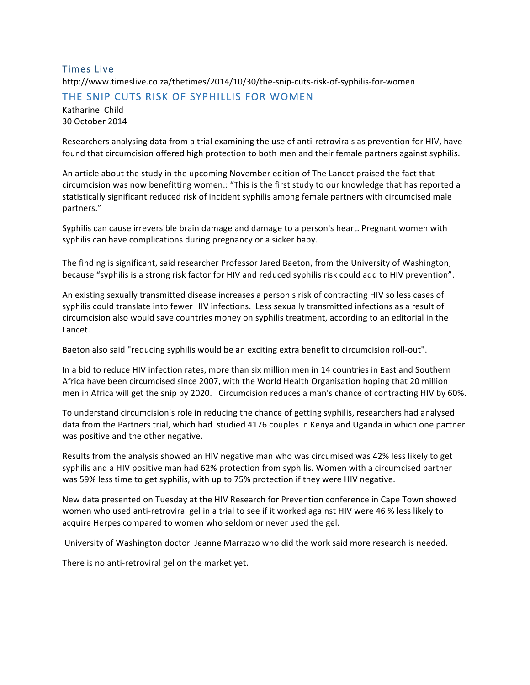## Times Live

http://www.timeslive.co.za/thetimes/2014/10/30/the-snip-cuts-risk-of-syphilis-for-women

## THE SNIP CUTS RISK OF SYPHILLIS FOR WOMEN

Katharine Child 30 October 2014

Researchers analysing data from a trial examining the use of anti-retrovirals as prevention for HIV, have found that circumcision offered high protection to both men and their female partners against syphilis.

An article about the study in the upcoming November edition of The Lancet praised the fact that circumcision was now benefitting women.: "This is the first study to our knowledge that has reported a statistically significant reduced risk of incident syphilis among female partners with circumcised male partners."

Syphilis can cause irreversible brain damage and damage to a person's heart. Pregnant women with syphilis can have complications during pregnancy or a sicker baby.

The finding is significant, said researcher Professor Jared Baeton, from the University of Washington, because "syphilis is a strong risk factor for HIV and reduced syphilis risk could add to HIV prevention".

An existing sexually transmitted disease increases a person's risk of contracting HIV so less cases of syphilis could translate into fewer HIV infections. Less sexually transmitted infections as a result of circumcision also would save countries money on syphilis treatment, according to an editorial in the Lancet.

Baeton also said "reducing syphilis would be an exciting extra benefit to circumcision roll-out".

In a bid to reduce HIV infection rates, more than six million men in 14 countries in East and Southern Africa have been circumcised since 2007, with the World Health Organisation hoping that 20 million men in Africa will get the snip by 2020. Circumcision reduces a man's chance of contracting HIV by 60%.

To understand circumcision's role in reducing the chance of getting syphilis, researchers had analysed data from the Partners trial, which had studied 4176 couples in Kenya and Uganda in which one partner was positive and the other negative.

Results from the analysis showed an HIV negative man who was circumised was 42% less likely to get syphilis and a HIV positive man had 62% protection from syphilis. Women with a circumcised partner was 59% less time to get syphilis, with up to 75% protection if they were HIV negative.

New data presented on Tuesday at the HIV Research for Prevention conference in Cape Town showed women who used anti-retroviral gel in a trial to see if it worked against HIV were 46 % less likely to acquire Herpes compared to women who seldom or never used the gel.

University of Washington doctor Jeanne Marrazzo who did the work said more research is needed.

There is no anti-retroviral gel on the market yet.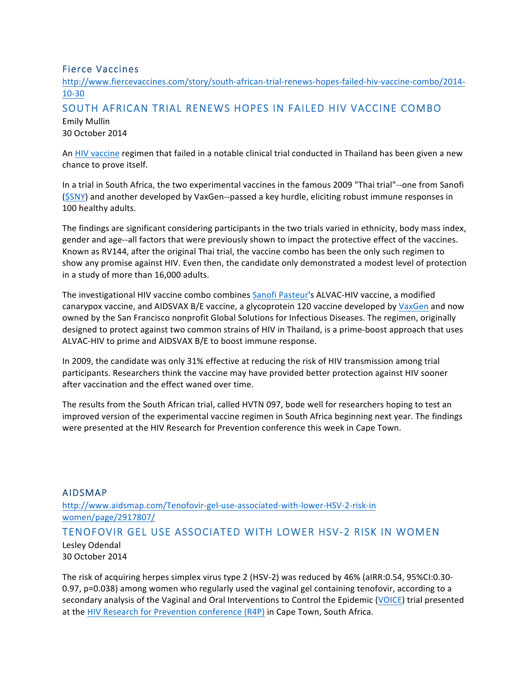## Fierce Vaccines

http://www.fiercevaccines.com/story/south-african-trial-renews-hopes-failed-hiv-vaccine-combo/2014- 10-30

# SOUTH AFRICAN TRIAL RENEWS HOPES IN FAILED HIV VACCINE COMBO Emily Mullin

30 October 2014

An HIV vaccine regimen that failed in a notable clinical trial conducted in Thailand has been given a new chance to prove itself.

In a trial in South Africa, the two experimental vaccines in the famous 2009 "Thai trial"--one from Sanofi (\$SNY) and another developed by VaxGen--passed a key hurdle, eliciting robust immune responses in 100 healthy adults.

The findings are significant considering participants in the two trials varied in ethnicity, body mass index, gender and age--all factors that were previously shown to impact the protective effect of the vaccines. Known as RV144, after the original Thai trial, the vaccine combo has been the only such regimen to show any promise against HIV. Even then, the candidate only demonstrated a modest level of protection in a study of more than 16,000 adults.

The investigational HIV vaccine combo combines Sanofi Pasteur's ALVAC-HIV vaccine, a modified canarypox vaccine, and AIDSVAX B/E vaccine, a glycoprotein 120 vaccine developed by VaxGen and now owned by the San Francisco nonprofit Global Solutions for Infectious Diseases. The regimen, originally designed to protect against two common strains of HIV in Thailand, is a prime-boost approach that uses ALVAC-HIV to prime and AIDSVAX B/E to boost immune response.

In 2009, the candidate was only 31% effective at reducing the risk of HIV transmission among trial participants. Researchers think the vaccine may have provided better protection against HIV sooner after vaccination and the effect waned over time.

The results from the South African trial, called HVTN 097, bode well for researchers hoping to test an improved version of the experimental vaccine regimen in South Africa beginning next year. The findings were presented at the HIV Research for Prevention conference this week in Cape Town.

## AIDSMAP http://www.aidsmap.com/Tenofovir-gel-use-associated-with-lower-HSV-2-risk-in women/page/2917807/ TENOFOVIR GEL USE ASSOCIATED WITH LOWER HSV-2 RISK IN WOMEN Lesley Odendal 30 October 2014

The risk of acquiring herpes simplex virus type 2 (HSV-2) was reduced by 46% (aIRR:0.54, 95%CI:0.30-0.97, p=0.038) among women who regularly used the vaginal gel containing tenofovir, according to a secondary analysis of the Vaginal and Oral Interventions to Control the Epidemic (VOICE) trial presented at the HIV Research for Prevention conference (R4P) in Cape Town, South Africa.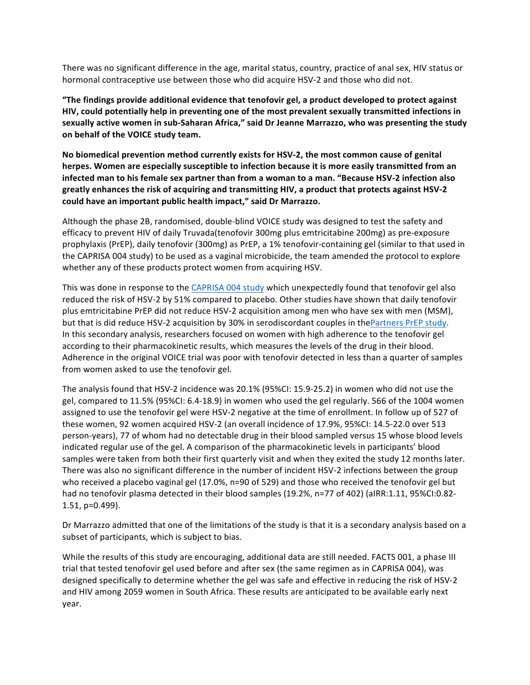There was no significant difference in the age, marital status, country, practice of anal sex, HIV status or hormonal contraceptive use between those who did acquire HSV-2 and those who did not.

"The findings provide additional evidence that tenofovir gel, a product developed to protect against **HIV, could potentially help in preventing one of the most prevalent sexually transmitted infections in** sexually active women in sub-Saharan Africa," said Dr Jeanne Marrazzo, who was presenting the study **on behalf of the VOICE study team.**

No biomedical prevention method currently exists for HSV-2, the most common cause of genital herpes. Women are especially susceptible to infection because it is more easily transmitted from an infected man to his female sex partner than from a woman to a man. "Because HSV-2 infection also greatly enhances the risk of acquiring and transmitting HIV, a product that protects against HSV-2 could have an important public health impact," said Dr Marrazzo.

Although the phase 2B, randomised, double-blind VOICE study was designed to test the safety and efficacy to prevent HIV of daily Truvada(tenofovir 300mg plus emtricitabine 200mg) as pre-exposure prophylaxis (PrEP), daily tenofovir (300mg) as PrEP, a 1% tenofovir-containing gel (similar to that used in the CAPRISA 004 study) to be used as a vaginal microbicide, the team amended the protocol to explore whether any of these products protect women from acquiring HSV.

This was done in response to the CAPRISA 004 study which unexpectedly found that tenofovir gel also reduced the risk of HSV-2 by 51% compared to placebo. Other studies have shown that daily tenofovir plus emtricitabine PrEP did not reduce HSV-2 acquisition among men who have sex with men (MSM), but that is did reduce HSV-2 acquisition by 30% in serodiscordant couples in thePartners PrEP study. In this secondary analysis, researchers focused on women with high adherence to the tenofovir gel according to their pharmacokinetic results, which measures the levels of the drug in their blood. Adherence in the original VOICE trial was poor with tenofovir detected in less than a quarter of samples from women asked to use the tenofovir gel.

The analysis found that HSV-2 incidence was 20.1% (95%CI: 15.9-25.2) in women who did not use the gel, compared to 11.5% (95%CI: 6.4-18.9) in women who used the gel regularly. 566 of the 1004 women assigned to use the tenofovir gel were HSV-2 negative at the time of enrollment. In follow up of 527 of these women, 92 women acquired HSV-2 (an overall incidence of 17.9%, 95%CI: 14.5-22.0 over 513 person-years), 77 of whom had no detectable drug in their blood sampled versus 15 whose blood levels indicated regular use of the gel. A comparison of the pharmacokinetic levels in participants' blood samples were taken from both their first quarterly visit and when they exited the study 12 months later. There was also no significant difference in the number of incident HSV-2 infections between the group who received a placebo vaginal gel (17.0%, n=90 of 529) and those who received the tenofovir gel but had no tenofovir plasma detected in their blood samples (19.2%, n=77 of 402) (aIRR:1.11, 95%CI:0.82-1.51, p=0.499).

Dr Marrazzo admitted that one of the limitations of the study is that it is a secondary analysis based on a subset of participants, which is subject to bias.

While the results of this study are encouraging, additional data are still needed. FACTS 001, a phase III trial that tested tenofovir gel used before and after sex (the same regimen as in CAPRISA 004), was designed specifically to determine whether the gel was safe and effective in reducing the risk of HSV-2 and HIV among 2059 women in South Africa. These results are anticipated to be available early next year.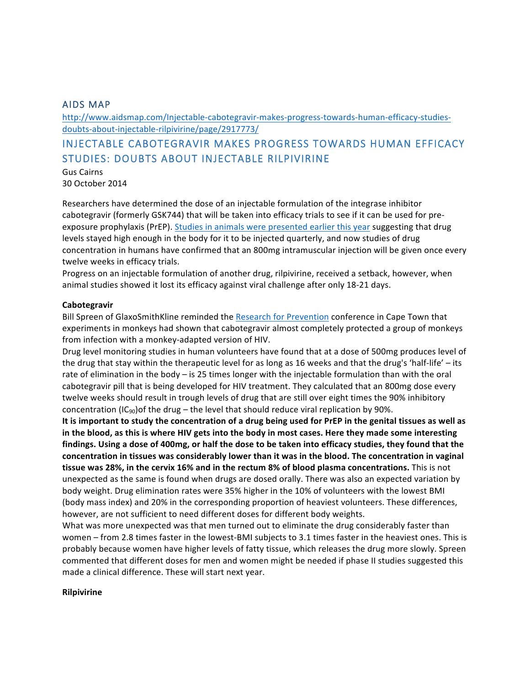### AIDS MAP

http://www.aidsmap.com/Injectable-cabotegravir-makes-progress-towards-human-efficacy-studiesdoubts-about-injectable-rilpivirine/page/2917773/

## INJECTABLE CABOTEGRAVIR MAKES PROGRESS TOWARDS HUMAN EFFICACY STUDIES: DOUBTS ABOUT INJECTABLE RILPIVIRINE

Gus Cairns 30 October 2014

Researchers have determined the dose of an injectable formulation of the integrase inhibitor cabotegravir (formerly GSK744) that will be taken into efficacy trials to see if it can be used for preexposure prophylaxis (PrEP). Studies in animals were presented earlier this year suggesting that drug levels stayed high enough in the body for it to be injected quarterly, and now studies of drug concentration in humans have confirmed that an 800mg intramuscular injection will be given once every twelve weeks in efficacy trials.

Progress on an injectable formulation of another drug, rilpivirine, received a setback, however, when animal studies showed it lost its efficacy against viral challenge after only 18-21 days.

#### **Cabotegravir**

Bill Spreen of GlaxoSmithKline reminded the Research for Prevention conference in Cape Town that experiments in monkeys had shown that cabotegravir almost completely protected a group of monkeys from infection with a monkey-adapted version of HIV.

Drug level monitoring studies in human volunteers have found that at a dose of 500mg produces level of the drug that stay within the therapeutic level for as long as 16 weeks and that the drug's 'half-life'  $-$  its rate of elimination in the body  $-$  is 25 times longer with the injectable formulation than with the oral cabotegravir pill that is being developed for HIV treatment. They calculated that an 800mg dose every twelve weeks should result in trough levels of drug that are still over eight times the 90% inhibitory concentration  $(IC_{90})$  of the drug – the level that should reduce viral replication by 90%.

It is important to study the concentration of a drug being used for PrEP in the genital tissues as well as in the blood, as this is where HIV gets into the body in most cases. Here they made some interesting findings. Using a dose of 400mg, or half the dose to be taken into efficacy studies, they found that the concentration in tissues was considerably lower than it was in the blood. The concentration in vaginal **tissue was 28%, in the cervix 16% and in the rectum 8% of blood plasma concentrations.** This is not unexpected as the same is found when drugs are dosed orally. There was also an expected variation by body weight. Drug elimination rates were 35% higher in the 10% of volunteers with the lowest BMI (body mass index) and 20% in the corresponding proportion of heaviest volunteers. These differences, however, are not sufficient to need different doses for different body weights.

What was more unexpected was that men turned out to eliminate the drug considerably faster than women – from 2.8 times faster in the lowest-BMI subjects to 3.1 times faster in the heaviest ones. This is probably because women have higher levels of fatty tissue, which releases the drug more slowly. Spreen commented that different doses for men and women might be needed if phase II studies suggested this made a clinical difference. These will start next year.

#### **Rilpivirine**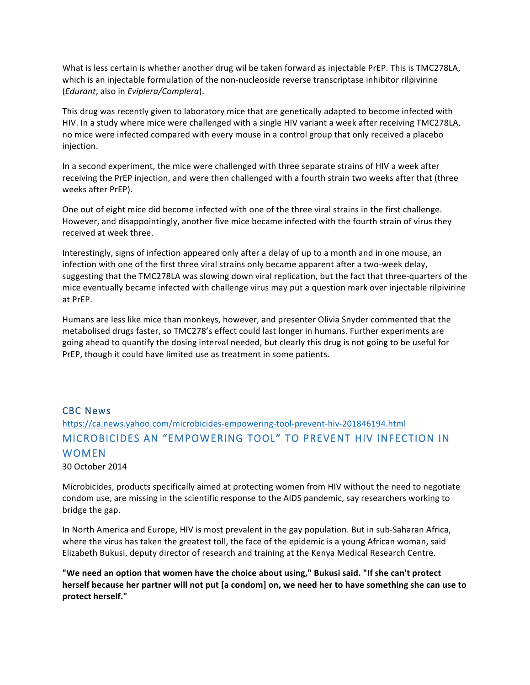What is less certain is whether another drug wil be taken forward as injectable PrEP. This is TMC278LA, which is an injectable formulation of the non-nucleoside reverse transcriptase inhibitor rilpivirine (*Edurant*, also in *Eviplera/Complera*).

This drug was recently given to laboratory mice that are genetically adapted to become infected with HIV. In a study where mice were challenged with a single HIV variant a week after receiving TMC278LA, no mice were infected compared with every mouse in a control group that only received a placebo injection.

In a second experiment, the mice were challenged with three separate strains of HIV a week after receiving the PrEP injection, and were then challenged with a fourth strain two weeks after that (three weeks after PrEP).

One out of eight mice did become infected with one of the three viral strains in the first challenge. However, and disappointingly, another five mice became infected with the fourth strain of virus they received at week three.

Interestingly, signs of infection appeared only after a delay of up to a month and in one mouse, an infection with one of the first three viral strains only became apparent after a two-week delay, suggesting that the TMC278LA was slowing down viral replication, but the fact that three-quarters of the mice eventually became infected with challenge virus may put a question mark over injectable rilpivirine at PrEP.

Humans are less like mice than monkeys, however, and presenter Olivia Snyder commented that the metabolised drugs faster, so TMC278's effect could last longer in humans. Further experiments are going ahead to quantify the dosing interval needed, but clearly this drug is not going to be useful for PrEP, though it could have limited use as treatment in some patients.

### CBC News

# https://ca.news.yahoo.com/microbicides-empowering-tool-prevent-hiv-201846194.html MICROBICIDES AN "EMPOWERING TOOL" TO PREVENT HIV INFECTION IN WOMEN

30 October 2014

Microbicides, products specifically aimed at protecting women from HIV without the need to negotiate condom use, are missing in the scientific response to the AIDS pandemic, say researchers working to bridge the gap.

In North America and Europe, HIV is most prevalent in the gay population. But in sub-Saharan Africa, where the virus has taken the greatest toll, the face of the epidemic is a young African woman, said Elizabeth Bukusi, deputy director of research and training at the Kenya Medical Research Centre.

"We need an option that women have the choice about using," Bukusi said. "If she can't protect herself because her partner will not put [a condom] on, we need her to have something she can use to **protect herself."**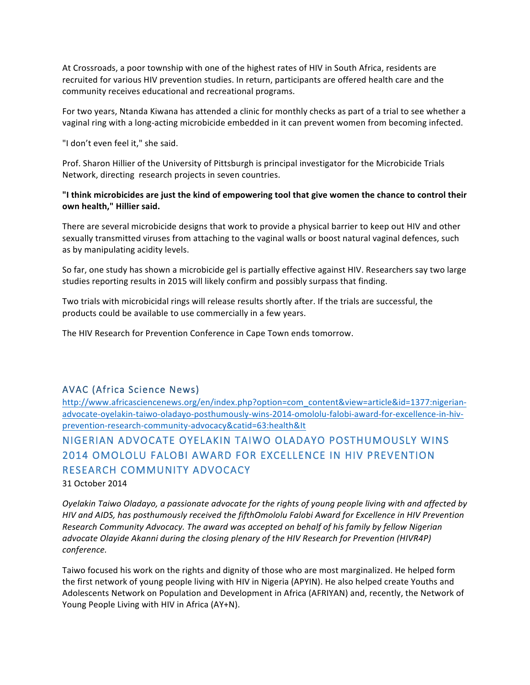At Crossroads, a poor township with one of the highest rates of HIV in South Africa, residents are recruited for various HIV prevention studies. In return, participants are offered health care and the community receives educational and recreational programs.

For two years, Ntanda Kiwana has attended a clinic for monthly checks as part of a trial to see whether a vaginal ring with a long-acting microbicide embedded in it can prevent women from becoming infected.

"I don't even feel it," she said.

Prof. Sharon Hillier of the University of Pittsburgh is principal investigator for the Microbicide Trials Network, directing research projects in seven countries.

### "I think microbicides are just the kind of empowering tool that give women the chance to control their **own health," Hillier said.**

There are several microbicide designs that work to provide a physical barrier to keep out HIV and other sexually transmitted viruses from attaching to the vaginal walls or boost natural vaginal defences, such as by manipulating acidity levels.

So far, one study has shown a microbicide gel is partially effective against HIV. Researchers say two large studies reporting results in 2015 will likely confirm and possibly surpass that finding.

Two trials with microbicidal rings will release results shortly after. If the trials are successful, the products could be available to use commercially in a few years.

The HIV Research for Prevention Conference in Cape Town ends tomorrow.

### AVAC (Africa Science News)

http://www.africasciencenews.org/en/index.php?option=com\_content&view=article&id=1377:nigerianadvocate-oyelakin-taiwo-oladayo-posthumously-wins-2014-omololu-falobi-award-for-excellence-in-hivprevention-research-community-advocacy&catid=63:health&It

# NIGERIAN ADVOCATE OYELAKIN TAIWO OLADAYO POSTHUMOUSLY WINS 2014 OMOLOLU FALOBI AWARD FOR EXCELLENCE IN HIV PREVENTION RESEARCH COMMUNITY ADVOCACY

31 October 2014

*Oyelakin Taiwo Oladayo, a passionate advocate for the rights of young people living with and affected by HIV* and AIDS, has posthumously received the fifthOmololu Falobi Award for Excellence in HIV Prevention *Research Community Advocacy. The award was accepted on behalf of his family by fellow Nigerian advocate Olayide Akanni during the closing plenary of the HIV Research for Prevention (HIVR4P) conference.*

Taiwo focused his work on the rights and dignity of those who are most marginalized. He helped form the first network of young people living with HIV in Nigeria (APYIN). He also helped create Youths and Adolescents Network on Population and Development in Africa (AFRIYAN) and, recently, the Network of Young People Living with HIV in Africa (AY+N).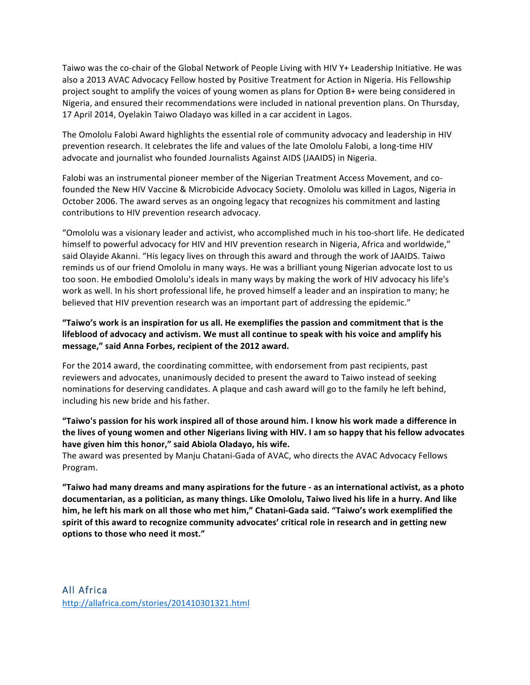Taiwo was the co-chair of the Global Network of People Living with HIV Y+ Leadership Initiative. He was also a 2013 AVAC Advocacy Fellow hosted by Positive Treatment for Action in Nigeria. His Fellowship project sought to amplify the voices of young women as plans for Option B+ were being considered in Nigeria, and ensured their recommendations were included in national prevention plans. On Thursday, 17 April 2014, Oyelakin Taiwo Oladayo was killed in a car accident in Lagos.

The Omololu Falobi Award highlights the essential role of community advocacy and leadership in HIV prevention research. It celebrates the life and values of the late Omololu Falobi, a long-time HIV advocate and journalist who founded Journalists Against AIDS (JAAIDS) in Nigeria.

Falobi was an instrumental pioneer member of the Nigerian Treatment Access Movement, and cofounded the New HIV Vaccine & Microbicide Advocacy Society. Omololu was killed in Lagos, Nigeria in October 2006. The award serves as an ongoing legacy that recognizes his commitment and lasting contributions to HIV prevention research advocacy.

"Omololu was a visionary leader and activist, who accomplished much in his too-short life. He dedicated himself to powerful advocacy for HIV and HIV prevention research in Nigeria, Africa and worldwide," said Olayide Akanni. "His legacy lives on through this award and through the work of JAAIDS. Taiwo reminds us of our friend Omololu in many ways. He was a brilliant young Nigerian advocate lost to us too soon. He embodied Omololu's ideals in many ways by making the work of HIV advocacy his life's work as well. In his short professional life, he proved himself a leader and an inspiration to many; he believed that HIV prevention research was an important part of addressing the epidemic."

### "Taiwo's work is an inspiration for us all. He exemplifies the passion and commitment that is the lifeblood of advocacy and activism. We must all continue to speak with his voice and amplify his message," said Anna Forbes, recipient of the 2012 award.

For the 2014 award, the coordinating committee, with endorsement from past recipients, past reviewers and advocates, unanimously decided to present the award to Taiwo instead of seeking nominations for deserving candidates. A plaque and cash award will go to the family he left behind, including his new bride and his father.

### "Taiwo's passion for his work inspired all of those around him. I know his work made a difference in the lives of young women and other Nigerians living with HIV. I am so happy that his fellow advocates have given him this honor," said Abiola Oladayo, his wife.

The award was presented by Manju Chatani-Gada of AVAC, who directs the AVAC Advocacy Fellows Program.

**"Taiwo had many dreams and many aspirations for the future - as an international activist, as a photo** documentarian, as a politician, as many things. Like Omololu, Taiwo lived his life in a hurry. And like him, he left his mark on all those who met him," Chatani-Gada said. "Taiwo's work exemplified the spirit of this award to recognize community advocates' critical role in research and in getting new options to those who need it most."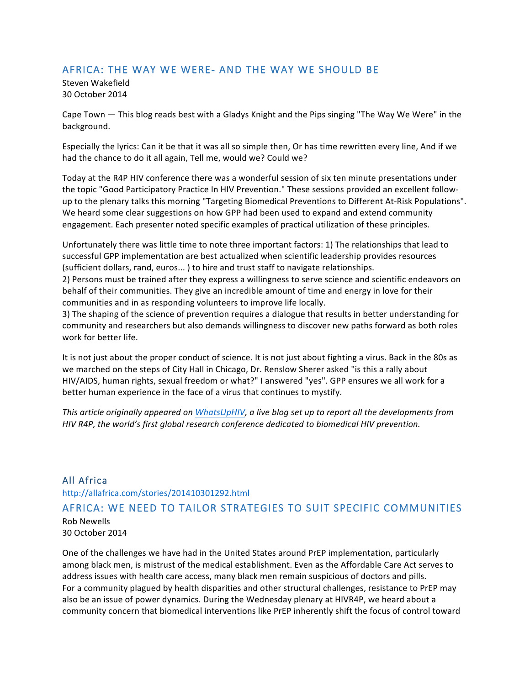### AFRICA: THE WAY WE WERE- AND THE WAY WE SHOULD BE

Steven Wakefield 30 October 2014

Cape Town — This blog reads best with a Gladys Knight and the Pips singing "The Way We Were" in the background.

Especially the lyrics: Can it be that it was all so simple then, Or has time rewritten every line, And if we had the chance to do it all again, Tell me, would we? Could we?

Today at the R4P HIV conference there was a wonderful session of six ten minute presentations under the topic "Good Participatory Practice In HIV Prevention." These sessions provided an excellent followup to the plenary talks this morning "Targeting Biomedical Preventions to Different At-Risk Populations". We heard some clear suggestions on how GPP had been used to expand and extend community engagement. Each presenter noted specific examples of practical utilization of these principles.

Unfortunately there was little time to note three important factors: 1) The relationships that lead to successful GPP implementation are best actualized when scientific leadership provides resources (sufficient dollars, rand, euros...) to hire and trust staff to navigate relationships.

2) Persons must be trained after they express a willingness to serve science and scientific endeavors on behalf of their communities. They give an incredible amount of time and energy in love for their communities and in as responding volunteers to improve life locally.

3) The shaping of the science of prevention requires a dialogue that results in better understanding for community and researchers but also demands willingness to discover new paths forward as both roles work for better life.

It is not just about the proper conduct of science. It is not just about fighting a virus. Back in the 80s as we marched on the steps of City Hall in Chicago, Dr. Renslow Sherer asked "is this a rally about HIV/AIDS, human rights, sexual freedom or what?" I answered "yes". GPP ensures we all work for a better human experience in the face of a virus that continues to mystify.

*This article originally appeared on WhatsUpHIV, a live blog set up to report all the developments from HIV* R4P, the world's first global research conference dedicated to biomedical HIV prevention.

### All Africa

http://allafrica.com/stories/201410301292.html

### AFRICA: WE NEED TO TAILOR STRATEGIES TO SUIT SPECIFIC COMMUNITIES Rob Newells 30 October 2014

One of the challenges we have had in the United States around PrEP implementation, particularly among black men, is mistrust of the medical establishment. Even as the Affordable Care Act serves to address issues with health care access, many black men remain suspicious of doctors and pills. For a community plagued by health disparities and other structural challenges, resistance to PrEP may also be an issue of power dynamics. During the Wednesday plenary at HIVR4P, we heard about a community concern that biomedical interventions like PrEP inherently shift the focus of control toward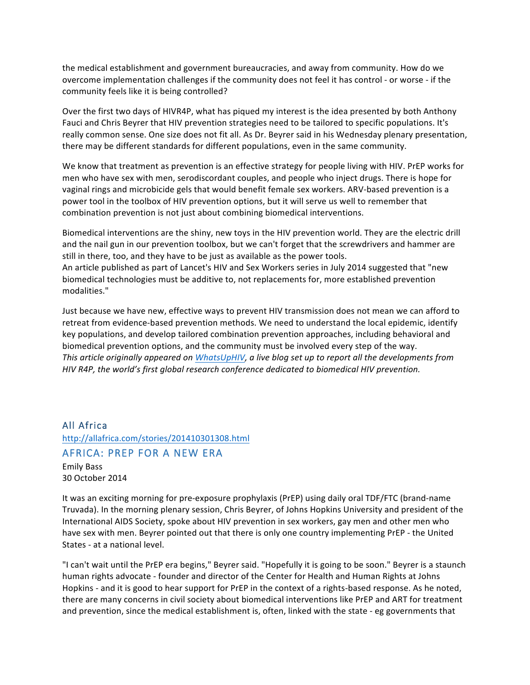the medical establishment and government bureaucracies, and away from community. How do we overcome implementation challenges if the community does not feel it has control - or worse - if the community feels like it is being controlled?

Over the first two days of HIVR4P, what has piqued my interest is the idea presented by both Anthony Fauci and Chris Beyrer that HIV prevention strategies need to be tailored to specific populations. It's really common sense. One size does not fit all. As Dr. Beyrer said in his Wednesday plenary presentation, there may be different standards for different populations, even in the same community.

We know that treatment as prevention is an effective strategy for people living with HIV. PrEP works for men who have sex with men, serodiscordant couples, and people who inject drugs. There is hope for vaginal rings and microbicide gels that would benefit female sex workers. ARV-based prevention is a power tool in the toolbox of HIV prevention options, but it will serve us well to remember that combination prevention is not just about combining biomedical interventions.

Biomedical interventions are the shiny, new toys in the HIV prevention world. They are the electric drill and the nail gun in our prevention toolbox, but we can't forget that the screwdrivers and hammer are still in there, too, and they have to be just as available as the power tools. An article published as part of Lancet's HIV and Sex Workers series in July 2014 suggested that "new biomedical technologies must be additive to, not replacements for, more established prevention modalities."

Just because we have new, effective ways to prevent HIV transmission does not mean we can afford to retreat from evidence-based prevention methods. We need to understand the local epidemic, identify key populations, and develop tailored combination prevention approaches, including behavioral and biomedical prevention options, and the community must be involved every step of the way. *This article originally appeared on WhatsUpHIV, a live blog set up to report all the developments from HIV* R4P, the world's first global research conference dedicated to biomedical HIV prevention.

### All Africa http://allafrica.com/stories/201410301308.html AFRICA: PREP FOR A NEW ERA Emily Bass 30 October 2014

It was an exciting morning for pre-exposure prophylaxis (PrEP) using daily oral TDF/FTC (brand-name Truvada). In the morning plenary session, Chris Beyrer, of Johns Hopkins University and president of the International AIDS Society, spoke about HIV prevention in sex workers, gay men and other men who have sex with men. Beyrer pointed out that there is only one country implementing PrEP - the United States - at a national level.

"I can't wait until the PrEP era begins," Beyrer said. "Hopefully it is going to be soon." Beyrer is a staunch human rights advocate - founder and director of the Center for Health and Human Rights at Johns Hopkins - and it is good to hear support for PrEP in the context of a rights-based response. As he noted, there are many concerns in civil society about biomedical interventions like PrEP and ART for treatment and prevention, since the medical establishment is, often, linked with the state - eg governments that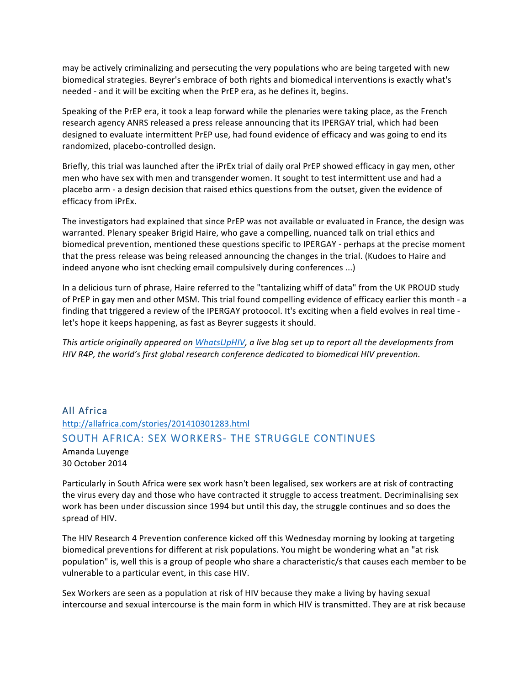may be actively criminalizing and persecuting the very populations who are being targeted with new biomedical strategies. Beyrer's embrace of both rights and biomedical interventions is exactly what's needed - and it will be exciting when the PrEP era, as he defines it, begins.

Speaking of the PrEP era, it took a leap forward while the plenaries were taking place, as the French research agency ANRS released a press release announcing that its IPERGAY trial, which had been designed to evaluate intermittent PrEP use, had found evidence of efficacy and was going to end its randomized, placebo-controlled design.

Briefly, this trial was launched after the iPrEx trial of daily oral PrEP showed efficacy in gay men, other men who have sex with men and transgender women. It sought to test intermittent use and had a placebo arm - a design decision that raised ethics questions from the outset, given the evidence of efficacy from iPrEx.

The investigators had explained that since PrEP was not available or evaluated in France, the design was warranted. Plenary speaker Brigid Haire, who gave a compelling, nuanced talk on trial ethics and biomedical prevention, mentioned these questions specific to IPERGAY - perhaps at the precise moment that the press release was being released announcing the changes in the trial. (Kudoes to Haire and indeed anyone who isnt checking email compulsively during conferences ...)

In a delicious turn of phrase, Haire referred to the "tantalizing whiff of data" from the UK PROUD study of PrEP in gay men and other MSM. This trial found compelling evidence of efficacy earlier this month - a finding that triggered a review of the IPERGAY protoocol. It's exciting when a field evolves in real time let's hope it keeps happening, as fast as Beyrer suggests it should.

This article originally appeared on *WhatsUpHIV*, a live blog set up to report all the developments from *HIV* R4P, the world's first global research conference dedicated to biomedical HIV prevention.

# All Africa http://allafrica.com/stories/201410301283.html SOUTH AFRICA: SEX WORKERS- THE STRUGGLE CONTINUES

Amanda Luyenge 30 October 2014

Particularly in South Africa were sex work hasn't been legalised, sex workers are at risk of contracting the virus every day and those who have contracted it struggle to access treatment. Decriminalising sex work has been under discussion since 1994 but until this day, the struggle continues and so does the spread of HIV.

The HIV Research 4 Prevention conference kicked off this Wednesday morning by looking at targeting biomedical preventions for different at risk populations. You might be wondering what an "at risk population" is, well this is a group of people who share a characteristic/s that causes each member to be vulnerable to a particular event, in this case HIV.

Sex Workers are seen as a population at risk of HIV because they make a living by having sexual intercourse and sexual intercourse is the main form in which HIV is transmitted. They are at risk because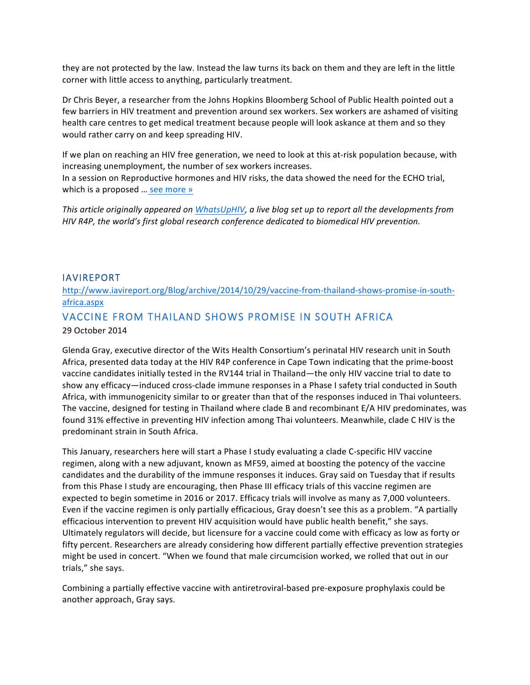they are not protected by the law. Instead the law turns its back on them and they are left in the little corner with little access to anything, particularly treatment.

Dr Chris Beyer, a researcher from the Johns Hopkins Bloomberg School of Public Health pointed out a few barriers in HIV treatment and prevention around sex workers. Sex workers are ashamed of visiting health care centres to get medical treatment because people will look askance at them and so they would rather carry on and keep spreading HIV.

If we plan on reaching an HIV free generation, we need to look at this at-risk population because, with increasing unemployment, the number of sex workers increases. In a session on Reproductive hormones and HIV risks, the data showed the need for the ECHO trial, which is a proposed ... see more »

This article originally appeared on *WhatsUpHIV*, a live blog set up to report all the developments from *HIV* R4P, the world's first global research conference dedicated to biomedical HIV prevention.

### IAVIREPORT

### http://www.iavireport.org/Blog/archive/2014/10/29/vaccine-from-thailand-shows-promise-in-southafrica.aspx

### VACCINE FROM THAILAND SHOWS PROMISE IN SOUTH AFRICA

### 29 October 2014

Glenda Gray, executive director of the Wits Health Consortium's perinatal HIV research unit in South Africa, presented data today at the HIV R4P conference in Cape Town indicating that the prime-boost vaccine candidates initially tested in the RV144 trial in Thailand—the only HIV vaccine trial to date to show any efficacy—induced cross-clade immune responses in a Phase I safety trial conducted in South Africa, with immunogenicity similar to or greater than that of the responses induced in Thai volunteers. The vaccine, designed for testing in Thailand where clade B and recombinant E/A HIV predominates, was found 31% effective in preventing HIV infection among Thai volunteers. Meanwhile, clade C HIV is the predominant strain in South Africa.

This January, researchers here will start a Phase I study evaluating a clade C-specific HIV vaccine regimen, along with a new adjuvant, known as MF59, aimed at boosting the potency of the vaccine candidates and the durability of the immune responses it induces. Gray said on Tuesday that if results from this Phase I study are encouraging, then Phase III efficacy trials of this vaccine regimen are expected to begin sometime in 2016 or 2017. Efficacy trials will involve as many as 7,000 volunteers. Even if the vaccine regimen is only partially efficacious, Gray doesn't see this as a problem. "A partially efficacious intervention to prevent HIV acquisition would have public health benefit," she says. Ultimately regulators will decide, but licensure for a vaccine could come with efficacy as low as forty or fifty percent. Researchers are already considering how different partially effective prevention strategies might be used in concert. "When we found that male circumcision worked, we rolled that out in our trials," she says.

Combining a partially effective vaccine with antiretroviral-based pre-exposure prophylaxis could be another approach, Gray says.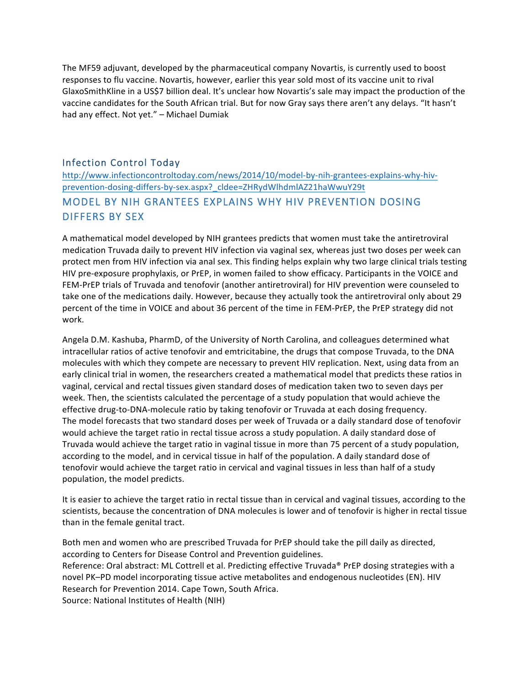The MF59 adjuvant, developed by the pharmaceutical company Novartis, is currently used to boost responses to flu vaccine. Novartis, however, earlier this year sold most of its vaccine unit to rival GlaxoSmithKline in a US\$7 billion deal. It's unclear how Novartis's sale may impact the production of the vaccine candidates for the South African trial. But for now Gray says there aren't any delays. "It hasn't had any effect. Not yet." - Michael Dumiak

### Infection Control Today

http://www.infectioncontroltoday.com/news/2014/10/model-by-nih-grantees-explains-why-hivprevention-dosing-differs-by-sex.aspx?\_cldee=ZHRydWlhdmlAZ21haWwuY29t MODEL BY NIH GRANTEES EXPLAINS WHY HIV PREVENTION DOSING DIFFERS BY SEX

A mathematical model developed by NIH grantees predicts that women must take the antiretroviral medication Truvada daily to prevent HIV infection via vaginal sex, whereas just two doses per week can protect men from HIV infection via anal sex. This finding helps explain why two large clinical trials testing HIV pre-exposure prophylaxis, or PrEP, in women failed to show efficacy. Participants in the VOICE and FEM-PrEP trials of Truvada and tenofovir (another antiretroviral) for HIV prevention were counseled to take one of the medications daily. However, because they actually took the antiretroviral only about 29 percent of the time in VOICE and about 36 percent of the time in FEM-PrEP, the PrEP strategy did not work.

Angela D.M. Kashuba, PharmD, of the University of North Carolina, and colleagues determined what intracellular ratios of active tenofovir and emtricitabine, the drugs that compose Truvada, to the DNA molecules with which they compete are necessary to prevent HIV replication. Next, using data from an early clinical trial in women, the researchers created a mathematical model that predicts these ratios in vaginal, cervical and rectal tissues given standard doses of medication taken two to seven days per week. Then, the scientists calculated the percentage of a study population that would achieve the effective drug-to-DNA-molecule ratio by taking tenofovir or Truvada at each dosing frequency. The model forecasts that two standard doses per week of Truvada or a daily standard dose of tenofovir would achieve the target ratio in rectal tissue across a study population. A daily standard dose of Truvada would achieve the target ratio in vaginal tissue in more than 75 percent of a study population, according to the model, and in cervical tissue in half of the population. A daily standard dose of tenofovir would achieve the target ratio in cervical and vaginal tissues in less than half of a study population, the model predicts.

It is easier to achieve the target ratio in rectal tissue than in cervical and vaginal tissues, according to the scientists, because the concentration of DNA molecules is lower and of tenofovir is higher in rectal tissue than in the female genital tract.

Both men and women who are prescribed Truvada for PrEP should take the pill daily as directed, according to Centers for Disease Control and Prevention guidelines. Reference: Oral abstract: ML Cottrell et al. Predicting effective Truvada® PrEP dosing strategies with a novel PK–PD model incorporating tissue active metabolites and endogenous nucleotides (EN). HIV Research for Prevention 2014. Cape Town, South Africa. Source: National Institutes of Health (NIH)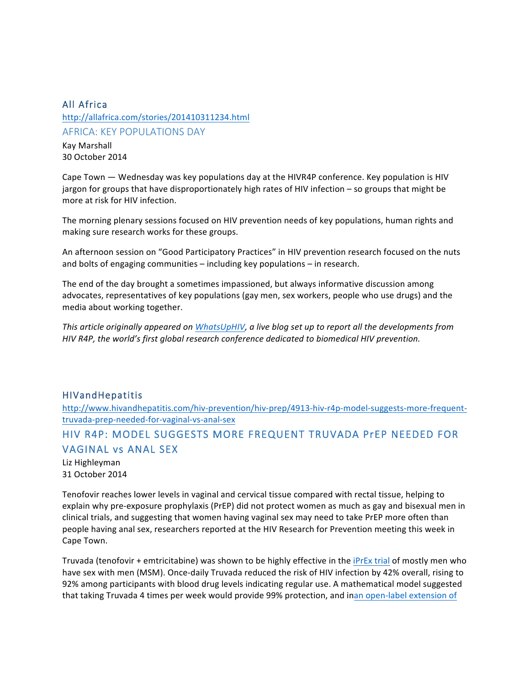### All Africa

http://allafrica.com/stories/201410311234.html AFRICA: KEY POPULATIONS DAY Kay Marshall 30 October 2014

Cape Town  $-$  Wednesday was key populations day at the HIVR4P conference. Key population is HIV jargon for groups that have disproportionately high rates of HIV infection - so groups that might be more at risk for HIV infection.

The morning plenary sessions focused on HIV prevention needs of key populations, human rights and making sure research works for these groups.

An afternoon session on "Good Participatory Practices" in HIV prevention research focused on the nuts and bolts of engaging communities  $-$  including key populations  $-$  in research.

The end of the day brought a sometimes impassioned, but always informative discussion among advocates, representatives of key populations (gay men, sex workers, people who use drugs) and the media about working together.

This article originally appeared on *WhatsUpHIV*, a live blog set up to report all the developments from *HIV* R4P, the world's first global research conference dedicated to biomedical HIV prevention.

### HIVandHepatitis

http://www.hivandhepatitis.com/hiv-prevention/hiv-prep/4913-hiv-r4p-model-suggests-more-frequenttruvada-prep-needed-for-vaginal-vs-anal-sex

## HIV R4P: MODEL SUGGESTS MORE FREQUENT TRUVADA PrEP NEEDED FOR VAGINAL vs ANAL SEX

Liz Highleyman 31 October 2014

Tenofovir reaches lower levels in vaginal and cervical tissue compared with rectal tissue, helping to explain why pre-exposure prophylaxis (PrEP) did not protect women as much as gay and bisexual men in clinical trials, and suggesting that women having vaginal sex may need to take PrEP more often than people having anal sex, researchers reported at the HIV Research for Prevention meeting this week in Cape Town.

Truvada (tenofovir + emtricitabine) was shown to be highly effective in the iPrEx trial of mostly men who have sex with men (MSM). Once-daily Truvada reduced the risk of HIV infection by 42% overall, rising to 92% among participants with blood drug levels indicating regular use. A mathematical model suggested that taking Truvada 4 times per week would provide 99% protection, and inan open-label extension of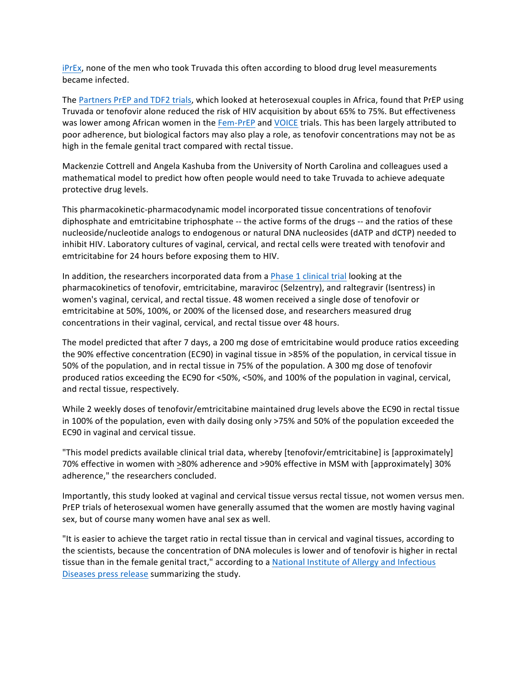iPrEx, none of the men who took Truvada this often according to blood drug level measurements became infected.

The Partners PrEP and TDF2 trials, which looked at heterosexual couples in Africa, found that PrEP using Truvada or tenofovir alone reduced the risk of HIV acquisition by about 65% to 75%. But effectiveness was lower among African women in the Fem-PrEP and VOICE trials. This has been largely attributed to poor adherence, but biological factors may also play a role, as tenofovir concentrations may not be as high in the female genital tract compared with rectal tissue.

Mackenzie Cottrell and Angela Kashuba from the University of North Carolina and colleagues used a mathematical model to predict how often people would need to take Truvada to achieve adequate protective drug levels.

This pharmacokinetic-pharmacodynamic model incorporated tissue concentrations of tenofovir diphosphate and emtricitabine triphosphate -- the active forms of the drugs -- and the ratios of these nucleoside/nucleotide analogs to endogenous or natural DNA nucleosides (dATP and dCTP) needed to inhibit HIV. Laboratory cultures of vaginal, cervical, and rectal cells were treated with tenofovir and emtricitabine for 24 hours before exposing them to HIV.

In addition, the researchers incorporated data from a Phase 1 clinical trial looking at the pharmacokinetics of tenofovir, emtricitabine, maraviroc (Selzentry), and raltegravir (Isentress) in women's vaginal, cervical, and rectal tissue. 48 women received a single dose of tenofovir or emtricitabine at 50%, 100%, or 200% of the licensed dose, and researchers measured drug concentrations in their vaginal, cervical, and rectal tissue over 48 hours.

The model predicted that after 7 days, a 200 mg dose of emtricitabine would produce ratios exceeding the 90% effective concentration (EC90) in vaginal tissue in >85% of the population, in cervical tissue in 50% of the population, and in rectal tissue in 75% of the population. A 300 mg dose of tenofovir produced ratios exceeding the EC90 for <50%, <50%, and 100% of the population in vaginal, cervical, and rectal tissue, respectively.

While 2 weekly doses of tenofovir/emtricitabine maintained drug levels above the EC90 in rectal tissue in 100% of the population, even with daily dosing only >75% and 50% of the population exceeded the EC90 in vaginal and cervical tissue.

"This model predicts available clinical trial data, whereby [tenofovir/emtricitabine] is [approximately] 70% effective in women with >80% adherence and >90% effective in MSM with [approximately] 30% adherence," the researchers concluded.

Importantly, this study looked at vaginal and cervical tissue versus rectal tissue, not women versus men. PrEP trials of heterosexual women have generally assumed that the women are mostly having vaginal sex, but of course many women have anal sex as well.

"It is easier to achieve the target ratio in rectal tissue than in cervical and vaginal tissues, according to the scientists, because the concentration of DNA molecules is lower and of tenofovir is higher in rectal tissue than in the female genital tract," according to a National Institute of Allergy and Infectious Diseases press release summarizing the study.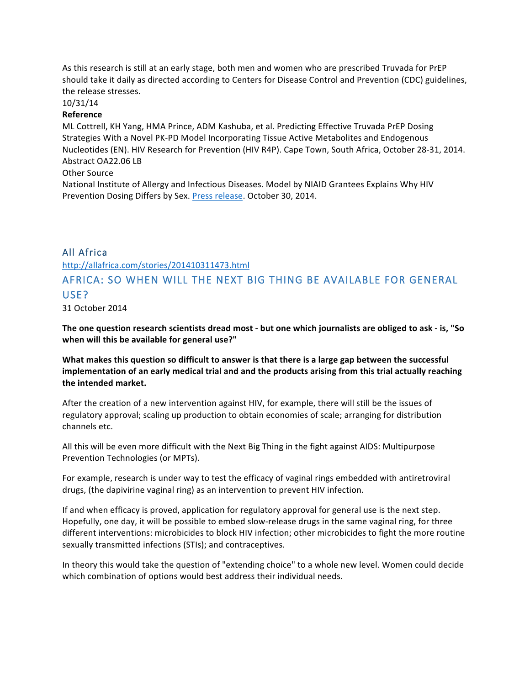As this research is still at an early stage, both men and women who are prescribed Truvada for PrEP should take it daily as directed according to Centers for Disease Control and Prevention (CDC) guidelines, the release stresses.

#### 10/31/14

#### **Reference**

ML Cottrell, KH Yang, HMA Prince, ADM Kashuba, et al. Predicting Effective Truvada PrEP Dosing Strategies With a Novel PK-PD Model Incorporating Tissue Active Metabolites and Endogenous Nucleotides (EN). HIV Research for Prevention (HIV R4P). Cape Town, South Africa, October 28-31, 2014. Abstract OA22.06 LB

### Other Source

National Institute of Allergy and Infectious Diseases. Model by NIAID Grantees Explains Why HIV Prevention Dosing Differs by Sex. Press release. October 30, 2014.

### All Africa

http://allafrica.com/stories/201410311473.html

## AFRICA: SO WHEN WILL THE NEXT BIG THING BE AVAILABLE FOR GENERAL USE?

31 October 2014

The one question research scientists dread most - but one which journalists are obliged to ask - is, "So **when will this be available for general use?"** 

What makes this question so difficult to answer is that there is a large gap between the successful implementation of an early medical trial and and the products arising from this trial actually reaching the intended market.

After the creation of a new intervention against HIV, for example, there will still be the issues of regulatory approval; scaling up production to obtain economies of scale; arranging for distribution channels etc.

All this will be even more difficult with the Next Big Thing in the fight against AIDS: Multipurpose Prevention Technologies (or MPTs).

For example, research is under way to test the efficacy of vaginal rings embedded with antiretroviral drugs, (the dapivirine vaginal ring) as an intervention to prevent HIV infection.

If and when efficacy is proved, application for regulatory approval for general use is the next step. Hopefully, one day, it will be possible to embed slow-release drugs in the same vaginal ring, for three different interventions: microbicides to block HIV infection; other microbicides to fight the more routine sexually transmitted infections (STIs); and contraceptives.

In theory this would take the question of "extending choice" to a whole new level. Women could decide which combination of options would best address their individual needs.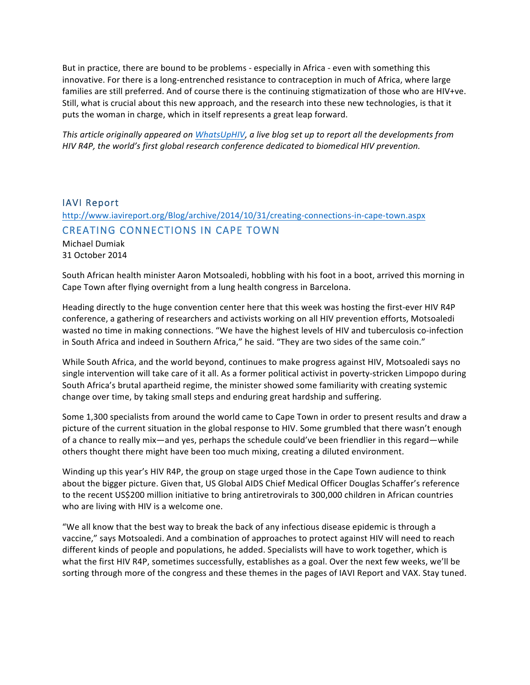But in practice, there are bound to be problems - especially in Africa - even with something this innovative. For there is a long-entrenched resistance to contraception in much of Africa, where large families are still preferred. And of course there is the continuing stigmatization of those who are HIV+ve. Still, what is crucial about this new approach, and the research into these new technologies, is that it puts the woman in charge, which in itself represents a great leap forward.

*This article originally appeared on WhatsUpHIV, a live blog set up to report all the developments from HIV* R4P, the world's first global research conference dedicated to biomedical HIV prevention.

### IAVI Report

### http://www.iavireport.org/Blog/archive/2014/10/31/creating-connections-in-cape-town.aspx CREATING CONNECTIONS IN CAPE TOWN

Michael Dumiak 31 October 2014

South African health minister Aaron Motsoaledi, hobbling with his foot in a boot, arrived this morning in Cape Town after flying overnight from a lung health congress in Barcelona.

Heading directly to the huge convention center here that this week was hosting the first-ever HIV R4P conference, a gathering of researchers and activists working on all HIV prevention efforts, Motsoaledi wasted no time in making connections. "We have the highest levels of HIV and tuberculosis co-infection in South Africa and indeed in Southern Africa," he said. "They are two sides of the same coin."

While South Africa, and the world beyond, continues to make progress against HIV, Motsoaledi says no single intervention will take care of it all. As a former political activist in poverty-stricken Limpopo during South Africa's brutal apartheid regime, the minister showed some familiarity with creating systemic change over time, by taking small steps and enduring great hardship and suffering.

Some 1,300 specialists from around the world came to Cape Town in order to present results and draw a picture of the current situation in the global response to HIV. Some grumbled that there wasn't enough of a chance to really mix—and yes, perhaps the schedule could've been friendlier in this regard—while others thought there might have been too much mixing, creating a diluted environment.

Winding up this year's HIV R4P, the group on stage urged those in the Cape Town audience to think about the bigger picture. Given that, US Global AIDS Chief Medical Officer Douglas Schaffer's reference to the recent US\$200 million initiative to bring antiretrovirals to 300,000 children in African countries who are living with HIV is a welcome one.

"We all know that the best way to break the back of any infectious disease epidemic is through a vaccine," says Motsoaledi. And a combination of approaches to protect against HIV will need to reach different kinds of people and populations, he added. Specialists will have to work together, which is what the first HIV R4P, sometimes successfully, establishes as a goal. Over the next few weeks, we'll be sorting through more of the congress and these themes in the pages of IAVI Report and VAX. Stay tuned.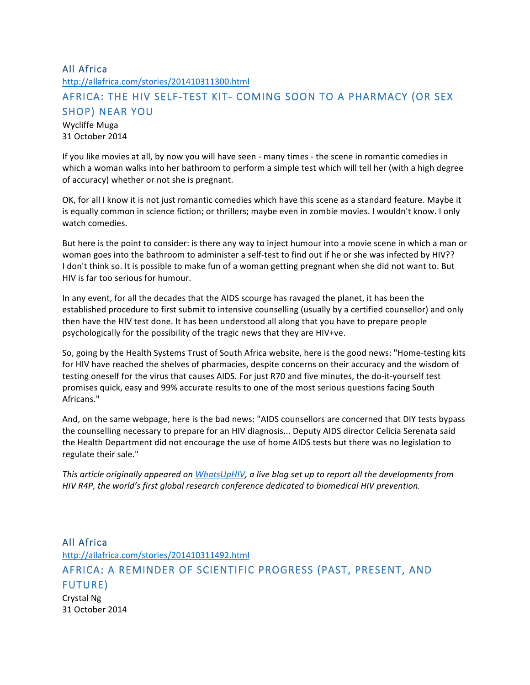### All Africa

http://allafrica.com/stories/201410311300.html

# AFRICA: THE HIV SELF-TEST KIT- COMING SOON TO A PHARMACY (OR SEX SHOP) NEAR YOU

Wycliffe Muga 31 October 2014

If you like movies at all, by now you will have seen - many times - the scene in romantic comedies in which a woman walks into her bathroom to perform a simple test which will tell her (with a high degree of accuracy) whether or not she is pregnant.

OK, for all I know it is not just romantic comedies which have this scene as a standard feature. Maybe it is equally common in science fiction; or thrillers; maybe even in zombie movies. I wouldn't know. I only watch comedies.

But here is the point to consider: is there any way to inject humour into a movie scene in which a man or woman goes into the bathroom to administer a self-test to find out if he or she was infected by HIV?? I don't think so. It is possible to make fun of a woman getting pregnant when she did not want to. But HIV is far too serious for humour.

In any event, for all the decades that the AIDS scourge has ravaged the planet, it has been the established procedure to first submit to intensive counselling (usually by a certified counsellor) and only then have the HIV test done. It has been understood all along that you have to prepare people psychologically for the possibility of the tragic news that they are HIV+ve.

So, going by the Health Systems Trust of South Africa website, here is the good news: "Home-testing kits for HIV have reached the shelves of pharmacies, despite concerns on their accuracy and the wisdom of testing oneself for the virus that causes AIDS. For just R70 and five minutes, the do-it-yourself test promises quick, easy and 99% accurate results to one of the most serious questions facing South Africans."

And, on the same webpage, here is the bad news: "AIDS counsellors are concerned that DIY tests bypass the counselling necessary to prepare for an HIV diagnosis... Deputy AIDS director Celicia Serenata said the Health Department did not encourage the use of home AIDS tests but there was no legislation to regulate their sale."

*This article originally appeared on WhatsUpHIV, a live blog set up to report all the developments from HIV* R4P, the world's first global research conference dedicated to biomedical HIV prevention.

All Africa http://allafrica.com/stories/201410311492.html AFRICA: A REMINDER OF SCIENTIFIC PROGRESS (PAST, PRESENT, AND FUTURE) Crystal Ng 31 October 2014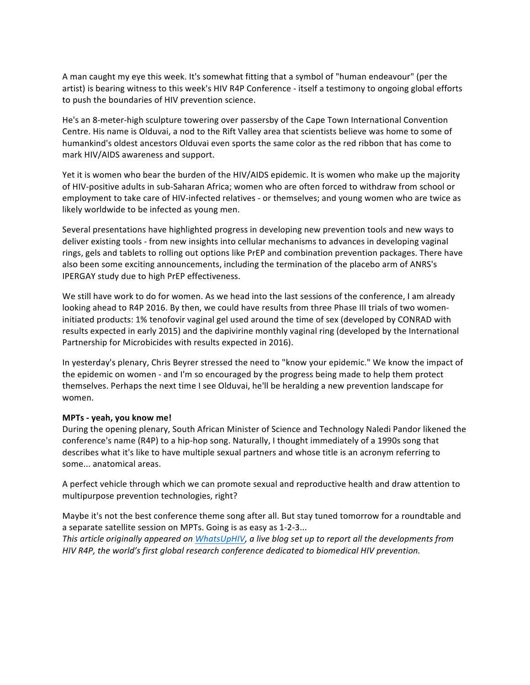A man caught my eye this week. It's somewhat fitting that a symbol of "human endeavour" (per the artist) is bearing witness to this week's HIV R4P Conference - itself a testimony to ongoing global efforts to push the boundaries of HIV prevention science.

He's an 8-meter-high sculpture towering over passersby of the Cape Town International Convention Centre. His name is Olduvai, a nod to the Rift Valley area that scientists believe was home to some of humankind's oldest ancestors Olduvai even sports the same color as the red ribbon that has come to mark HIV/AIDS awareness and support.

Yet it is women who bear the burden of the HIV/AIDS epidemic. It is women who make up the majority of HIV-positive adults in sub-Saharan Africa; women who are often forced to withdraw from school or employment to take care of HIV-infected relatives - or themselves; and young women who are twice as likely worldwide to be infected as young men.

Several presentations have highlighted progress in developing new prevention tools and new ways to deliver existing tools - from new insights into cellular mechanisms to advances in developing vaginal rings, gels and tablets to rolling out options like PrEP and combination prevention packages. There have also been some exciting announcements, including the termination of the placebo arm of ANRS's IPERGAY study due to high PrEP effectiveness.

We still have work to do for women. As we head into the last sessions of the conference, I am already looking ahead to R4P 2016. By then, we could have results from three Phase III trials of two womeninitiated products: 1% tenofovir vaginal gel used around the time of sex (developed by CONRAD with results expected in early 2015) and the dapivirine monthly vaginal ring (developed by the International Partnership for Microbicides with results expected in 2016).

In yesterday's plenary, Chris Beyrer stressed the need to "know your epidemic." We know the impact of the epidemic on women - and I'm so encouraged by the progress being made to help them protect themselves. Perhaps the next time I see Olduvai, he'll be heralding a new prevention landscape for women.

#### **MPTs - yeah, you know me!**

During the opening plenary, South African Minister of Science and Technology Naledi Pandor likened the conference's name (R4P) to a hip-hop song. Naturally, I thought immediately of a 1990s song that describes what it's like to have multiple sexual partners and whose title is an acronym referring to some... anatomical areas.

A perfect vehicle through which we can promote sexual and reproductive health and draw attention to multipurpose prevention technologies, right?

Maybe it's not the best conference theme song after all. But stay tuned tomorrow for a roundtable and a separate satellite session on MPTs. Going is as easy as 1-2-3... *This article originally appeared on WhatsUpHIV, a live blog set up to report all the developments from HIV* R4P, the world's first global research conference dedicated to biomedical HIV prevention.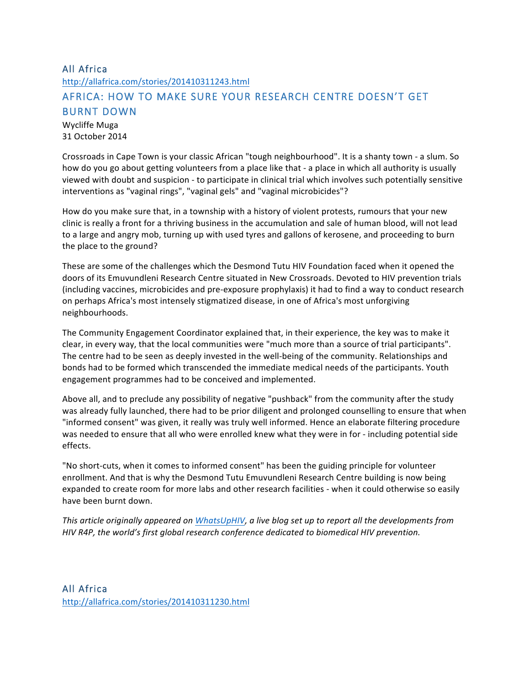# All Africa http://allafrica.com/stories/201410311243.html AFRICA: HOW TO MAKE SURE YOUR RESEARCH CENTRE DOESN'T GET BURNT DOWN

Wycliffe Muga 31 October 2014

Crossroads in Cape Town is your classic African "tough neighbourhood". It is a shanty town - a slum. So how do you go about getting volunteers from a place like that - a place in which all authority is usually viewed with doubt and suspicion - to participate in clinical trial which involves such potentially sensitive interventions as "vaginal rings", "vaginal gels" and "vaginal microbicides"?

How do you make sure that, in a township with a history of violent protests, rumours that your new clinic is really a front for a thriving business in the accumulation and sale of human blood, will not lead to a large and angry mob, turning up with used tyres and gallons of kerosene, and proceeding to burn the place to the ground?

These are some of the challenges which the Desmond Tutu HIV Foundation faced when it opened the doors of its Emuvundleni Research Centre situated in New Crossroads. Devoted to HIV prevention trials (including vaccines, microbicides and pre-exposure prophylaxis) it had to find a way to conduct research on perhaps Africa's most intensely stigmatized disease, in one of Africa's most unforgiving neighbourhoods.

The Community Engagement Coordinator explained that, in their experience, the key was to make it clear, in every way, that the local communities were "much more than a source of trial participants". The centre had to be seen as deeply invested in the well-being of the community. Relationships and bonds had to be formed which transcended the immediate medical needs of the participants. Youth engagement programmes had to be conceived and implemented.

Above all, and to preclude any possibility of negative "pushback" from the community after the study was already fully launched, there had to be prior diligent and prolonged counselling to ensure that when "informed consent" was given, it really was truly well informed. Hence an elaborate filtering procedure was needed to ensure that all who were enrolled knew what they were in for - including potential side effects.

"No short-cuts, when it comes to informed consent" has been the guiding principle for volunteer enrollment. And that is why the Desmond Tutu Emuvundleni Research Centre building is now being expanded to create room for more labs and other research facilities - when it could otherwise so easily have been burnt down.

*This article originally appeared on WhatsUpHIV, a live blog set up to report all the developments from* HIV R4P, the world's first global research conference dedicated to biomedical HIV prevention.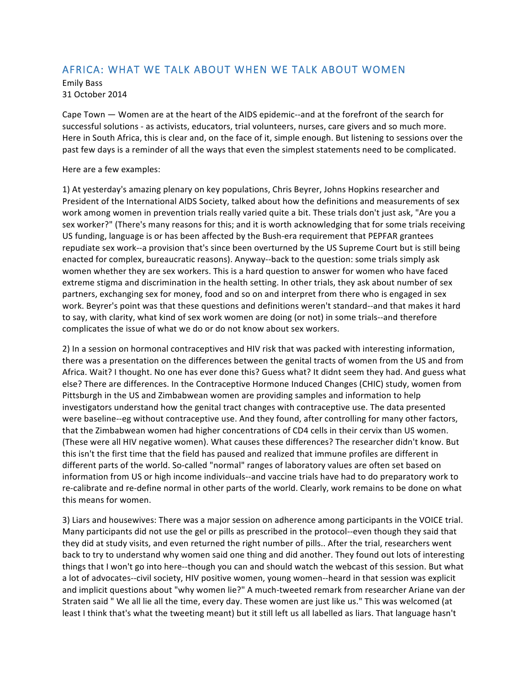### AFRICA: WHAT WE TALK ABOUT WHEN WE TALK ABOUT WOMEN

Emily Bass 31 October 2014

Cape Town — Women are at the heart of the AIDS epidemic--and at the forefront of the search for successful solutions - as activists, educators, trial volunteers, nurses, care givers and so much more. Here in South Africa, this is clear and, on the face of it, simple enough. But listening to sessions over the past few days is a reminder of all the ways that even the simplest statements need to be complicated.

### Here are a few examples:

1) At yesterday's amazing plenary on key populations, Chris Beyrer, Johns Hopkins researcher and President of the International AIDS Society, talked about how the definitions and measurements of sex work among women in prevention trials really varied quite a bit. These trials don't just ask, "Are you a sex worker?" (There's many reasons for this; and it is worth acknowledging that for some trials receiving US funding, language is or has been affected by the Bush-era requirement that PEPFAR grantees repudiate sex work--a provision that's since been overturned by the US Supreme Court but is still being enacted for complex, bureaucratic reasons). Anyway--back to the question: some trials simply ask women whether they are sex workers. This is a hard question to answer for women who have faced extreme stigma and discrimination in the health setting. In other trials, they ask about number of sex partners, exchanging sex for money, food and so on and interpret from there who is engaged in sex work. Beyrer's point was that these questions and definitions weren't standard--and that makes it hard to say, with clarity, what kind of sex work women are doing (or not) in some trials--and therefore complicates the issue of what we do or do not know about sex workers.

2) In a session on hormonal contraceptives and HIV risk that was packed with interesting information, there was a presentation on the differences between the genital tracts of women from the US and from Africa. Wait? I thought. No one has ever done this? Guess what? It didnt seem they had. And guess what else? There are differences. In the Contraceptive Hormone Induced Changes (CHIC) study, women from Pittsburgh in the US and Zimbabwean women are providing samples and information to help investigators understand how the genital tract changes with contraceptive use. The data presented were baseline--eg without contraceptive use. And they found, after controlling for many other factors, that the Zimbabwean women had higher concentrations of CD4 cells in their cervix than US women. (These were all HIV negative women). What causes these differences? The researcher didn't know. But this isn't the first time that the field has paused and realized that immune profiles are different in different parts of the world. So-called "normal" ranges of laboratory values are often set based on information from US or high income individuals--and vaccine trials have had to do preparatory work to re-calibrate and re-define normal in other parts of the world. Clearly, work remains to be done on what this means for women.

3) Liars and housewives: There was a major session on adherence among participants in the VOICE trial. Many participants did not use the gel or pills as prescribed in the protocol--even though they said that they did at study visits, and even returned the right number of pills.. After the trial, researchers went back to try to understand why women said one thing and did another. They found out lots of interesting things that I won't go into here--though you can and should watch the webcast of this session. But what a lot of advocates--civil society, HIV positive women, young women--heard in that session was explicit and implicit questions about "why women lie?" A much-tweeted remark from researcher Ariane van der Straten said " We all lie all the time, every day. These women are just like us." This was welcomed (at least I think that's what the tweeting meant) but it still left us all labelled as liars. That language hasn't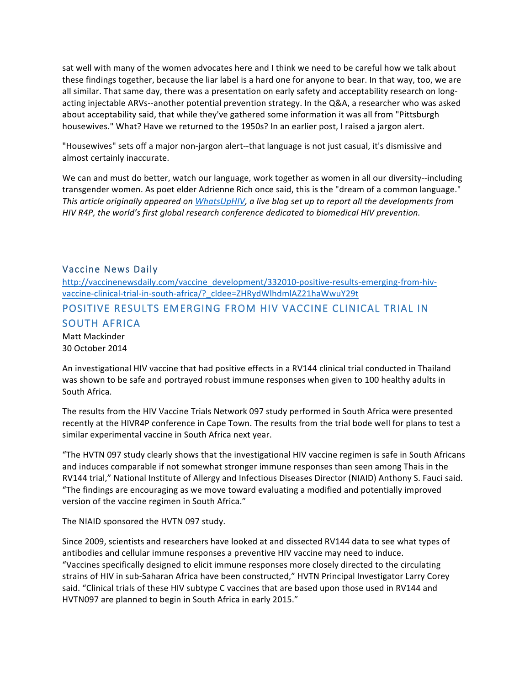sat well with many of the women advocates here and I think we need to be careful how we talk about these findings together, because the liar label is a hard one for anyone to bear. In that way, too, we are all similar. That same day, there was a presentation on early safety and acceptability research on longacting injectable ARVs--another potential prevention strategy. In the Q&A, a researcher who was asked about acceptability said, that while they've gathered some information it was all from "Pittsburgh housewives." What? Have we returned to the 1950s? In an earlier post, I raised a jargon alert.

"Housewives" sets off a major non-jargon alert--that language is not just casual, it's dismissive and almost certainly inaccurate.

We can and must do better, watch our language, work together as women in all our diversity--including transgender women. As poet elder Adrienne Rich once said, this is the "dream of a common language." This article originally appeared on *WhatsUpHIV*, a live blog set up to report all the developments from *HIV* R4P, the world's first global research conference dedicated to biomedical HIV prevention.

### Vaccine News Daily

http://vaccinenewsdaily.com/vaccine\_development/332010-positive-results-emerging-from-hivvaccine-clinical-trial-in-south-africa/?\_cldee=ZHRydWlhdmlAZ21haWwuY29t

### POSITIVE RESULTS EMERGING FROM HIV VACCINE CLINICAL TRIAL IN SOUTH AFRICA

Matt Mackinder 30 October 2014

An investigational HIV vaccine that had positive effects in a RV144 clinical trial conducted in Thailand was shown to be safe and portrayed robust immune responses when given to 100 healthy adults in South Africa.

The results from the HIV Vaccine Trials Network 097 study performed in South Africa were presented recently at the HIVR4P conference in Cape Town. The results from the trial bode well for plans to test a similar experimental vaccine in South Africa next year.

"The HVTN 097 study clearly shows that the investigational HIV vaccine regimen is safe in South Africans and induces comparable if not somewhat stronger immune responses than seen among Thais in the RV144 trial," National Institute of Allergy and Infectious Diseases Director (NIAID) Anthony S. Fauci said. "The findings are encouraging as we move toward evaluating a modified and potentially improved version of the vaccine regimen in South Africa."

The NIAID sponsored the HVTN 097 study.

Since 2009, scientists and researchers have looked at and dissected RV144 data to see what types of antibodies and cellular immune responses a preventive HIV vaccine may need to induce. "Vaccines specifically designed to elicit immune responses more closely directed to the circulating strains of HIV in sub-Saharan Africa have been constructed," HVTN Principal Investigator Larry Corey said. "Clinical trials of these HIV subtype C vaccines that are based upon those used in RV144 and HVTN097 are planned to begin in South Africa in early 2015."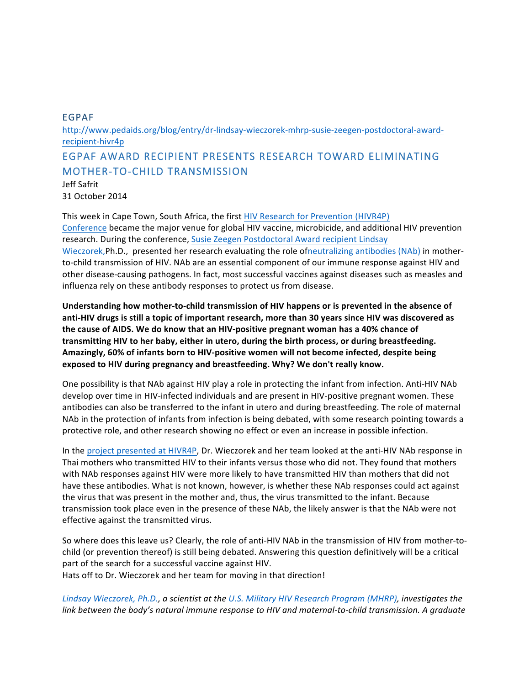### EGPAF

http://www.pedaids.org/blog/entry/dr-lindsay-wieczorek-mhrp-susie-zeegen-postdoctoral-awardrecipient-hivr4p

## EGPAF AWARD RECIPIENT PRESENTS RESEARCH TOWARD ELIMINATING MOTHER-TO-CHILD TRANSMISSION

Jeff Safrit 31 October 2014

This week in Cape Town, South Africa, the first HIV Research for Prevention (HIVR4P) Conference became the major venue for global HIV vaccine, microbicide, and additional HIV prevention research. During the conference, Susie Zeegen Postdoctoral Award recipient Lindsay Wieczorek,Ph.D., presented her research evaluating the role ofneutralizing antibodies (NAb) in motherto-child transmission of HIV. NAb are an essential component of our immune response against HIV and other disease-causing pathogens. In fact, most successful vaccines against diseases such as measles and influenza rely on these antibody responses to protect us from disease.

Understanding how mother-to-child transmission of HIV happens or is prevented in the absence of anti-HIV drugs is still a topic of important research, more than 30 years since HIV was discovered as the cause of AIDS. We do know that an HIV-positive pregnant woman has a 40% chance of transmitting HIV to her baby, either in utero, during the birth process, or during breastfeeding. Amazingly, 60% of infants born to HIV-positive women will not become infected, despite being exposed to HIV during pregnancy and breastfeeding. Why? We don't really know.

One possibility is that NAb against HIV play a role in protecting the infant from infection. Anti-HIV NAb develop over time in HIV-infected individuals and are present in HIV-positive pregnant women. These antibodies can also be transferred to the infant in utero and during breastfeeding. The role of maternal NAb in the protection of infants from infection is being debated, with some research pointing towards a protective role, and other research showing no effect or even an increase in possible infection.

In the project presented at HIVR4P, Dr. Wieczorek and her team looked at the anti-HIV NAb response in Thai mothers who transmitted HIV to their infants versus those who did not. They found that mothers with NAb responses against HIV were more likely to have transmitted HIV than mothers that did not have these antibodies. What is not known, however, is whether these NAb responses could act against the virus that was present in the mother and, thus, the virus transmitted to the infant. Because transmission took place even in the presence of these NAb, the likely answer is that the NAb were not effective against the transmitted virus.

So where does this leave us? Clearly, the role of anti-HIV NAb in the transmission of HIV from mother-tochild (or prevention thereof) is still being debated. Answering this question definitively will be a critical part of the search for a successful vaccine against HIV. Hats off to Dr. Wieczorek and her team for moving in that direction!

Lindsay Wieczorek, Ph.D., a scientist at the U.S. Military HIV Research Program (MHRP), investigates the *link* between the body's natural immune response to HIV and maternal-to-child transmission. A graduate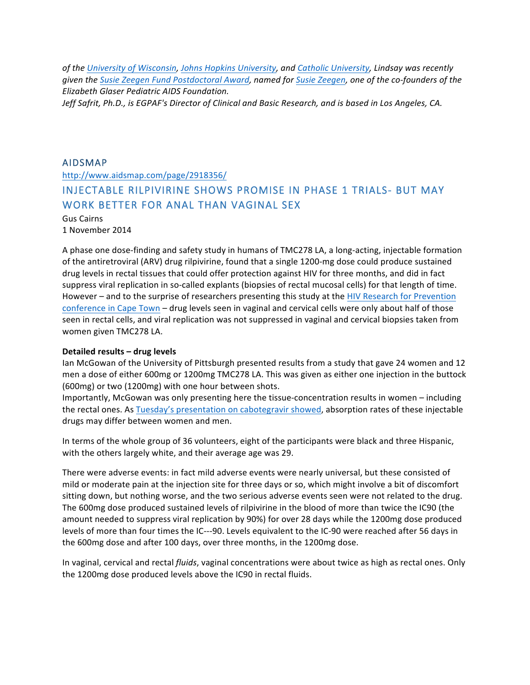of the University of Wisconsin, Johns Hopkins University, and Catholic University, Lindsay was recently *given the Susie Zeegen Fund Postdoctoral Award, named for Susie Zeegen, one of the co-founders of the Elizabeth Glaser Pediatric AIDS Foundation.*

Jeff Safrit, Ph.D., is EGPAF's Director of Clinical and Basic Research, and is based in Los Angeles, CA.

### AIDSMAP

http://www.aidsmap.com/page/2918356/

## INJECTABLE RILPIVIRINE SHOWS PROMISE IN PHASE 1 TRIALS- BUT MAY WORK BETTER FOR ANAL THAN VAGINAL SEX

#### Gus Cairns 1 November 2014

A phase one dose-finding and safety study in humans of TMC278 LA, a long-acting, injectable formation of the antiretroviral (ARV) drug rilpivirine, found that a single 1200-mg dose could produce sustained drug levels in rectal tissues that could offer protection against HIV for three months, and did in fact suppress viral replication in so-called explants (biopsies of rectal mucosal cells) for that length of time. However – and to the surprise of researchers presenting this study at the HIV Research for Prevention conference in Cape Town – drug levels seen in vaginal and cervical cells were only about half of those seen in rectal cells, and viral replication was not suppressed in vaginal and cervical biopsies taken from women given TMC278 LA.

### **Detailed results – drug levels**

Ian McGowan of the University of Pittsburgh presented results from a study that gave 24 women and 12 men a dose of either 600mg or 1200mg TMC278 LA. This was given as either one injection in the buttock (600mg) or two (1200mg) with one hour between shots.

Importantly, McGowan was only presenting here the tissue-concentration results in women – including the rectal ones. As Tuesday's presentation on cabotegravir showed, absorption rates of these injectable drugs may differ between women and men.

In terms of the whole group of 36 volunteers, eight of the participants were black and three Hispanic, with the others largely white, and their average age was 29.

There were adverse events: in fact mild adverse events were nearly universal, but these consisted of mild or moderate pain at the injection site for three days or so, which might involve a bit of discomfort sitting down, but nothing worse, and the two serious adverse events seen were not related to the drug. The 600mg dose produced sustained levels of rilpivirine in the blood of more than twice the IC90 (the amount needed to suppress viral replication by 90%) for over 28 days while the 1200mg dose produced levels of more than four times the IC---90. Levels equivalent to the IC-90 were reached after 56 days in the 600mg dose and after 100 days, over three months, in the 1200mg dose.

In vaginal, cervical and rectal *fluids*, vaginal concentrations were about twice as high as rectal ones. Only the 1200mg dose produced levels above the IC90 in rectal fluids.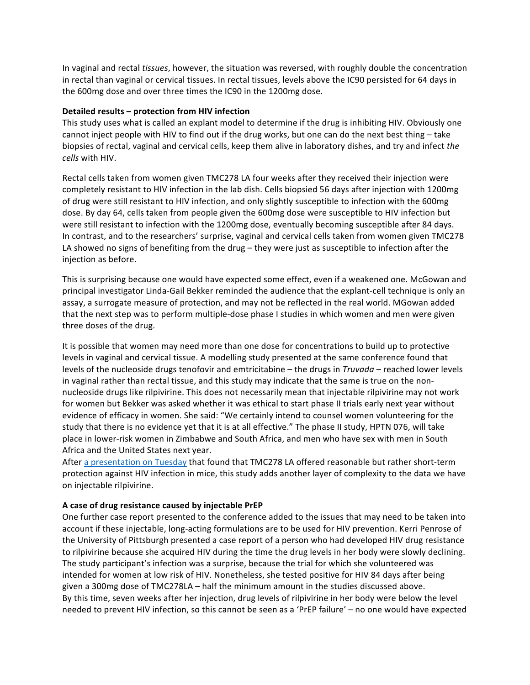In vaginal and rectal *tissues*, however, the situation was reversed, with roughly double the concentration in rectal than vaginal or cervical tissues. In rectal tissues, levels above the IC90 persisted for 64 days in the 600mg dose and over three times the IC90 in the 1200mg dose.

### **Detailed results – protection from HIV infection**

This study uses what is called an explant model to determine if the drug is inhibiting HIV. Obviously one cannot inject people with HIV to find out if the drug works, but one can do the next best thing – take biopsies of rectal, vaginal and cervical cells, keep them alive in laboratory dishes, and try and infect the *cells* with HIV.

Rectal cells taken from women given TMC278 LA four weeks after they received their injection were completely resistant to HIV infection in the lab dish. Cells biopsied 56 days after injection with 1200mg of drug were still resistant to HIV infection, and only slightly susceptible to infection with the 600mg dose. By day 64, cells taken from people given the 600mg dose were susceptible to HIV infection but were still resistant to infection with the 1200mg dose, eventually becoming susceptible after 84 days. In contrast, and to the researchers' surprise, vaginal and cervical cells taken from women given TMC278 LA showed no signs of benefiting from the drug – they were just as susceptible to infection after the injection as before.

This is surprising because one would have expected some effect, even if a weakened one. McGowan and principal investigator Linda-Gail Bekker reminded the audience that the explant-cell technique is only an assay, a surrogate measure of protection, and may not be reflected in the real world. MGowan added that the next step was to perform multiple-dose phase I studies in which women and men were given three doses of the drug.

It is possible that women may need more than one dose for concentrations to build up to protective levels in vaginal and cervical tissue. A modelling study presented at the same conference found that levels of the nucleoside drugs tenofovir and emtricitabine – the drugs in *Truvada* – reached lower levels in vaginal rather than rectal tissue, and this study may indicate that the same is true on the nonnucleoside drugs like rilpivirine. This does not necessarily mean that injectable rilpivirine may not work for women but Bekker was asked whether it was ethical to start phase II trials early next year without evidence of efficacy in women. She said: "We certainly intend to counsel women volunteering for the study that there is no evidence yet that it is at all effective." The phase II study, HPTN 076, will take place in lower-risk women in Zimbabwe and South Africa, and men who have sex with men in South Africa and the United States next year.

After a presentation on Tuesday that found that TMC278 LA offered reasonable but rather short-term protection against HIV infection in mice, this study adds another layer of complexity to the data we have on injectable rilpivirine.

#### **A case of drug resistance caused by injectable PrEP**

One further case report presented to the conference added to the issues that may need to be taken into account if these injectable, long-acting formulations are to be used for HIV prevention. Kerri Penrose of the University of Pittsburgh presented a case report of a person who had developed HIV drug resistance to rilpivirine because she acquired HIV during the time the drug levels in her body were slowly declining. The study participant's infection was a surprise, because the trial for which she volunteered was intended for women at low risk of HIV. Nonetheless, she tested positive for HIV 84 days after being given a 300mg dose of TMC278LA – half the minimum amount in the studies discussed above. By this time, seven weeks after her injection, drug levels of rilpivirine in her body were below the level needed to prevent HIV infection, so this cannot be seen as a 'PrEP failure' – no one would have expected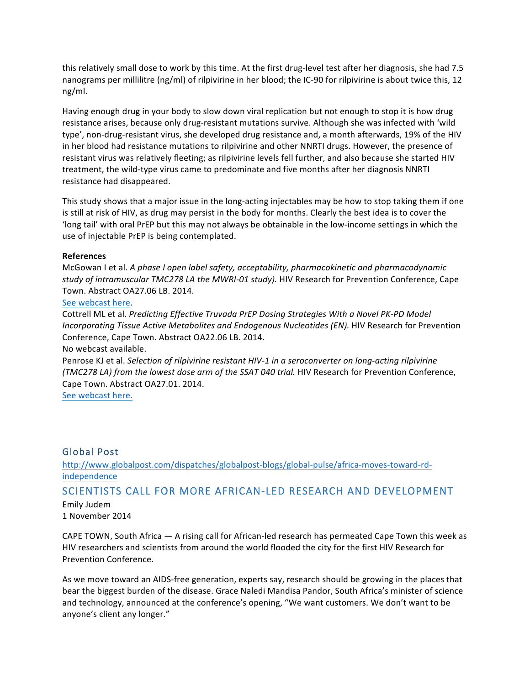this relatively small dose to work by this time. At the first drug-level test after her diagnosis, she had 7.5 nanograms per millilitre (ng/ml) of rilpivirine in her blood; the IC-90 for rilpivirine is about twice this, 12 ng/ml.

Having enough drug in your body to slow down viral replication but not enough to stop it is how drug resistance arises, because only drug-resistant mutations survive. Although she was infected with 'wild type', non-drug-resistant virus, she developed drug resistance and, a month afterwards, 19% of the HIV in her blood had resistance mutations to rilpivirine and other NNRTI drugs. However, the presence of resistant virus was relatively fleeting; as rilpivirine levels fell further, and also because she started HIV treatment, the wild-type virus came to predominate and five months after her diagnosis NNRTI resistance had disappeared.

This study shows that a major issue in the long-acting injectables may be how to stop taking them if one is still at risk of HIV, as drug may persist in the body for months. Clearly the best idea is to cover the 'long tail' with oral PrEP but this may not always be obtainable in the low-income settings in which the use of injectable PrEP is being contemplated.

### **References**

McGowan I et al. A phase I open label safety, acceptability, pharmacokinetic and pharmacodynamic study of intramuscular TMC278 LA the MWRI-01 study). HIV Research for Prevention Conference, Cape Town. Abstract OA27.06 LB. 2014.

### See webcast here.

Cottrell ML et al. *Predicting Effective Truvada PrEP Dosing Strategies With a Novel PK-PD Model Incorporating Tissue Active Metabolites and Endogenous Nucleotides (EN).* HIV Research for Prevention Conference, Cape Town. Abstract OA22.06 LB. 2014.

### No webcast available.

Penrose KJ et al. Selection of rilpivirine resistant HIV-1 in a seroconverter on long-acting rilpivirine *(TMC278 LA)* from the lowest dose arm of the SSAT 040 trial. HIV Research for Prevention Conference, Cape Town. Abstract OA27.01. 2014.

See webcast here.

### Global Post

http://www.globalpost.com/dispatches/globalpost-blogs/global-pulse/africa-moves-toward-rdindependence

### SCIENTISTS CALL FOR MORE AFRICAN-LED RESEARCH AND DEVELOPMENT

Emily Judem 1 November 2014

CAPE TOWN, South Africa  $-$  A rising call for African-led research has permeated Cape Town this week as HIV researchers and scientists from around the world flooded the city for the first HIV Research for Prevention Conference.

As we move toward an AIDS-free generation, experts say, research should be growing in the places that bear the biggest burden of the disease. Grace Naledi Mandisa Pandor, South Africa's minister of science and technology, announced at the conference's opening, "We want customers. We don't want to be anyone's client any longer."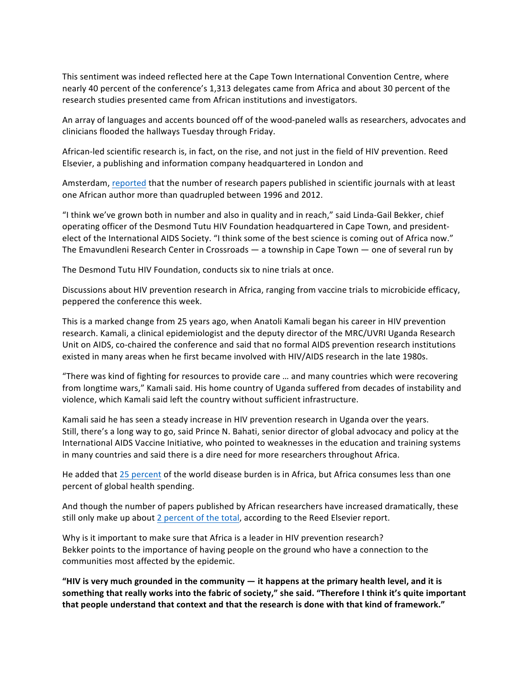This sentiment was indeed reflected here at the Cape Town International Convention Centre, where nearly 40 percent of the conference's 1,313 delegates came from Africa and about 30 percent of the research studies presented came from African institutions and investigators.

An array of languages and accents bounced off of the wood-paneled walls as researchers, advocates and clinicians flooded the hallways Tuesday through Friday.

African-led scientific research is, in fact, on the rise, and not just in the field of HIV prevention. Reed Elsevier, a publishing and information company headquartered in London and

Amsterdam, reported that the number of research papers published in scientific journals with at least one African author more than quadrupled between 1996 and 2012.

"I think we've grown both in number and also in quality and in reach," said Linda-Gail Bekker, chief operating officer of the Desmond Tutu HIV Foundation headquartered in Cape Town, and presidentelect of the International AIDS Society. "I think some of the best science is coming out of Africa now." The Emavundleni Research Center in Crossroads  $-$  a township in Cape Town  $-$  one of several run by

The Desmond Tutu HIV Foundation, conducts six to nine trials at once.

Discussions about HIV prevention research in Africa, ranging from vaccine trials to microbicide efficacy, peppered the conference this week.

This is a marked change from 25 years ago, when Anatoli Kamali began his career in HIV prevention research. Kamali, a clinical epidemiologist and the deputy director of the MRC/UVRI Uganda Research Unit on AIDS, co-chaired the conference and said that no formal AIDS prevention research institutions existed in many areas when he first became involved with HIV/AIDS research in the late 1980s.

"There was kind of fighting for resources to provide care ... and many countries which were recovering from longtime wars," Kamali said. His home country of Uganda suffered from decades of instability and violence, which Kamali said left the country without sufficient infrastructure.

Kamali said he has seen a steady increase in HIV prevention research in Uganda over the years. Still, there's a long way to go, said Prince N. Bahati, senior director of global advocacy and policy at the International AIDS Vaccine Initiative, who pointed to weaknesses in the education and training systems in many countries and said there is a dire need for more researchers throughout Africa.

He added that 25 percent of the world disease burden is in Africa, but Africa consumes less than one percent of global health spending.

And though the number of papers published by African researchers have increased dramatically, these still only make up about 2 percent of the total, according to the Reed Elsevier report.

Why is it important to make sure that Africa is a leader in HIV prevention research? Bekker points to the importance of having people on the ground who have a connection to the communities most affected by the epidemic.

**"HIV** is very much grounded in the community — it happens at the primary health level, and it is something that really works into the fabric of society," she said. "Therefore I think it's quite important that people understand that context and that the research is done with that kind of framework."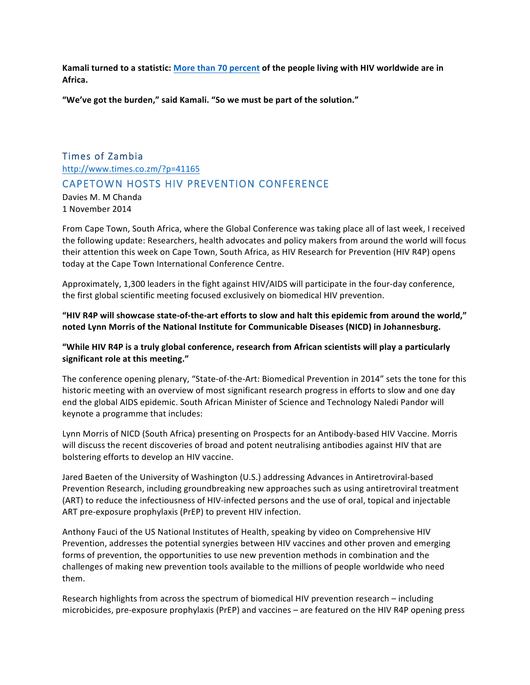**Kamali turned to a statistic: More than 70 percent of the people living with HIV worldwide are in Africa.**

"We've got the burden," said Kamali. "So we must be part of the solution."

# Times of Zambia http://www.times.co.zm/?p=41165 CAPETOWN HOSTS HIV PREVENTION CONFERENCE

Davies M. M Chanda 1 November 2014

From Cape Town, South Africa, where the Global Conference was taking place all of last week, I received the following update: Researchers, health advocates and policy makers from around the world will focus their attention this week on Cape Town, South Africa, as HIV Research for Prevention (HIV R4P) opens today at the Cape Town International Conference Centre.

Approximately, 1,300 leaders in the fight against HIV/AIDS will participate in the four-day conference, the first global scientific meeting focused exclusively on biomedical HIV prevention.

### "HIV R4P will showcase state-of-the-art efforts to slow and halt this epidemic from around the world," noted Lynn Morris of the National Institute for Communicable Diseases (NICD) in Johannesburg.

### "While HIV R4P is a truly global conference, research from African scientists will play a particularly significant role at this meeting."

The conference opening plenary, "State-of-the-Art: Biomedical Prevention in 2014" sets the tone for this historic meeting with an overview of most significant research progress in efforts to slow and one day end the global AIDS epidemic. South African Minister of Science and Technology Naledi Pandor will keynote a programme that includes:

Lynn Morris of NICD (South Africa) presenting on Prospects for an Antibody-based HIV Vaccine. Morris will discuss the recent discoveries of broad and potent neutralising antibodies against HIV that are bolstering efforts to develop an HIV vaccine.

Jared Baeten of the University of Washington (U.S.) addressing Advances in Antiretroviral-based Prevention Research, including groundbreaking new approaches such as using antiretroviral treatment (ART) to reduce the infectiousness of HIV-infected persons and the use of oral, topical and injectable ART pre-exposure prophylaxis (PrEP) to prevent HIV infection.

Anthony Fauci of the US National Institutes of Health, speaking by video on Comprehensive HIV Prevention, addresses the potential synergies between HIV vaccines and other proven and emerging forms of prevention, the opportunities to use new prevention methods in combination and the challenges of making new prevention tools available to the millions of people worldwide who need them.

Research highlights from across the spectrum of biomedical HIV prevention research – including microbicides, pre-exposure prophylaxis (PrEP) and vaccines – are featured on the HIV R4P opening press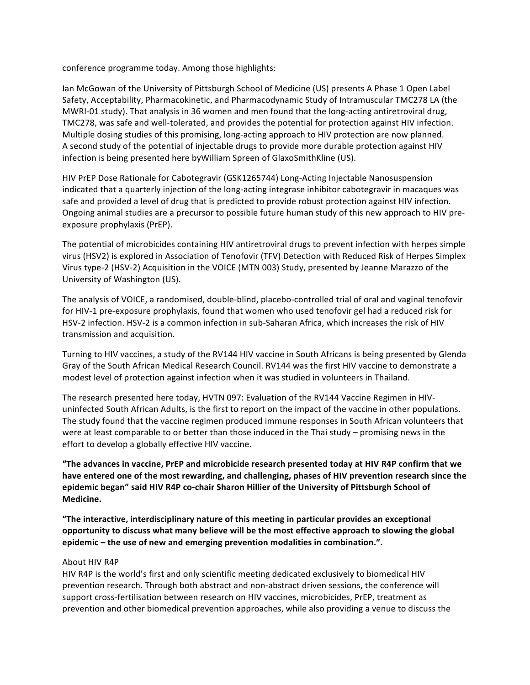conference programme today. Among those highlights:

Ian McGowan of the University of Pittsburgh School of Medicine (US) presents A Phase 1 Open Label Safety, Acceptability, Pharmacokinetic, and Pharmacodynamic Study of Intramuscular TMC278 LA (the MWRI-01 study). That analysis in 36 women and men found that the long-acting antiretroviral drug, TMC278, was safe and well-tolerated, and provides the potential for protection against HIV infection. Multiple dosing studies of this promising, long-acting approach to HIV protection are now planned. A second study of the potential of injectable drugs to provide more durable protection against HIV infection is being presented here byWilliam Spreen of GlaxoSmithKline (US).

HIV PrEP Dose Rationale for Cabotegravir (GSK1265744) Long-Acting Injectable Nanosuspension indicated that a quarterly injection of the long-acting integrase inhibitor cabotegravir in macaques was safe and provided a level of drug that is predicted to provide robust protection against HIV infection. Ongoing animal studies are a precursor to possible future human study of this new approach to HIV preexposure prophylaxis (PrEP).

The potential of microbicides containing HIV antiretroviral drugs to prevent infection with herpes simple virus (HSV2) is explored in Association of Tenofovir (TFV) Detection with Reduced Risk of Herpes Simplex Virus type-2 (HSV-2) Acquisition in the VOICE (MTN 003) Study, presented by Jeanne Marazzo of the University of Washington (US).

The analysis of VOICE, a randomised, double-blind, placebo-controlled trial of oral and vaginal tenofovir for HIV-1 pre-exposure prophylaxis, found that women who used tenofovir gel had a reduced risk for HSV-2 infection. HSV-2 is a common infection in sub-Saharan Africa, which increases the risk of HIV transmission and acquisition.

Turning to HIV vaccines, a study of the RV144 HIV vaccine in South Africans is being presented by Glenda Gray of the South African Medical Research Council. RV144 was the first HIV vaccine to demonstrate a modest level of protection against infection when it was studied in volunteers in Thailand.

The research presented here today, HVTN 097: Evaluation of the RV144 Vaccine Regimen in HIVuninfected South African Adults, is the first to report on the impact of the vaccine in other populations. The study found that the vaccine regimen produced immune responses in South African volunteers that were at least comparable to or better than those induced in the Thai study – promising news in the effort to develop a globally effective HIV vaccine.

"The advances in vaccine, PrEP and microbicide research presented today at HIV R4P confirm that we have entered one of the most rewarding, and challenging, phases of HIV prevention research since the epidemic began" said HIV R4P co-chair Sharon Hillier of the University of Pittsburgh School of **Medicine.**

**The interactive, interdisciplinary nature of this meeting in particular provides an exceptional** opportunity to discuss what many believe will be the most effective approach to slowing the global epidemic – the use of new and emerging prevention modalities in combination.".

#### About HIV R4P

HIV R4P is the world's first and only scientific meeting dedicated exclusively to biomedical HIV prevention research. Through both abstract and non-abstract driven sessions, the conference will support cross-fertilisation between research on HIV vaccines, microbicides, PrEP, treatment as prevention and other biomedical prevention approaches, while also providing a venue to discuss the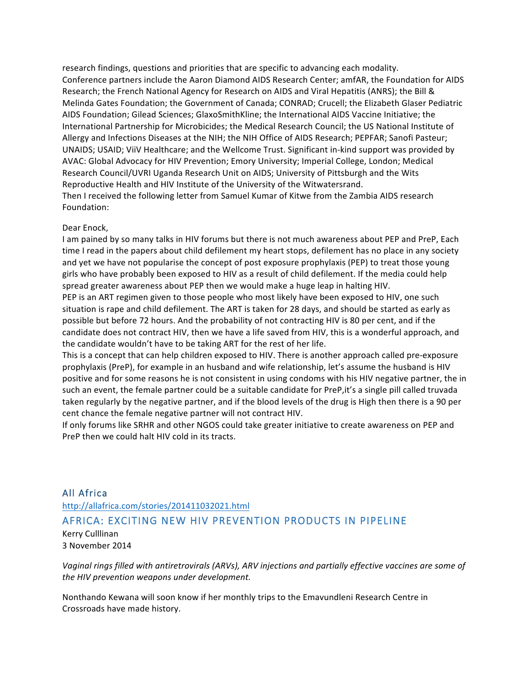research findings, questions and priorities that are specific to advancing each modality. Conference partners include the Aaron Diamond AIDS Research Center; amfAR, the Foundation for AIDS Research; the French National Agency for Research on AIDS and Viral Hepatitis (ANRS); the Bill & Melinda Gates Foundation; the Government of Canada; CONRAD; Crucell; the Elizabeth Glaser Pediatric AIDS Foundation; Gilead Sciences; GlaxoSmithKline; the International AIDS Vaccine Initiative; the International Partnership for Microbicides; the Medical Research Council; the US National Institute of Allergy and Infections Diseases at the NIH; the NIH Office of AIDS Research; PEPFAR; Sanofi Pasteur; UNAIDS; USAID; ViiV Healthcare; and the Wellcome Trust. Significant in-kind support was provided by AVAC: Global Advocacy for HIV Prevention; Emory University; Imperial College, London; Medical Research Council/UVRI Uganda Research Unit on AIDS; University of Pittsburgh and the Wits Reproductive Health and HIV Institute of the University of the Witwatersrand. Then I received the following letter from Samuel Kumar of Kitwe from the Zambia AIDS research Foundation:

#### Dear Enock,

I am pained by so many talks in HIV forums but there is not much awareness about PEP and PreP, Each time I read in the papers about child defilement my heart stops, defilement has no place in any society and yet we have not popularise the concept of post exposure prophylaxis (PEP) to treat those young girls who have probably been exposed to HIV as a result of child defilement. If the media could help spread greater awareness about PEP then we would make a huge leap in halting HIV.

PEP is an ART regimen given to those people who most likely have been exposed to HIV, one such situation is rape and child defilement. The ART is taken for 28 days, and should be started as early as possible but before 72 hours. And the probability of not contracting HIV is 80 per cent, and if the candidate does not contract HIV, then we have a life saved from HIV, this is a wonderful approach, and the candidate wouldn't have to be taking ART for the rest of her life.

This is a concept that can help children exposed to HIV. There is another approach called pre-exposure prophylaxis (PreP), for example in an husband and wife relationship, let's assume the husband is HIV positive and for some reasons he is not consistent in using condoms with his HIV negative partner, the in such an event, the female partner could be a suitable candidate for PreP, it's a single pill called truvada taken regularly by the negative partner, and if the blood levels of the drug is High then there is a 90 per cent chance the female negative partner will not contract HIV.

If only forums like SRHR and other NGOS could take greater initiative to create awareness on PEP and PreP then we could halt HIV cold in its tracts.

### All Africa http://allafrica.com/stories/201411032021.html AFRICA: EXCITING NEW HIV PREVENTION PRODUCTS IN PIPELINE Kerry Culllinan

3 November 2014

Vaginal rings filled with antiretrovirals (ARVs), ARV injections and partially effective vaccines are some of *the HIV prevention weapons under development.*

Nonthando Kewana will soon know if her monthly trips to the Emavundleni Research Centre in Crossroads have made history.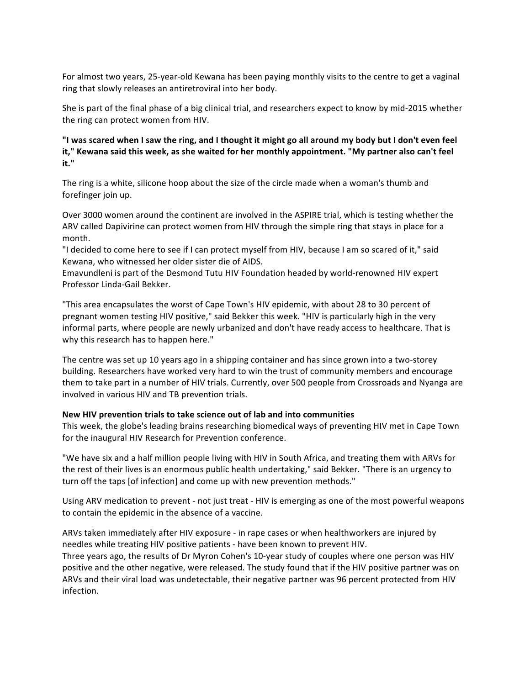For almost two years, 25-year-old Kewana has been paying monthly visits to the centre to get a vaginal ring that slowly releases an antiretroviral into her body.

She is part of the final phase of a big clinical trial, and researchers expect to know by mid-2015 whether the ring can protect women from HIV.

"I was scared when I saw the ring, and I thought it might go all around my body but I don't even feel it," Kewana said this week, as she waited for her monthly appointment. "My partner also can't feel **it."**

The ring is a white, silicone hoop about the size of the circle made when a woman's thumb and forefinger join up.

Over 3000 women around the continent are involved in the ASPIRE trial, which is testing whether the ARV called Dapivirine can protect women from HIV through the simple ring that stays in place for a month.

"I decided to come here to see if I can protect myself from HIV, because I am so scared of it," said Kewana, who witnessed her older sister die of AIDS.

Emavundleni is part of the Desmond Tutu HIV Foundation headed by world-renowned HIV expert Professor Linda-Gail Bekker.

"This area encapsulates the worst of Cape Town's HIV epidemic, with about 28 to 30 percent of pregnant women testing HIV positive," said Bekker this week. "HIV is particularly high in the very informal parts, where people are newly urbanized and don't have ready access to healthcare. That is why this research has to happen here."

The centre was set up 10 years ago in a shipping container and has since grown into a two-storey building. Researchers have worked very hard to win the trust of community members and encourage them to take part in a number of HIV trials. Currently, over 500 people from Crossroads and Nyanga are involved in various HIV and TB prevention trials.

#### New HIV prevention trials to take science out of lab and into communities

This week, the globe's leading brains researching biomedical ways of preventing HIV met in Cape Town for the inaugural HIV Research for Prevention conference.

"We have six and a half million people living with HIV in South Africa, and treating them with ARVs for the rest of their lives is an enormous public health undertaking," said Bekker. "There is an urgency to turn off the taps [of infection] and come up with new prevention methods."

Using ARV medication to prevent - not just treat - HIV is emerging as one of the most powerful weapons to contain the epidemic in the absence of a vaccine.

ARVs taken immediately after HIV exposure - in rape cases or when healthworkers are injured by needles while treating HIV positive patients - have been known to prevent HIV.

Three years ago, the results of Dr Myron Cohen's 10-year study of couples where one person was HIV positive and the other negative, were released. The study found that if the HIV positive partner was on ARVs and their viral load was undetectable, their negative partner was 96 percent protected from HIV infection.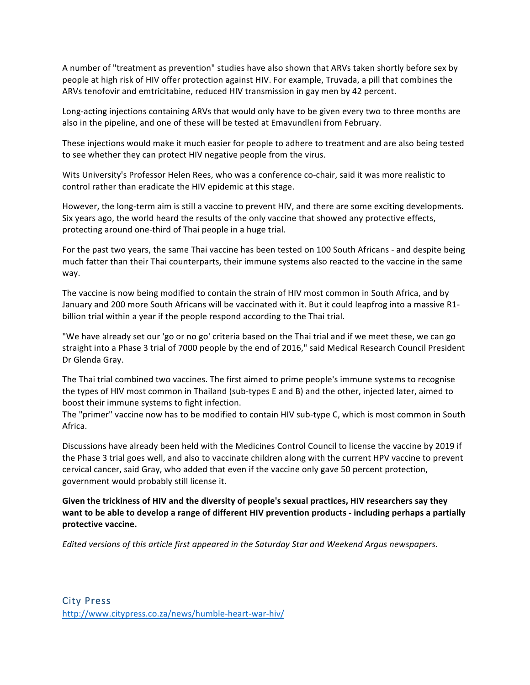A number of "treatment as prevention" studies have also shown that ARVs taken shortly before sex by people at high risk of HIV offer protection against HIV. For example, Truvada, a pill that combines the ARVs tenofovir and emtricitabine, reduced HIV transmission in gay men by 42 percent.

Long-acting injections containing ARVs that would only have to be given every two to three months are also in the pipeline, and one of these will be tested at Emavundleni from February.

These injections would make it much easier for people to adhere to treatment and are also being tested to see whether they can protect HIV negative people from the virus.

Wits University's Professor Helen Rees, who was a conference co-chair, said it was more realistic to control rather than eradicate the HIV epidemic at this stage.

However, the long-term aim is still a vaccine to prevent HIV, and there are some exciting developments. Six years ago, the world heard the results of the only vaccine that showed any protective effects, protecting around one-third of Thai people in a huge trial.

For the past two years, the same Thai vaccine has been tested on 100 South Africans - and despite being much fatter than their Thai counterparts, their immune systems also reacted to the vaccine in the same way.

The vaccine is now being modified to contain the strain of HIV most common in South Africa, and by January and 200 more South Africans will be vaccinated with it. But it could leapfrog into a massive R1billion trial within a year if the people respond according to the Thai trial.

"We have already set our 'go or no go' criteria based on the Thai trial and if we meet these, we can go straight into a Phase 3 trial of 7000 people by the end of 2016," said Medical Research Council President Dr Glenda Gray.

The Thai trial combined two vaccines. The first aimed to prime people's immune systems to recognise the types of HIV most common in Thailand (sub-types E and B) and the other, injected later, aimed to boost their immune systems to fight infection.

The "primer" vaccine now has to be modified to contain HIV sub-type C, which is most common in South Africa.

Discussions have already been held with the Medicines Control Council to license the vaccine by 2019 if the Phase 3 trial goes well, and also to vaccinate children along with the current HPV vaccine to prevent cervical cancer, said Gray, who added that even if the vaccine only gave 50 percent protection, government would probably still license it.

Given the trickiness of HIV and the diversity of people's sexual practices, HIV researchers say they want to be able to develop a range of different HIV prevention products - including perhaps a partially protective vaccine.

*Edited* versions of this article first appeared in the Saturday Star and Weekend Argus newspapers.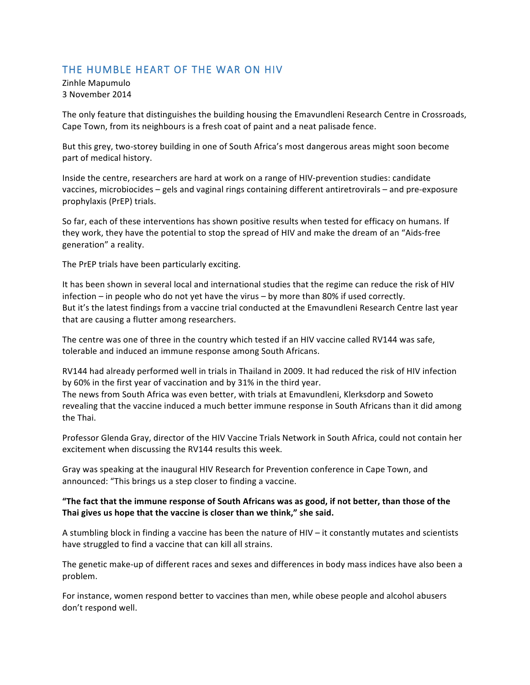### THE HUMBLE HEART OF THE WAR ON HIV

Zinhle Mapumulo 3 November 2014

The only feature that distinguishes the building housing the Emavundleni Research Centre in Crossroads, Cape Town, from its neighbours is a fresh coat of paint and a neat palisade fence.

But this grey, two-storey building in one of South Africa's most dangerous areas might soon become part of medical history.

Inside the centre, researchers are hard at work on a range of HIV-prevention studies: candidate vaccines, microbiocides – gels and vaginal rings containing different antiretrovirals – and pre-exposure prophylaxis (PrEP) trials.

So far, each of these interventions has shown positive results when tested for efficacy on humans. If they work, they have the potential to stop the spread of HIV and make the dream of an "Aids-free generation" a reality.

The PrEP trials have been particularly exciting.

It has been shown in several local and international studies that the regime can reduce the risk of HIV infection – in people who do not yet have the virus – by more than 80% if used correctly. But it's the latest findings from a vaccine trial conducted at the Emavundleni Research Centre last year that are causing a flutter among researchers.

The centre was one of three in the country which tested if an HIV vaccine called RV144 was safe, tolerable and induced an immune response among South Africans.

RV144 had already performed well in trials in Thailand in 2009. It had reduced the risk of HIV infection by 60% in the first year of vaccination and by 31% in the third year.

The news from South Africa was even better, with trials at Emavundleni, Klerksdorp and Soweto revealing that the vaccine induced a much better immune response in South Africans than it did among the Thai.

Professor Glenda Gray, director of the HIV Vaccine Trials Network in South Africa, could not contain her excitement when discussing the RV144 results this week.

Gray was speaking at the inaugural HIV Research for Prevention conference in Cape Town, and announced: "This brings us a step closer to finding a vaccine.

### "The fact that the immune response of South Africans was as good, if not better, than those of the Thai gives us hope that the vaccine is closer than we think," she said.

A stumbling block in finding a vaccine has been the nature of HIV  $-$  it constantly mutates and scientists have struggled to find a vaccine that can kill all strains.

The genetic make-up of different races and sexes and differences in body mass indices have also been a problem.

For instance, women respond better to vaccines than men, while obese people and alcohol abusers don't respond well.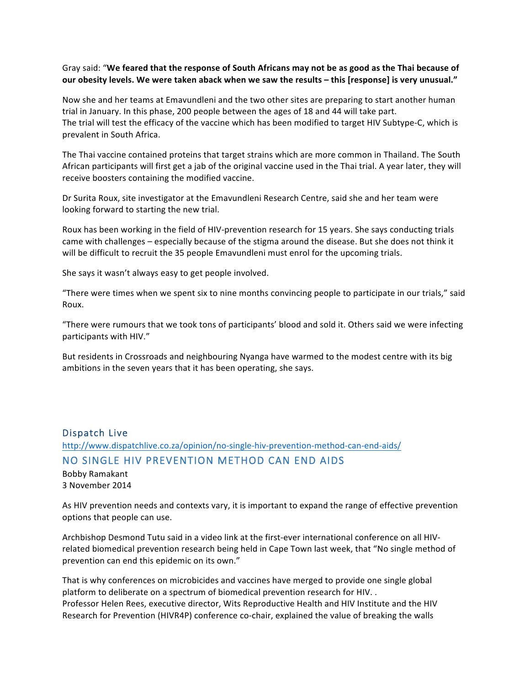### Gray said: "We feared that the response of South Africans may not be as good as the Thai because of our obesity levels. We were taken aback when we saw the results - this [response] is very unusual."

Now she and her teams at Emavundleni and the two other sites are preparing to start another human trial in January. In this phase, 200 people between the ages of 18 and 44 will take part. The trial will test the efficacy of the vaccine which has been modified to target HIV Subtype-C, which is prevalent in South Africa.

The Thai vaccine contained proteins that target strains which are more common in Thailand. The South African participants will first get a jab of the original vaccine used in the Thai trial. A year later, they will receive boosters containing the modified vaccine.

Dr Surita Roux, site investigator at the Emavundleni Research Centre, said she and her team were looking forward to starting the new trial.

Roux has been working in the field of HIV-prevention research for 15 years. She says conducting trials came with challenges – especially because of the stigma around the disease. But she does not think it will be difficult to recruit the 35 people Emavundleni must enrol for the upcoming trials.

She says it wasn't always easy to get people involved.

"There were times when we spent six to nine months convincing people to participate in our trials," said Roux.

"There were rumours that we took tons of participants' blood and sold it. Others said we were infecting participants with HIV."

But residents in Crossroads and neighbouring Nyanga have warmed to the modest centre with its big ambitions in the seven years that it has been operating, she says.

# Dispatch Live http://www.dispatchlive.co.za/opinion/no-single-hiv-prevention-method-can-end-aids/ NO SINGLE HIV PREVENTION METHOD CAN END AIDS

Bobby Ramakant 3 November 2014

As HIV prevention needs and contexts vary, it is important to expand the range of effective prevention options that people can use.

Archbishop Desmond Tutu said in a video link at the first-ever international conference on all HIVrelated biomedical prevention research being held in Cape Town last week, that "No single method of prevention can end this epidemic on its own."

That is why conferences on microbicides and vaccines have merged to provide one single global platform to deliberate on a spectrum of biomedical prevention research for HIV. . Professor Helen Rees, executive director, Wits Reproductive Health and HIV Institute and the HIV Research for Prevention (HIVR4P) conference co-chair, explained the value of breaking the walls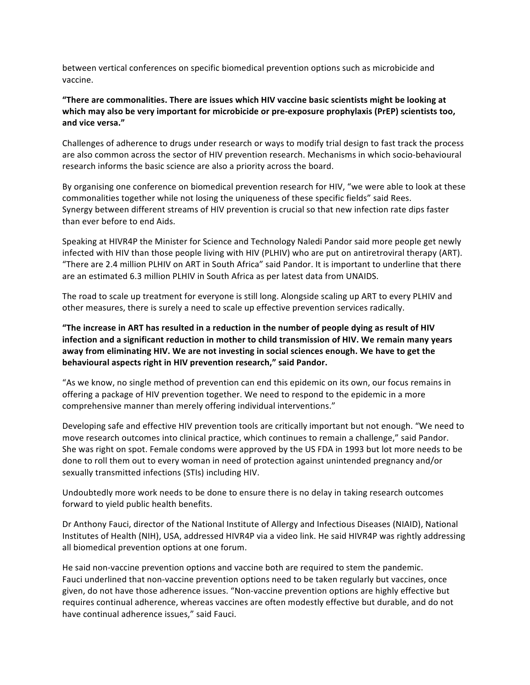between vertical conferences on specific biomedical prevention options such as microbicide and vaccine.

### "There are commonalities. There are issues which HIV vaccine basic scientists might be looking at which may also be very important for microbicide or pre-exposure prophylaxis (PrEP) scientists too, **and vice versa."**

Challenges of adherence to drugs under research or ways to modify trial design to fast track the process are also common across the sector of HIV prevention research. Mechanisms in which socio-behavioural research informs the basic science are also a priority across the board.

By organising one conference on biomedical prevention research for HIV, "we were able to look at these commonalities together while not losing the uniqueness of these specific fields" said Rees. Synergy between different streams of HIV prevention is crucial so that new infection rate dips faster than ever before to end Aids.

Speaking at HIVR4P the Minister for Science and Technology Naledi Pandor said more people get newly infected with HIV than those people living with HIV (PLHIV) who are put on antiretroviral therapy (ART). "There are 2.4 million PLHIV on ART in South Africa" said Pandor. It is important to underline that there are an estimated 6.3 million PLHIV in South Africa as per latest data from UNAIDS.

The road to scale up treatment for everyone is still long. Alongside scaling up ART to every PLHIV and other measures, there is surely a need to scale up effective prevention services radically.

"The increase in ART has resulted in a reduction in the number of people dying as result of HIV infection and a significant reduction in mother to child transmission of HIV. We remain many years away from eliminating HIV. We are not investing in social sciences enough. We have to get the **behavioural aspects right in HIV prevention research," said Pandor.** 

"As we know, no single method of prevention can end this epidemic on its own, our focus remains in offering a package of HIV prevention together. We need to respond to the epidemic in a more comprehensive manner than merely offering individual interventions."

Developing safe and effective HIV prevention tools are critically important but not enough. "We need to move research outcomes into clinical practice, which continues to remain a challenge," said Pandor. She was right on spot. Female condoms were approved by the US FDA in 1993 but lot more needs to be done to roll them out to every woman in need of protection against unintended pregnancy and/or sexually transmitted infections (STIs) including HIV.

Undoubtedly more work needs to be done to ensure there is no delay in taking research outcomes forward to yield public health benefits.

Dr Anthony Fauci, director of the National Institute of Allergy and Infectious Diseases (NIAID), National Institutes of Health (NIH), USA, addressed HIVR4P via a video link. He said HIVR4P was rightly addressing all biomedical prevention options at one forum.

He said non-vaccine prevention options and vaccine both are required to stem the pandemic. Fauci underlined that non-vaccine prevention options need to be taken regularly but vaccines, once given, do not have those adherence issues. "Non-vaccine prevention options are highly effective but requires continual adherence, whereas vaccines are often modestly effective but durable, and do not have continual adherence issues," said Fauci.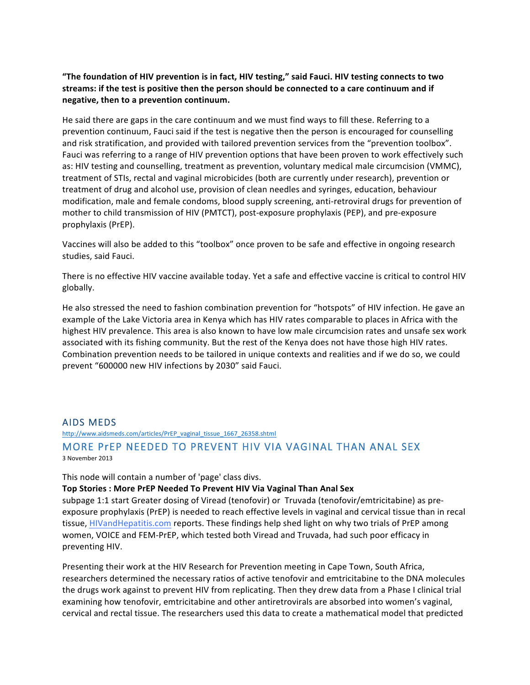"The foundation of HIV prevention is in fact, HIV testing," said Fauci. HIV testing connects to two streams: if the test is positive then the person should be connected to a care continuum and if **negative, then to a prevention continuum.**

He said there are gaps in the care continuum and we must find ways to fill these. Referring to a prevention continuum, Fauci said if the test is negative then the person is encouraged for counselling and risk stratification, and provided with tailored prevention services from the "prevention toolbox". Fauci was referring to a range of HIV prevention options that have been proven to work effectively such as: HIV testing and counselling, treatment as prevention, voluntary medical male circumcision (VMMC), treatment of STIs, rectal and vaginal microbicides (both are currently under research), prevention or treatment of drug and alcohol use, provision of clean needles and syringes, education, behaviour modification, male and female condoms, blood supply screening, anti-retroviral drugs for prevention of mother to child transmission of HIV (PMTCT), post-exposure prophylaxis (PEP), and pre-exposure prophylaxis (PrEP).

Vaccines will also be added to this "toolbox" once proven to be safe and effective in ongoing research studies, said Fauci.

There is no effective HIV vaccine available today. Yet a safe and effective vaccine is critical to control HIV globally.

He also stressed the need to fashion combination prevention for "hotspots" of HIV infection. He gave an example of the Lake Victoria area in Kenya which has HIV rates comparable to places in Africa with the highest HIV prevalence. This area is also known to have low male circumcision rates and unsafe sex work associated with its fishing community. But the rest of the Kenya does not have those high HIV rates. Combination prevention needs to be tailored in unique contexts and realities and if we do so, we could prevent "600000 new HIV infections by 2030" said Fauci.

### AIDS MEDS

http://www.aidsmeds.com/articles/PrEP\_vaginal\_tissue\_1667\_26358.shtml

### MORE PrEP NEEDED TO PREVENT HIV VIA VAGINAL THAN ANAL SEX 3 November 2013

This node will contain a number of 'page' class divs.

#### **Top Stories: More PrEP Needed To Prevent HIV Via Vaginal Than Anal Sex**

subpage 1:1 start Greater dosing of Viread (tenofovir) or Truvada (tenofovir/emtricitabine) as preexposure prophylaxis (PrEP) is needed to reach effective levels in vaginal and cervical tissue than in recal tissue, **HIVandHepatitis.com** reports. These findings help shed light on why two trials of PrEP among women, VOICE and FEM-PrEP, which tested both Viread and Truvada, had such poor efficacy in preventing HIV.

Presenting their work at the HIV Research for Prevention meeting in Cape Town, South Africa, researchers determined the necessary ratios of active tenofovir and emtricitabine to the DNA molecules the drugs work against to prevent HIV from replicating. Then they drew data from a Phase I clinical trial examining how tenofovir, emtricitabine and other antiretrovirals are absorbed into women's vaginal, cervical and rectal tissue. The researchers used this data to create a mathematical model that predicted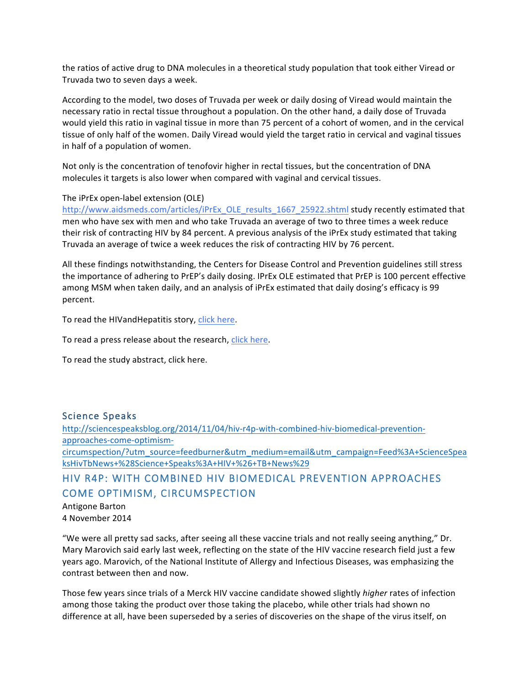the ratios of active drug to DNA molecules in a theoretical study population that took either Viread or Truvada two to seven days a week.

According to the model, two doses of Truvada per week or daily dosing of Viread would maintain the necessary ratio in rectal tissue throughout a population. On the other hand, a daily dose of Truvada would yield this ratio in vaginal tissue in more than 75 percent of a cohort of women, and in the cervical tissue of only half of the women. Daily Viread would yield the target ratio in cervical and vaginal tissues in half of a population of women.

Not only is the concentration of tenofovir higher in rectal tissues, but the concentration of DNA molecules it targets is also lower when compared with vaginal and cervical tissues.

#### The iPrEx open-label extension (OLE)

http://www.aidsmeds.com/articles/iPrEx\_OLE\_results\_1667\_25922.shtml study recently estimated that men who have sex with men and who take Truvada an average of two to three times a week reduce their risk of contracting HIV by 84 percent. A previous analysis of the iPrEx study estimated that taking Truvada an average of twice a week reduces the risk of contracting HIV by 76 percent.

All these findings notwithstanding, the Centers for Disease Control and Prevention guidelines still stress the importance of adhering to PrEP's daily dosing. IPrEx OLE estimated that PrEP is 100 percent effective among MSM when taken daily, and an analysis of iPrEx estimated that daily dosing's efficacy is 99 percent.

To read the HIVandHepatitis story, click here.

To read a press release about the research, click here.

To read the study abstract, click here.

### Science Speaks

http://sciencespeaksblog.org/2014/11/04/hiv-r4p-with-combined-hiv-biomedical-preventionapproaches-come-optimismcircumspection/?utm\_source=feedburner&utm\_medium=email&utm\_campaign=Feed%3A+ScienceSpea ksHivTbNews+%28Science+Speaks%3A+HIV+%26+TB+News%29

# HIV R4P: WITH COMBINED HIV BIOMEDICAL PREVENTION APPROACHES COME OPTIMISM, CIRCUMSPECTION

Antigone Barton 4 November 2014

"We were all pretty sad sacks, after seeing all these vaccine trials and not really seeing anything," Dr. Mary Marovich said early last week, reflecting on the state of the HIV vaccine research field just a few years ago. Marovich, of the National Institute of Allergy and Infectious Diseases, was emphasizing the contrast between then and now.

Those few years since trials of a Merck HIV vaccine candidate showed slightly *higher* rates of infection among those taking the product over those taking the placebo, while other trials had shown no difference at all, have been superseded by a series of discoveries on the shape of the virus itself, on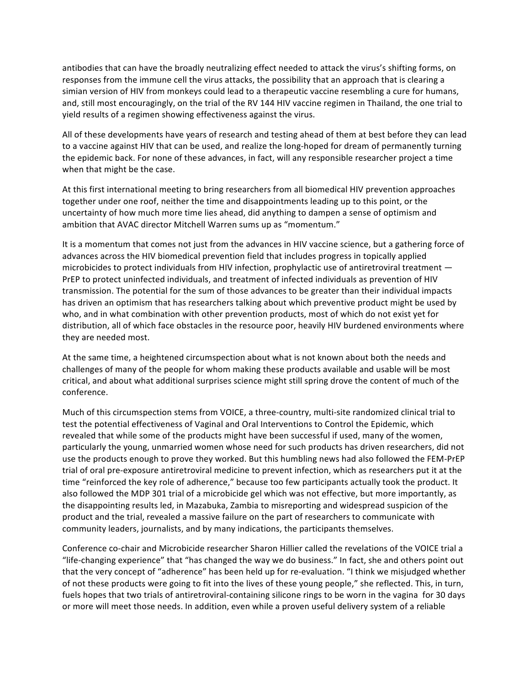antibodies that can have the broadly neutralizing effect needed to attack the virus's shifting forms, on responses from the immune cell the virus attacks, the possibility that an approach that is clearing a simian version of HIV from monkeys could lead to a therapeutic vaccine resembling a cure for humans, and, still most encouragingly, on the trial of the RV 144 HIV vaccine regimen in Thailand, the one trial to yield results of a regimen showing effectiveness against the virus.

All of these developments have years of research and testing ahead of them at best before they can lead to a vaccine against HIV that can be used, and realize the long-hoped for dream of permanently turning the epidemic back. For none of these advances, in fact, will any responsible researcher project a time when that might be the case.

At this first international meeting to bring researchers from all biomedical HIV prevention approaches together under one roof, neither the time and disappointments leading up to this point, or the uncertainty of how much more time lies ahead, did anything to dampen a sense of optimism and ambition that AVAC director Mitchell Warren sums up as "momentum."

It is a momentum that comes not just from the advances in HIV vaccine science, but a gathering force of advances across the HIV biomedical prevention field that includes progress in topically applied microbicides to protect individuals from HIV infection, prophylactic use of antiretroviral treatment  $-$ PrEP to protect uninfected individuals, and treatment of infected individuals as prevention of HIV transmission. The potential for the sum of those advances to be greater than their individual impacts has driven an optimism that has researchers talking about which preventive product might be used by who, and in what combination with other prevention products, most of which do not exist yet for distribution, all of which face obstacles in the resource poor, heavily HIV burdened environments where they are needed most.

At the same time, a heightened circumspection about what is not known about both the needs and challenges of many of the people for whom making these products available and usable will be most critical, and about what additional surprises science might still spring drove the content of much of the conference.

Much of this circumspection stems from VOICE, a three-country, multi-site randomized clinical trial to test the potential effectiveness of Vaginal and Oral Interventions to Control the Epidemic, which revealed that while some of the products might have been successful if used, many of the women, particularly the young, unmarried women whose need for such products has driven researchers, did not use the products enough to prove they worked. But this humbling news had also followed the FEM-PrEP trial of oral pre-exposure antiretroviral medicine to prevent infection, which as researchers put it at the time "reinforced the key role of adherence," because too few participants actually took the product. It also followed the MDP 301 trial of a microbicide gel which was not effective, but more importantly, as the disappointing results led, in Mazabuka, Zambia to misreporting and widespread suspicion of the product and the trial, revealed a massive failure on the part of researchers to communicate with community leaders, journalists, and by many indications, the participants themselves.

Conference co-chair and Microbicide researcher Sharon Hillier called the revelations of the VOICE trial a "life-changing experience" that "has changed the way we do business." In fact, she and others point out that the very concept of "adherence" has been held up for re-evaluation. "I think we misjudged whether of not these products were going to fit into the lives of these young people," she reflected. This, in turn, fuels hopes that two trials of antiretroviral-containing silicone rings to be worn in the vagina for 30 days or more will meet those needs. In addition, even while a proven useful delivery system of a reliable